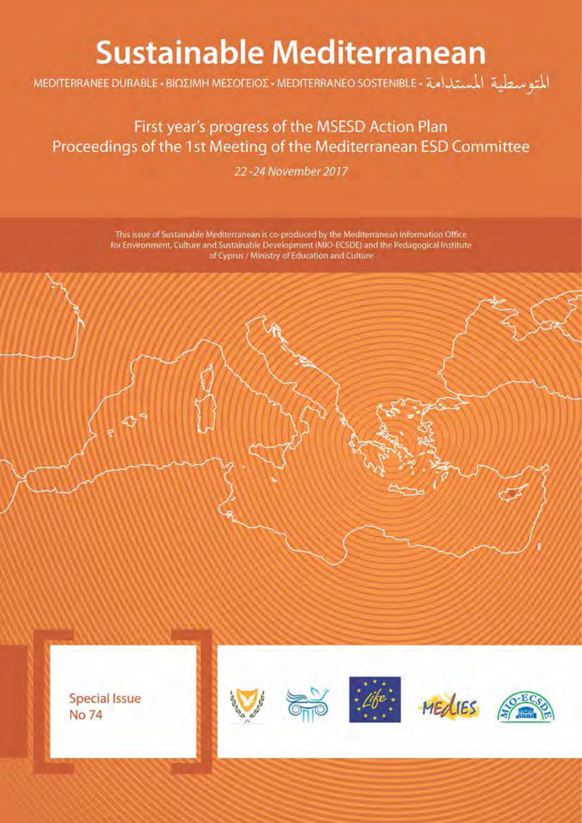# **Sustainable Mediterranean**

المتوسيطية المستدامة · MEDITERRANEE DURABLE · ΒΙΩΣΙΜΗ ΜΕΣΟΓΕΙΟΣ · MEDITERRANEO SOSTENIBLE

# First year's progress of the MSESD Action Plan Proceedings of the 1st Meeting of the Mediterranean ESD Committee

22-24 November 2017

This issue of Sustainable Mediterranean is co-produced by the Mediterranean Information Office for Environment, Culture and Sustainable Development (MIO-ECSDE) and the Pedagogical Institute of Cyprus / Ministry of Education and Culture

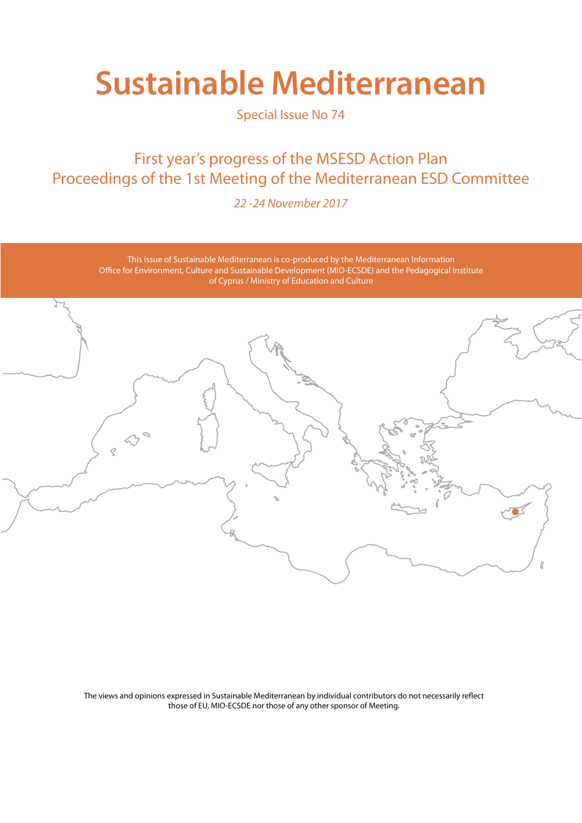# **Sustainable Mediterranean**

Special Issue No 74

## First year's progress of the MSESD Action Plan Proceedings οf the 1st Meeting of the Mediterranean ESD Committee

*22 -24 November 2017*

This issue of Sustainable Mediterranean is co-produced by the Mediterranean Information Office for Environment, Culture and Sustainable Development (MIO-ECSDE) and the Pedagogical Institute of Cyprus / Ministry of Education and Culture



The views and opinions expressed in Sustainable Mediterranean by individual contributors do not necessarily reflect those of EU, MIO-ECSDE nor those of any other sponsor of Meeting.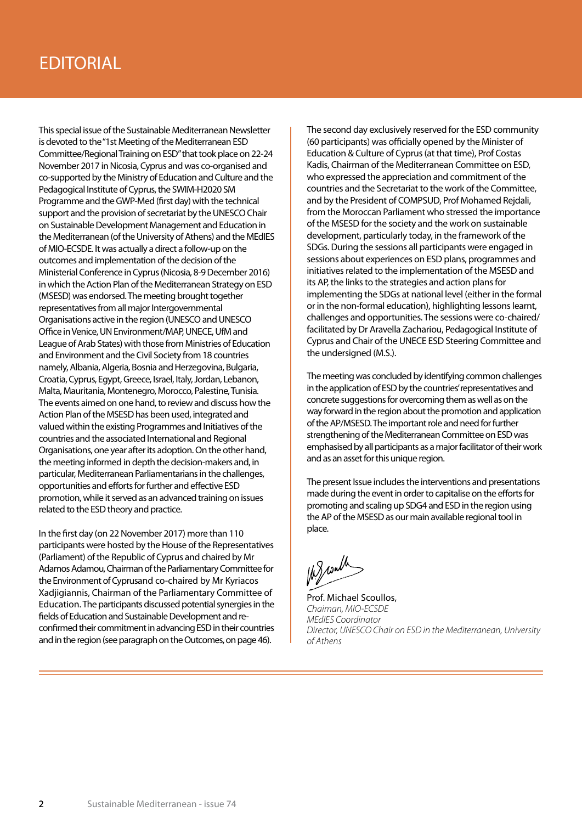#### Address of the Rector of the National and Kapodistrian University of Athens EDITORIAL

This special issue of the Sustainable Mediterranean Newsletter is devoted to the "1st Meeting of the Mediterranean ESD Committee/Regional Training on ESD" that took place on 22-24 November 2017 in Nicosia, Cyprus and was co-organised and co-supported by the Ministry of Education and Culture and the Pedagogical Institute of Cyprus, the SWIM-H2020 SM Programme and the GWP-Med (first day) with the technical support and the provision of secretariat by the UNESCO Chair on Sustainable Development Management and Education in the Mediterranean (of the University of Athens) and the MEdIES of MIO-ECSDE. It was actually a direct a follow-up on the outcomes and implementation of the decision of the Ministerial Conference in Cyprus (Nicosia, 8-9 December 2016) in which the Action Plan of the Mediterranean Strategy on ESD (MSESD) was endorsed. The meeting brought together representatives from all major Intergovernmental Organisations active in the region (UNESCO and UNESCO Office in Venice, UN Environment/MAP, UNECE, UfM and League of Arab States) with those from Ministries of Education and Environment and the Civil Society from 18 countries namely, Albania, Algeria, Bosnia and Herzegovina, Bulgaria, Croatia, Cyprus, Egypt, Greece, Israel, Italy, Jordan, Lebanon, Malta, Mauritania, Montenegro, Morocco, Palestine, Tunisia. The events aimed on one hand, to review and discuss how the Action Plan of the MSESD has been used, integrated and valued within the existing Programmes and Initiatives of the countries and the associated International and Regional Organisations, one year after its adoption. On the other hand, the meeting informed in depth the decision-makers and, in particular, Mediterranean Parliamentarians in the challenges, opportunities and efforts for further and effective ESD promotion, while it served as an advanced training on issues related to the ESD theory and practice.

In the first day (on 22 November 2017) more than 110 participants were hosted by the House of the Representatives (Parliament) of the Republic of Cyprus and chaired by Mr Adamos Adamou, Chairman of the Parliamentary Committee for the Environment of Cyprusand co-chaired by Mr Kyriacos Xadjigiannis, Chairman of the Parliamentary Committee of Education. The participants discussed potential synergies in the fields of Education and Sustainable Development and reconfirmed their commitment in advancing ESD in their countries and in the region (see paragraph on the Outcomes, on page 46).

The second day exclusively reserved for the ESD community (60 participants) was officially opened by the Minister of Education & Culture of Cyprus (at that time), Prof Costas Kadis, Chairman of the Mediterranean Committee on ESD, who expressed the appreciation and commitment of the countries and the Secretariat to the work of the Committee, and by the President of COMPSUD, Prof Mohamed Rejdali, from the Moroccan Parliament who stressed the importance of the MSESD for the society and the work on sustainable development, particularly today, in the framework of the SDGs. During the sessions all participants were engaged in sessions about experiences on ESD plans, programmes and initiatives related to the implementation of the MSESD and its AP, the links to the strategies and action plans for implementing the SDGs at national level (either in the formal or in the non-formal education), highlighting lessons learnt, challenges and opportunities. The sessions were co-chaired/ facilitated by Dr Aravella Zachariou, Pedagogical Institute of Cyprus and Chair of the UNECE ESD Steering Committee and the undersigned (M.S.).

The meeting was concluded by identifying common challenges in the application of ESD by the countries' representatives and concrete suggestions for overcoming them as well as on the way forward in the region about the promotion and application of the AP/MSESD. The important role and need for further strengthening of the Mediterranean Committee on ESD was emphasised by all participants as a major facilitator of their work and as an asset for this unique region.

The present Issue includes the interventions and presentations made during the event in order to capitalise on the efforts for promoting and scaling up SDG4 and ESD in the region using the AP of the MSESD as our main available regional tool in place.

 $102$  control

Prof. Michael Scoullos, *Chaiman, MIO-ECSDE MEdIES Coordinator Director, UNESCO Chair on ESD in the Mediterranean, University of Athens*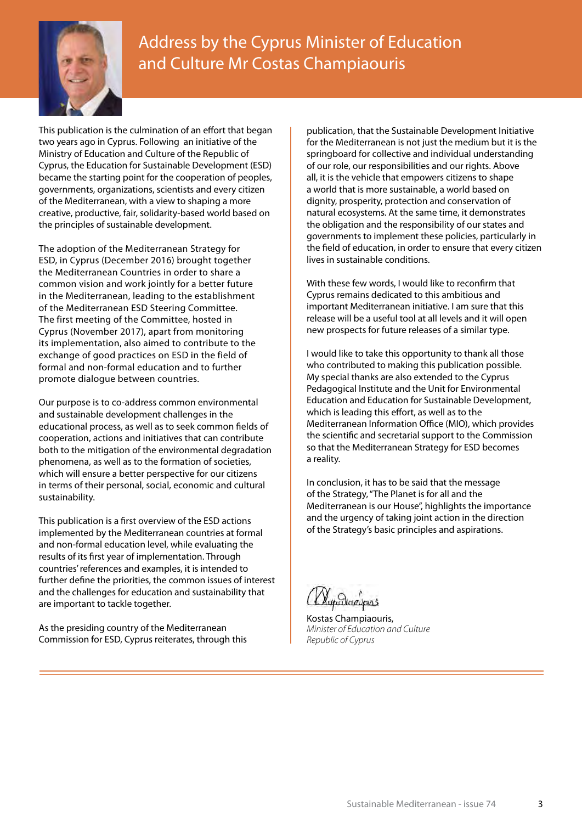

This publication is the culmination of an effort that began two years ago in Cyprus. Following an initiative of the Ministry of Education and Culture of the Republic of Cyprus, the Education for Sustainable Development (ESD) became the starting point for the cooperation of peoples, governments, organizations, scientists and every citizen of the Mediterranean, with a view to shaping a more creative, productive, fair, solidarity-based world based on the principles of sustainable development.

The adoption of the Mediterranean Strategy for ESD, in Cyprus (December 2016) brought together the Mediterranean Countries in order to share a common vision and work jointly for a better future in the Mediterranean, leading to the establishment of the Mediterranean ESD Steering Committee. The first meeting of the Committee, hosted in Cyprus (November 2017), apart from monitoring its implementation, also aimed to contribute to the exchange of good practices on ESD in the field of formal and non-formal education and to further promote dialogue between countries.

Our purpose is to co-address common environmental and sustainable development challenges in the educational process, as well as to seek common fields of cooperation, actions and initiatives that can contribute both to the mitigation of the environmental degradation phenomena, as well as to the formation of societies, which will ensure a better perspective for our citizens in terms of their personal, social, economic and cultural sustainability.

This publication is a first overview of the ESD actions implemented by the Mediterranean countries at formal and non-formal education level, while evaluating the results of its first year of implementation. Through countries' references and examples, it is intended to further define the priorities, the common issues of interest and the challenges for education and sustainability that are important to tackle together.

As the presiding country of the Mediterranean Commission for ESD, Cyprus reiterates, through this publication, that the Sustainable Development Initiative for the Mediterranean is not just the medium but it is the springboard for collective and individual understanding of our role, our responsibilities and our rights. Above all, it is the vehicle that empowers citizens to shape a world that is more sustainable, a world based on dignity, prosperity, protection and conservation of natural ecosystems. At the same time, it demonstrates the obligation and the responsibility of our states and governments to implement these policies, particularly in the field of education, in order to ensure that every citizen lives in sustainable conditions.

With these few words, I would like to reconfirm that Cyprus remains dedicated to this ambitious and important Mediterranean initiative. I am sure that this release will be a useful tool at all levels and it will open new prospects for future releases of a similar type.

I would like to take this opportunity to thank all those who contributed to making this publication possible. My special thanks are also extended to the Cyprus Pedagogical Institute and the Unit for Environmental Education and Education for Sustainable Development, which is leading this effort, as well as to the Mediterranean Information Office (MIO), which provides the scientific and secretarial support to the Commission so that the Mediterranean Strategy for ESD becomes a reality.

In conclusion, it has to be said that the message of the Strategy, "The Planet is for all and the Mediterranean is our House", highlights the importance and the urgency of taking joint action in the direction of the Strategy's basic principles and aspirations.

Xapadunovpus

Kostas Champiaouris, *Minister of Education and Culture Republic of Cyprus*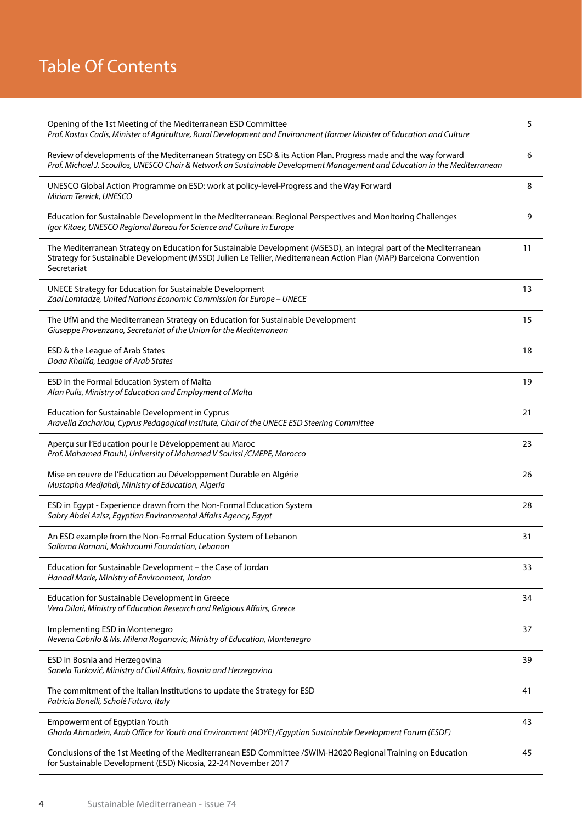# Table Of Contents

| Opening of the 1st Meeting of the Mediterranean ESD Committee<br>Prof. Kostas Cadis, Minister of Agriculture, Rural Development and Environment (former Minister of Education and Culture                                                                | 5  |
|----------------------------------------------------------------------------------------------------------------------------------------------------------------------------------------------------------------------------------------------------------|----|
| Review of developments of the Mediterranean Strategy on ESD & its Action Plan. Progress made and the way forward<br>Prof. Michael J. Scoullos, UNESCO Chair & Network on Sustainable Development Management and Education in the Mediterranean           | 6  |
| UNESCO Global Action Programme on ESD: work at policy-level-Progress and the Way Forward<br>Miriam Tereick, UNESCO                                                                                                                                       | 8  |
| Education for Sustainable Development in the Mediterranean: Regional Perspectives and Monitoring Challenges<br>Igor Kitaev, UNESCO Regional Bureau for Science and Culture in Europe                                                                     | 9  |
| The Mediterranean Strategy on Education for Sustainable Development (MSESD), an integral part of the Mediterranean<br>Strategy for Sustainable Development (MSSD) Julien Le Tellier, Mediterranean Action Plan (MAP) Barcelona Convention<br>Secretariat | 11 |
| UNECE Strategy for Education for Sustainable Development<br>Zaal Lomtadze, United Nations Economic Commission for Europe - UNECE                                                                                                                         | 13 |
| The UfM and the Mediterranean Strategy on Education for Sustainable Development<br>Giuseppe Provenzano, Secretariat of the Union for the Mediterranean                                                                                                   | 15 |
| ESD & the League of Arab States<br>Doaa Khalifa, League of Arab States                                                                                                                                                                                   | 18 |
| ESD in the Formal Education System of Malta<br>Alan Pulis, Ministry of Education and Employment of Malta                                                                                                                                                 | 19 |
| Education for Sustainable Development in Cyprus<br>Aravella Zachariou, Cyprus Pedagogical Institute, Chair of the UNECE ESD Steering Committee                                                                                                           | 21 |
| Aperçu sur l'Education pour le Développement au Maroc<br>Prof. Mohamed Ftouhi, University of Mohamed V Souissi / CMEPE, Morocco                                                                                                                          | 23 |
| Mise en œuvre de l'Education au Développement Durable en Algérie<br>Mustapha Medjahdi, Ministry of Education, Algeria                                                                                                                                    | 26 |
| ESD in Egypt - Experience drawn from the Non-Formal Education System<br>Sabry Abdel Azisz, Egyptian Environmental Affairs Agency, Egypt                                                                                                                  | 28 |
| An ESD example from the Non-Formal Education System of Lebanon<br>Sallama Namani, Makhzoumi Foundation, Lebanon                                                                                                                                          | 31 |
| Education for Sustainable Development – the Case of Jordan<br>Hanadi Marie, Ministry of Environment, Jordan                                                                                                                                              | 33 |
| Education for Sustainable Development in Greece<br>Vera Dilari, Ministry of Education Research and Religious Affairs, Greece                                                                                                                             | 34 |
| Implementing ESD in Montenegro<br>Nevena Cabrilo & Ms. Milena Roganovic, Ministry of Education, Montenegro                                                                                                                                               | 37 |
| ESD in Bosnia and Herzegovina<br>Sanela Turković, Ministry of Civil Affairs, Bosnia and Herzegovina                                                                                                                                                      | 39 |
| The commitment of the Italian Institutions to update the Strategy for ESD<br>Patricia Bonelli, Scholé Futuro, Italy                                                                                                                                      | 41 |
| <b>Empowerment of Egyptian Youth</b><br>Ghada Ahmadein, Arab Office for Youth and Environment (AOYE) /Egyptian Sustainable Development Forum (ESDF)                                                                                                      | 43 |
| Conclusions of the 1st Meeting of the Mediterranean ESD Committee /SWIM-H2020 Regional Training on Education<br>for Sustainable Development (ESD) Nicosia, 22-24 November 2017                                                                           | 45 |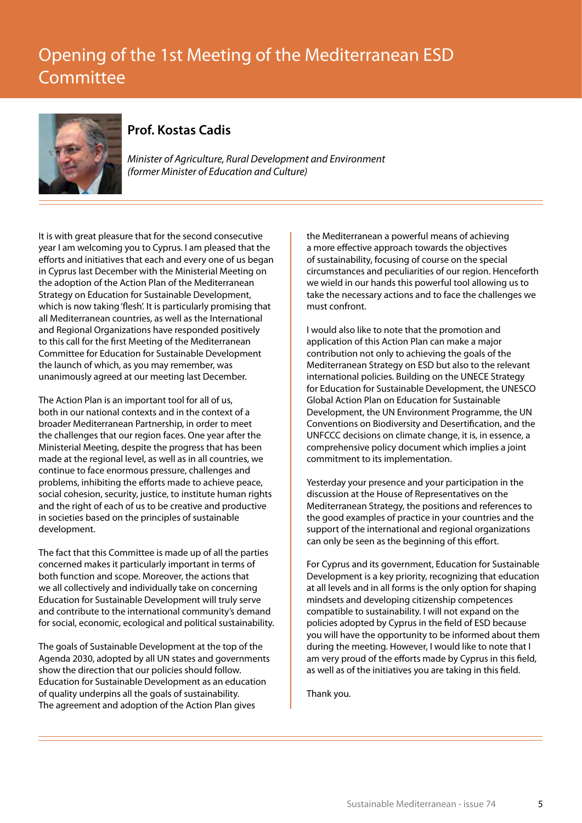# Opening of the 1st Meeting of the Mediterranean ESD Committee



#### **Prof. Kostas Cadis**

*Minister of Agriculture, Rural Development and Environment (former Minister of Education and Culture)*

It is with great pleasure that for the second consecutive year I am welcoming you to Cyprus. I am pleased that the efforts and initiatives that each and every one of us began in Cyprus last December with the Ministerial Meeting on the adoption of the Action Plan of the Mediterranean Strategy on Education for Sustainable Development, which is now taking 'flesh'. It is particularly promising that all Mediterranean countries, as well as the International and Regional Organizations have responded positively to this call for the first Meeting of the Mediterranean Committee for Education for Sustainable Development the launch of which, as you may remember, was unanimously agreed at our meeting last December.

The Action Plan is an important tool for all of us, both in our national contexts and in the context of a broader Mediterranean Partnership, in order to meet the challenges that our region faces. One year after the Ministerial Meeting, despite the progress that has been made at the regional level, as well as in all countries, we continue to face enormous pressure, challenges and problems, inhibiting the efforts made to achieve peace, social cohesion, security, justice, to institute human rights and the right of each of us to be creative and productive in societies based on the principles of sustainable development.

The fact that this Committee is made up of all the parties concerned makes it particularly important in terms of both function and scope. Moreover, the actions that we all collectively and individually take on concerning Education for Sustainable Development will truly serve and contribute to the international community's demand for social, economic, ecological and political sustainability.

The goals of Sustainable Development at the top of the Agenda 2030, adopted by all UN states and governments show the direction that our policies should follow. Education for Sustainable Development as an education of quality underpins all the goals of sustainability. The agreement and adoption of the Action Plan gives

the Mediterranean a powerful means of achieving a more effective approach towards the objectives of sustainability, focusing of course on the special circumstances and peculiarities of our region. Henceforth we wield in our hands this powerful tool allowing us to take the necessary actions and to face the challenges we must confront.

I would also like to note that the promotion and application of this Action Plan can make a major contribution not only to achieving the goals of the Mediterranean Strategy on ESD but also to the relevant international policies. Building on the UNECE Strategy for Education for Sustainable Development, the UNESCO Global Action Plan on Education for Sustainable Development, the UN Environment Programme, the UN Conventions on Biodiversity and Desertification, and the UNFCCC decisions on climate change, it is, in essence, a comprehensive policy document which implies a joint commitment to its implementation.

Yesterday your presence and your participation in the discussion at the House of Representatives on the Mediterranean Strategy, the positions and references to the good examples of practice in your countries and the support of the international and regional organizations can only be seen as the beginning of this effort.

For Cyprus and its government, Education for Sustainable Development is a key priority, recognizing that education at all levels and in all forms is the only option for shaping mindsets and developing citizenship competences compatible to sustainability. I will not expand on the policies adopted by Cyprus in the field of ESD because you will have the opportunity to be informed about them during the meeting. However, I would like to note that I am very proud of the efforts made by Cyprus in this field, as well as of the initiatives you are taking in this field.

Thank you.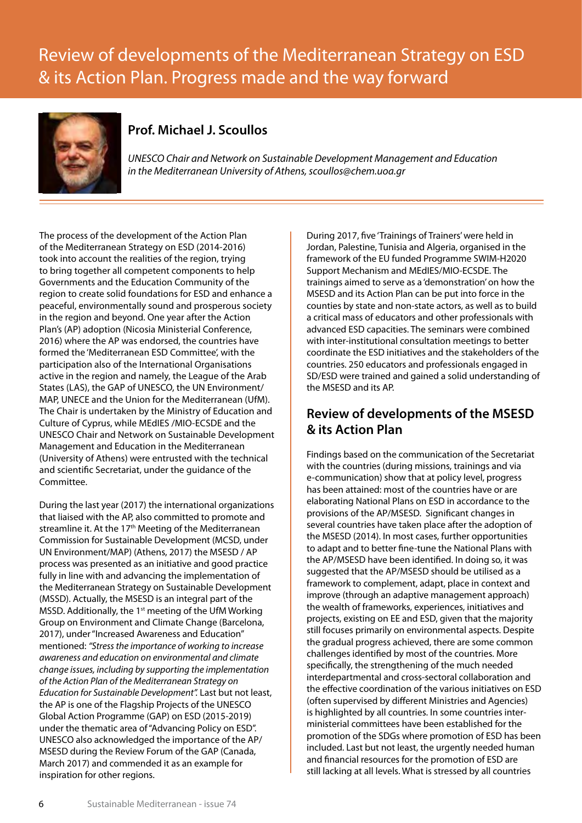# Review of developments of the Mediterranean Strategy on ESD & its Action Plan. Progress made and the way forward



#### **Prof. Michael J. Scoullos**

*UNESCO Chair and Network on Sustainable Development Management and Education in the Mediterranean University of Athens, scoullos@chem.uoa.gr* 

The process of the development of the Action Plan of the Mediterranean Strategy on ESD (2014-2016) took into account the realities of the region, trying to bring together all competent components to help Governments and the Education Community of the region to create solid foundations for ESD and enhance a peaceful, environmentally sound and prosperous society in the region and beyond. One year after the Action Plan's (AP) adoption (Nicosia Ministerial Conference, 2016) where the AP was endorsed, the countries have formed the 'Mediterranean ESD Committee', with the participation also of the International Organisations active in the region and namely, the League of the Arab States (LAS), the GAP of UNESCO, the UN Environment/ MAP, UNECE and the Union for the Mediterranean (UfM). The Chair is undertaken by the Ministry of Education and Culture of Cyprus, while MEdIES /MIO-ECSDE and the UNESCO Chair and Network on Sustainable Development Management and Education in the Mediterranean (University of Athens) were entrusted with the technical and scientific Secretariat, under the guidance of the Committee.

During the last year (2017) the international organizations that liaised with the AP, also committed to promote and streamline it. At the 17<sup>th</sup> Meeting of the Mediterranean Commission for Sustainable Development (MCSD, under UN Environment/MAP) (Athens, 2017) the MSESD / AP process was presented as an initiative and good practice fully in line with and advancing the implementation of the Mediterranean Strategy on Sustainable Development (MSSD). Actually, the MSESD is an integral part of the MSSD. Additionally, the 1<sup>st</sup> meeting of the UfM Working Group on Environment and Climate Change (Barcelona, 2017), under "Increased Awareness and Education" mentioned: *"Stress the importance of working to increase awareness and education on environmental and climate change issues, including by supporting the implementation of the Action Plan of the Mediterranean Strategy on Education for Sustainable Development".* Last but not least, the AP is one of the Flagship Projects of the UNESCO Global Action Programme (GAP) on ESD (2015-2019) under the thematic area of "Advancing Policy on ESD". UNESCO also acknowledged the importance of the AP/ MSESD during the Review Forum of the GAP (Canada, March 2017) and commended it as an example for inspiration for other regions.

During 2017, five 'Trainings of Trainers' were held in Jordan, Palestine, Tunisia and Algeria, organised in the framework of the EU funded Programme SWIM-H2020 Support Mechanism and MEdIES/MIO-ECSDE. The trainings aimed to serve as a 'demonstration' on how the MSESD and its Action Plan can be put into force in the counties by state and non-state actors, as well as to build a critical mass of educators and other professionals with advanced ESD capacities. The seminars were combined with inter-institutional consultation meetings to better coordinate the ESD initiatives and the stakeholders of the countries. 250 educators and professionals engaged in SD/ESD were trained and gained a solid understanding of the MSESD and its AP.

#### **Review of developments of the MSESD & its Action Plan**

Findings based on the communication of the Secretariat with the countries (during missions, trainings and via e-communication) show that at policy level, progress has been attained: most of the countries have or are elaborating National Plans on ESD in accordance to the provisions of the AP/MSESD. Significant changes in several countries have taken place after the adoption of the MSESD (2014). In most cases, further opportunities to adapt and to better fine-tune the National Plans with the AP/MSESD have been identified. In doing so, it was suggested that the AP/MSESD should be utilised as a framework to complement, adapt, place in context and improve (through an adaptive management approach) the wealth of frameworks, experiences, initiatives and projects, existing on EE and ESD, given that the majority still focuses primarily on environmental aspects. Despite the gradual progress achieved, there are some common challenges identified by most of the countries. More specifically, the strengthening of the much needed interdepartmental and cross-sectoral collaboration and the effective coordination of the various initiatives on ESD (often supervised by different Ministries and Agencies) is highlighted by all countries. In some countries interministerial committees have been established for the promotion of the SDGs where promotion of ESD has been included. Last but not least, the urgently needed human and financial resources for the promotion of ESD are still lacking at all levels. What is stressed by all countries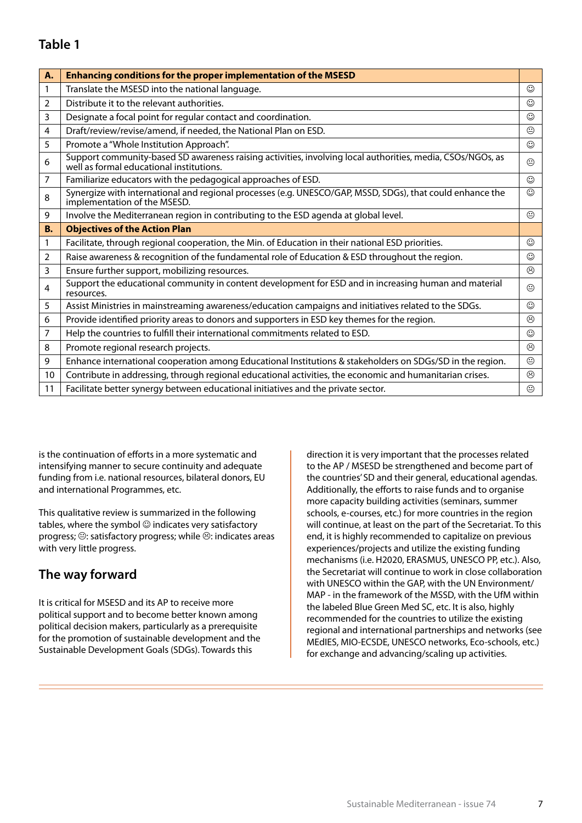### **Table 1**

| A.        | Enhancing conditions for the proper implementation of the MSESD                                                                                        |         |
|-----------|--------------------------------------------------------------------------------------------------------------------------------------------------------|---------|
| 1         | Translate the MSESD into the national language.                                                                                                        | ☺       |
| 2         | Distribute it to the relevant authorities.                                                                                                             | ⊙       |
| 3         | Designate a focal point for regular contact and coordination.                                                                                          | ☺       |
| 4         | Draft/review/revise/amend, if needed, the National Plan on ESD.                                                                                        | $\odot$ |
| 5         | Promote a "Whole Institution Approach".                                                                                                                | $\odot$ |
| 6         | Support community-based SD awareness raising activities, involving local authorities, media, CSOs/NGOs, as<br>well as formal educational institutions. | ⊕       |
| 7         | Familiarize educators with the pedagogical approaches of ESD.                                                                                          | $\odot$ |
| 8         | Synergize with international and regional processes (e.g. UNESCO/GAP, MSSD, SDGs), that could enhance the<br>implementation of the MSESD.              | ☺       |
| 9         | Involve the Mediterranean region in contributing to the ESD agenda at global level.                                                                    | ⊕       |
| <b>B.</b> | <b>Objectives of the Action Plan</b>                                                                                                                   |         |
| 1         | Facilitate, through regional cooperation, the Min. of Education in their national ESD priorities.                                                      | ☺       |
| 2         | Raise awareness & recognition of the fundamental role of Education & ESD throughout the region.                                                        | ☺       |
| 3         | Ensure further support, mobilizing resources.                                                                                                          | ☺       |
| 4         | Support the educational community in content development for ESD and in increasing human and material<br>resources.                                    | ☺       |
| 5         | Assist Ministries in mainstreaming awareness/education campaigns and initiatives related to the SDGs.                                                  | ☺       |
| 6         | Provide identified priority areas to donors and supporters in ESD key themes for the region.                                                           | $\odot$ |
| 7         | Help the countries to fulfill their international commitments related to ESD.                                                                          | $\odot$ |
| 8         | Promote regional research projects.                                                                                                                    | ☺       |
| 9         | Enhance international cooperation among Educational Institutions & stakeholders on SDGs/SD in the region.                                              | ☺       |
| 10        | Contribute in addressing, through regional educational activities, the economic and humanitarian crises.                                               | ☺       |
| 11        | Facilitate better synergy between educational initiatives and the private sector.                                                                      | $\odot$ |

is the continuation of efforts in a more systematic and intensifying manner to secure continuity and adequate funding from i.e. national resources, bilateral donors, EU and international Programmes, etc.

This qualitative review is summarized in the following tables, where the symbol  $\odot$  indicates very satisfactory progress;  $\oplus$ : satisfactory progress; while  $\otimes$ : indicates areas with very little progress.

#### **The way forward**

It is critical for MSESD and its AP to receive more political support and to become better known among political decision makers, particularly as a prerequisite for the promotion of sustainable development and the Sustainable Development Goals (SDGs). Towards this

direction it is very important that the processes related to the AP / MSESD be strengthened and become part of the countries' SD and their general, educational agendas. Additionally, the efforts to raise funds and to organise more capacity building activities (seminars, summer schools, e-courses, etc.) for more countries in the region will continue, at least on the part of the Secretariat. To this end, it is highly recommended to capitalize on previous experiences/projects and utilize the existing funding mechanisms (i.e. H2020, ERASMUS, UNESCO PP, etc.). Also, the Secretariat will continue to work in close collaboration with UNESCO within the GAP, with the UN Environment/ MAP - in the framework of the MSSD, with the UfM within the labeled Blue Green Med SC, etc. It is also, highly recommended for the countries to utilize the existing regional and international partnerships and networks (see MEdIES, MIO-ECSDE, UNESCO networks, Eco-schools, etc.) for exchange and advancing/scaling up activities.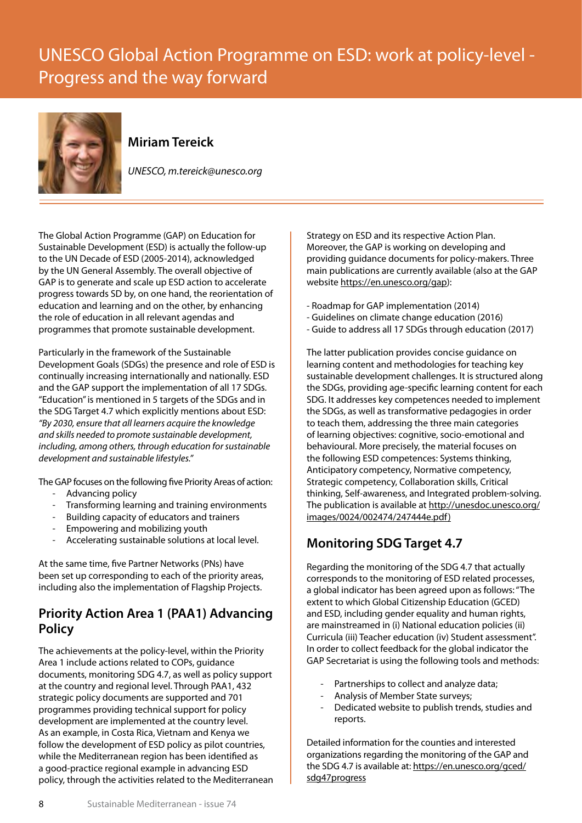# UNESCO Global Action Programme on ESD: work at policy-level - Progress and the way forward



#### **Miriam Tereick**

*UNESCO, m.tereick@unesco.org*

The Global Action Programme (GAP) on Education for Sustainable Development (ESD) is actually the follow-up to the UN Decade of ESD (2005-2014), acknowledged by the UN General Assembly. The overall objective of GAP is to generate and scale up ESD action to accelerate progress towards SD by, on one hand, the reorientation of education and learning and on the other, by enhancing the role of education in all relevant agendas and programmes that promote sustainable development.

Particularly in the framework of the Sustainable Development Goals (SDGs) the presence and role of ESD is continually increasing internationally and nationally. ESD and the GAP support the implementation of all 17 SDGs. "Education" is mentioned in 5 targets of the SDGs and in the SDG Target 4.7 which explicitly mentions about ESD: *"By 2030, ensure that all learners acquire the knowledge and skills needed to promote sustainable development, including, among others, through education for sustainable development and sustainable lifestyles."* 

The GAP focuses on the following five Priority Areas of action:

- Advancing policy
- Transforming learning and training environments
- Building capacity of educators and trainers
- Empowering and mobilizing youth
- Accelerating sustainable solutions at local level.

At the same time, five Partner Networks (PNs) have been set up corresponding to each of the priority areas, including also the implementation of Flagship Projects.

#### **Priority Action Area 1 (PAA1) Advancing Policy**

The achievements at the policy-level, within the Priority Area 1 include actions related to COPs, guidance documents, monitoring SDG 4.7, as well as policy support at the country and regional level. Through PAA1, 432 strategic policy documents are supported and 701 programmes providing technical support for policy development are implemented at the country level. As an example, in Costa Rica, Vietnam and Kenya we follow the development of ESD policy as pilot countries, while the Mediterranean region has been identified as a good-practice regional example in advancing ESD policy, through the activities related to the Mediterranean Strategy on ESD and its respective Action Plan. Moreover, the GAP is working on developing and providing guidance documents for policy-makers. Three main publications are currently available (also at the GAP website https://en.unesco.org/gap):

- Roadmap for GAP implementation (2014)
- Guidelines on climate change education (2016)
- Guide to address all 17 SDGs through education (2017)

The latter publication provides concise guidance on learning content and methodologies for teaching key sustainable development challenges. It is structured along the SDGs, providing age-specific learning content for each SDG. It addresses key competences needed to implement the SDGs, as well as transformative pedagogies in order to teach them, addressing the three main categories of learning objectives: cognitive, socio-emotional and behavioural. More precisely, the material focuses on the following ESD competences: Systems thinking, Anticipatory competency, Normative competency, Strategic competency, Collaboration skills, Critical thinking, Self-awareness, and Integrated problem-solving. The publication is available at http://unesdoc.unesco.org/ images/0024/002474/247444e.pdf)

#### **Monitoring SDG Target 4.7**

Regarding the monitoring of the SDG 4.7 that actually corresponds to the monitoring of ESD related processes, a global indicator has been agreed upon as follows: "The extent to which Global Citizenship Education (GCED) and ESD, including gender equality and human rights, are mainstreamed in (i) National education policies (ii) Curricula (iii) Teacher education (iv) Student assessment". In order to collect feedback for the global indicator the GAP Secretariat is using the following tools and methods:

- Partnerships to collect and analyze data;
- Analysis of Member State surveys;
- Dedicated website to publish trends, studies and reports.

Detailed information for the counties and interested organizations regarding the monitoring of the GAP and the SDG 4.7 is available at: https://en.unesco.org/gced/ sdg47progress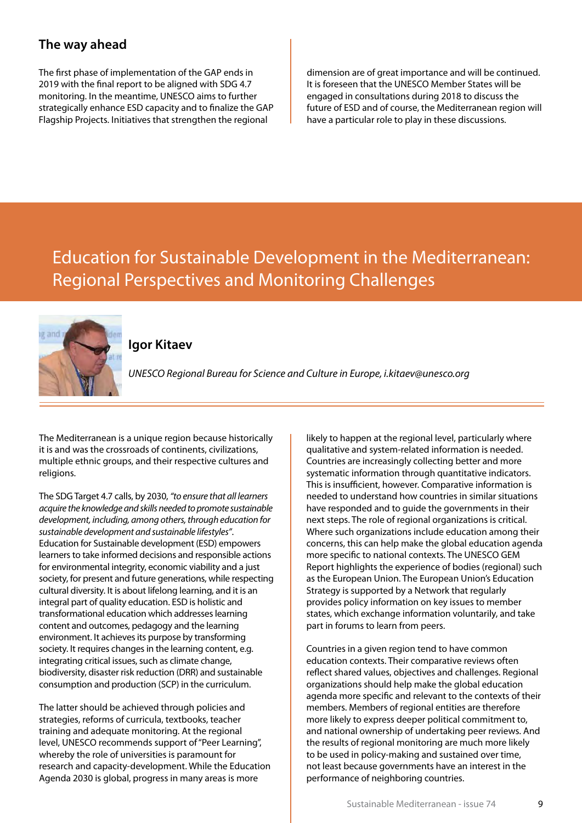### **The way ahead**

The first phase of implementation of the GAP ends in 2019 with the final report to be aligned with SDG 4.7 monitoring. In the meantime, UNESCO aims to further strategically enhance ESD capacity and to finalize the GAP Flagship Projects. Initiatives that strengthen the regional

dimension are of great importance and will be continued. It is foreseen that the UNESCO Member States will be engaged in consultations during 2018 to discuss the future of ESD and of course, the Mediterranean region will have a particular role to play in these discussions.

# Education for Sustainable Development in the Mediterranean: Regional Perspectives and Monitoring Challenges



#### **Igor Kitaev**

*UNESCO Regional Bureau for Science and Culture in Europe, i.kitaev@unesco.org* 

The Mediterranean is a unique region because historically it is and was the crossroads of continents, civilizations, multiple ethnic groups, and their respective cultures and religions.

The SDG Target 4.7 calls, by 2030, *"to ensure that all learners acquire the knowledge and skills needed to promote sustainable development, including, among others, through education for sustainable development and sustainable lifestyles"*. Education for Sustainable development (ESD) empowers learners to take informed decisions and responsible actions for environmental integrity, economic viability and a just society, for present and future generations, while respecting cultural diversity. It is about lifelong learning, and it is an integral part of quality education. ESD is holistic and transformational education which addresses learning content and outcomes, pedagogy and the learning environment. It achieves its purpose by transforming society. It requires changes in the learning content, e.g. integrating critical issues, such as climate change, biodiversity, disaster risk reduction (DRR) and sustainable consumption and production (SCP) in the curriculum.

The latter should be achieved through policies and strategies, reforms of curricula, textbooks, teacher training and adequate monitoring. At the regional level, UNESCO recommends support of "Peer Learning", whereby the role of universities is paramount for research and capacity-development. While the Education Agenda 2030 is global, progress in many areas is more

likely to happen at the regional level, particularly where qualitative and system-related information is needed. Countries are increasingly collecting better and more systematic information through quantitative indicators. This is insufficient, however. Comparative information is needed to understand how countries in similar situations have responded and to guide the governments in their next steps. The role of regional organizations is critical. Where such organizations include education among their concerns, this can help make the global education agenda more specific to national contexts. The UNESCO GEM Report highlights the experience of bodies (regional) such as the European Union. The European Union's Education Strategy is supported by a Network that regularly provides policy information on key issues to member states, which exchange information voluntarily, and take part in forums to learn from peers.

Countries in a given region tend to have common education contexts. Their comparative reviews often reflect shared values, objectives and challenges. Regional organizations should help make the global education agenda more specific and relevant to the contexts of their members. Members of regional entities are therefore more likely to express deeper political commitment to, and national ownership of undertaking peer reviews. And the results of regional monitoring are much more likely to be used in policy-making and sustained over time, not least because governments have an interest in the performance of neighboring countries.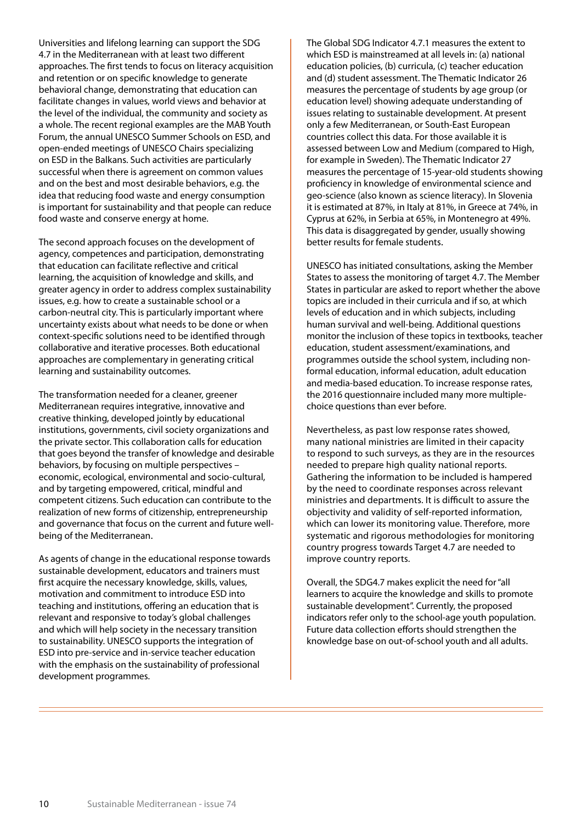Universities and lifelong learning can support the SDG 4.7 in the Mediterranean with at least two different approaches. The first tends to focus on literacy acquisition and retention or on specific knowledge to generate behavioral change, demonstrating that education can facilitate changes in values, world views and behavior at the level of the individual, the community and society as a whole. The recent regional examples are the MAB Youth Forum, the annual UNESCO Summer Schools on ESD, and open-ended meetings of UNESCO Chairs specializing on ESD in the Balkans. Such activities are particularly successful when there is agreement on common values and on the best and most desirable behaviors, e.g. the idea that reducing food waste and energy consumption is important for sustainability and that people can reduce food waste and conserve energy at home.

The second approach focuses on the development of agency, competences and participation, demonstrating that education can facilitate reflective and critical learning, the acquisition of knowledge and skills, and greater agency in order to address complex sustainability issues, e.g. how to create a sustainable school or a carbon-neutral city. This is particularly important where uncertainty exists about what needs to be done or when context-specific solutions need to be identified through collaborative and iterative processes. Both educational approaches are complementary in generating critical learning and sustainability outcomes.

The transformation needed for a cleaner, greener Mediterranean requires integrative, innovative and creative thinking, developed jointly by educational institutions, governments, civil society organizations and the private sector. This collaboration calls for education that goes beyond the transfer of knowledge and desirable behaviors, by focusing on multiple perspectives – economic, ecological, environmental and socio-cultural, and by targeting empowered, critical, mindful and competent citizens. Such education can contribute to the realization of new forms of citizenship, entrepreneurship and governance that focus on the current and future wellbeing of the Mediterranean.

As agents of change in the educational response towards sustainable development, educators and trainers must first acquire the necessary knowledge, skills, values, motivation and commitment to introduce ESD into teaching and institutions, offering an education that is relevant and responsive to today's global challenges and which will help society in the necessary transition to sustainability. UNESCO supports the integration of ESD into pre-service and in-service teacher education with the emphasis on the sustainability of professional development programmes.

The Global SDG Indicator 4.7.1 measures the extent to which ESD is mainstreamed at all levels in: (a) national education policies, (b) curricula, (c) teacher education and (d) student assessment. The Thematic Indicator 26 measures the percentage of students by age group (or education level) showing adequate understanding of issues relating to sustainable development. At present only a few Mediterranean, or South-East European countries collect this data. For those available it is assessed between Low and Medium (compared to High, for example in Sweden). The Thematic Indicator 27 measures the percentage of 15-year-old students showing proficiency in knowledge of environmental science and geo-science (also known as science literacy). In Slovenia it is estimated at 87%, in Italy at 81%, in Greece at 74%, in Cyprus at 62%, in Serbia at 65%, in Montenegro at 49%. This data is disaggregated by gender, usually showing better results for female students.

UNESCO has initiated consultations, asking the Member States to assess the monitoring of target 4.7. The Member States in particular are asked to report whether the above topics are included in their curricula and if so, at which levels of education and in which subjects, including human survival and well-being. Additional questions monitor the inclusion of these topics in textbooks, teacher education, student assessment/examinations, and programmes outside the school system, including nonformal education, informal education, adult education and media-based education. To increase response rates, the 2016 questionnaire included many more multiplechoice questions than ever before.

Nevertheless, as past low response rates showed, many national ministries are limited in their capacity to respond to such surveys, as they are in the resources needed to prepare high quality national reports. Gathering the information to be included is hampered by the need to coordinate responses across relevant ministries and departments. It is difficult to assure the objectivity and validity of self-reported information, which can lower its monitoring value. Therefore, more systematic and rigorous methodologies for monitoring country progress towards Target 4.7 are needed to improve country reports.

Overall, the SDG4.7 makes explicit the need for "all learners to acquire the knowledge and skills to promote sustainable development". Currently, the proposed indicators refer only to the school-age youth population. Future data collection efforts should strengthen the knowledge base on out-of-school youth and all adults.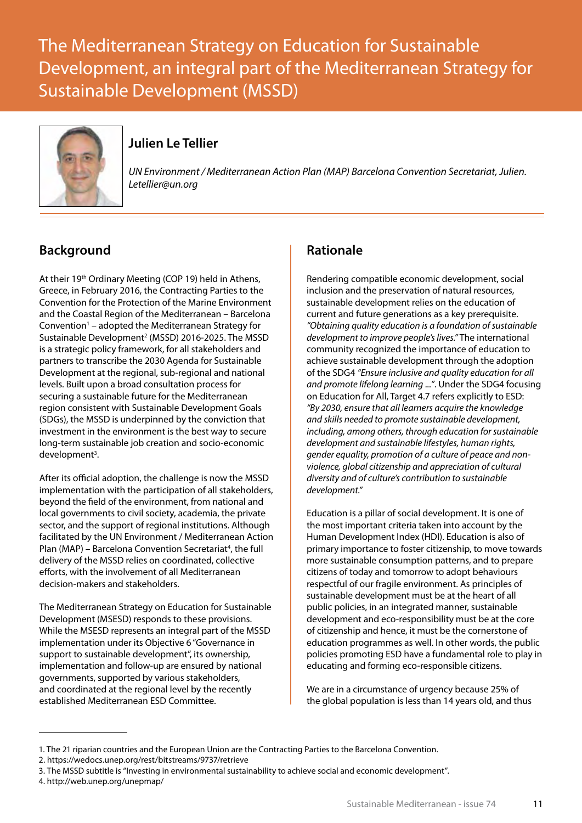The Mediterranean Strategy on Education for Sustainable<br>Development of the Hellen of the Mediterrane Commission Developme<br>Controlled The Mediterranean Strategy on Education for Sustainable Development, an integral part of the Mediterranean Strategy for Sustainable Development (MSSD)



### **Julien Le Tellier**

*UN Environment / Mediterranean Action Plan (MAP) Barcelona Convention Secretariat, Julien. Letellier@un.org* 

### **Background**

At their 19<sup>th</sup> Ordinary Meeting (COP 19) held in Athens, Greece, in February 2016, the Contracting Parties to the Convention for the Protection of the Marine Environment and the Coastal Region of the Mediterranean – Barcelona Convention<sup>1</sup> – adopted the Mediterranean Strategy for Sustainable Development<sup>2</sup> (MSSD) 2016-2025. The MSSD is a strategic policy framework, for all stakeholders and partners to transcribe the 2030 Agenda for Sustainable Development at the regional, sub-regional and national levels. Built upon a broad consultation process for securing a sustainable future for the Mediterranean region consistent with Sustainable Development Goals (SDGs), the MSSD is underpinned by the conviction that investment in the environment is the best way to secure long-term sustainable job creation and socio-economic development<sup>3</sup>.

After its official adoption, the challenge is now the MSSD implementation with the participation of all stakeholders, beyond the field of the environment, from national and local governments to civil society, academia, the private sector, and the support of regional institutions. Although facilitated by the UN Environment / Mediterranean Action Plan (MAP) – Barcelona Convention Secretariat<sup>4</sup>, the full delivery of the MSSD relies on coordinated, collective efforts, with the involvement of all Mediterranean decision-makers and stakeholders.

The Mediterranean Strategy on Education for Sustainable Development (MSESD) responds to these provisions. While the MSESD represents an integral part of the MSSD implementation under its Objective 6 "Governance in support to sustainable development", its ownership, implementation and follow-up are ensured by national governments, supported by various stakeholders, and coordinated at the regional level by the recently established Mediterranean ESD Committee.

### **Rationale**

Rendering compatible economic development, social inclusion and the preservation of natural resources, sustainable development relies on the education of current and future generations as a key prerequisite. *"Obtaining quality education is a foundation of sustainable development to improve people's lives."* The international community recognized the importance of education to achieve sustainable development through the adoption of the SDG4 *"Ensure inclusive and quality education for all and promote lifelong learning* ...*"*. Under the SDG4 focusing on Education for All, Target 4.7 refers explicitly to ESD: *"By 2030, ensure that all learners acquire the knowledge and skills needed to promote sustainable development, including, among others, through education for sustainable development and sustainable lifestyles, human rights, gender equality, promotion of a culture of peace and nonviolence, global citizenship and appreciation of cultural diversity and of culture's contribution to sustainable development."*

Education is a pillar of social development. It is one of the most important criteria taken into account by the Human Development Index (HDI). Education is also of primary importance to foster citizenship, to move towards more sustainable consumption patterns, and to prepare citizens of today and tomorrow to adopt behaviours respectful of our fragile environment. As principles of sustainable development must be at the heart of all public policies, in an integrated manner, sustainable development and eco-responsibility must be at the core of citizenship and hence, it must be the cornerstone of education programmes as well. In other words, the public policies promoting ESD have a fundamental role to play in educating and forming eco-responsible citizens.

We are in a circumstance of urgency because 25% of the global population is less than 14 years old, and thus

4. http://web.unep.org/unepmap/

<sup>1.</sup> The 21 riparian countries and the European Union are the Contracting Parties to the Barcelona Convention.

<sup>2.</sup> https://wedocs.unep.org/rest/bitstreams/9737/retrieve

<sup>3.</sup> The MSSD subtitle is "Investing in environmental sustainability to achieve social and economic development".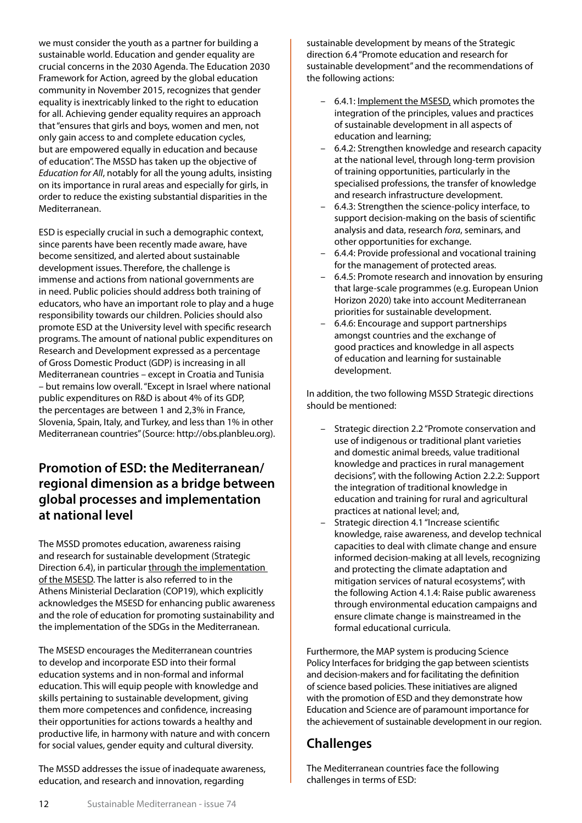we must consider the youth as a partner for building a sustainable world. Education and gender equality are crucial concerns in the 2030 Agenda. The Education 2030 Framework for Action, agreed by the global education community in November 2015, recognizes that gender equality is inextricably linked to the right to education for all. Achieving gender equality requires an approach that "ensures that girls and boys, women and men, not only gain access to and complete education cycles, but are empowered equally in education and because of education". The MSSD has taken up the objective of *Education for All*, notably for all the young adults, insisting on its importance in rural areas and especially for girls, in order to reduce the existing substantial disparities in the Mediterranean.

ESD is especially crucial in such a demographic context, since parents have been recently made aware, have become sensitized, and alerted about sustainable development issues. Therefore, the challenge is immense and actions from national governments are in need. Public policies should address both training of educators, who have an important role to play and a huge responsibility towards our children. Policies should also promote ESD at the University level with specific research programs. The amount of national public expenditures on Research and Development expressed as a percentage of Gross Domestic Product (GDP) is increasing in all Mediterranean countries – except in Croatia and Tunisia – but remains low overall. "Except in Israel where national public expenditures on R&D is about 4% of its GDP, the percentages are between 1 and 2,3% in France, Slovenia, Spain, Italy, and Turkey, and less than 1% in other Mediterranean countries" (Source: http://obs.planbleu.org).

#### **Promotion of ESD: the Mediterranean/ regional dimension as a bridge between global processes and implementation at national level**

The MSSD promotes education, awareness raising and research for sustainable development (Strategic Direction 6.4), in particular through the implementation of the MSESD. The latter is also referred to in the Athens Ministerial Declaration (COP19), which explicitly acknowledges the MSESD for enhancing public awareness and the role of education for promoting sustainability and the implementation of the SDGs in the Mediterranean.

The MSESD encourages the Mediterranean countries to develop and incorporate ESD into their formal education systems and in non-formal and informal education. This will equip people with knowledge and skills pertaining to sustainable development, giving them more competences and confidence, increasing their opportunities for actions towards a healthy and productive life, in harmony with nature and with concern for social values, gender equity and cultural diversity.

The MSSD addresses the issue of inadequate awareness, education, and research and innovation, regarding

sustainable development by means of the Strategic direction 6.4 "Promote education and research for sustainable development" and the recommendations of the following actions:

- 6.4.1: Implement the MSESD, which promotes the integration of the principles, values and practices of sustainable development in all aspects of education and learning;
- 6.4.2: Strengthen knowledge and research capacity at the national level, through long-term provision of training opportunities, particularly in the specialised professions, the transfer of knowledge and research infrastructure development.
- 6.4.3: Strengthen the science-policy interface, to support decision-making on the basis of scientific analysis and data, research *fora*, seminars, and other opportunities for exchange.
- 6.4.4: Provide professional and vocational training for the management of protected areas.
- 6.4.5: Promote research and innovation by ensuring that large-scale programmes (e.g. European Union Horizon 2020) take into account Mediterranean priorities for sustainable development.
- 6.4.6: Encourage and support partnerships amongst countries and the exchange of good practices and knowledge in all aspects of education and learning for sustainable development.

In addition, the two following MSSD Strategic directions should be mentioned:

- Strategic direction 2.2 "Promote conservation and use of indigenous or traditional plant varieties and domestic animal breeds, value traditional knowledge and practices in rural management decisions", with the following Action 2.2.2: Support the integration of traditional knowledge in education and training for rural and agricultural practices at national level; and,
- Strategic direction 4.1 "Increase scientific knowledge, raise awareness, and develop technical capacities to deal with climate change and ensure informed decision-making at all levels, recognizing and protecting the climate adaptation and mitigation services of natural ecosystems", with the following Action 4.1.4: Raise public awareness through environmental education campaigns and ensure climate change is mainstreamed in the formal educational curricula.

Furthermore, the MAP system is producing Science Policy Interfaces for bridging the gap between scientists and decision-makers and for facilitating the definition of science based policies. These initiatives are aligned with the promotion of ESD and they demonstrate how Education and Science are of paramount importance for the achievement of sustainable development in our region.

### **Challenges**

The Mediterranean countries face the following challenges in terms of ESD: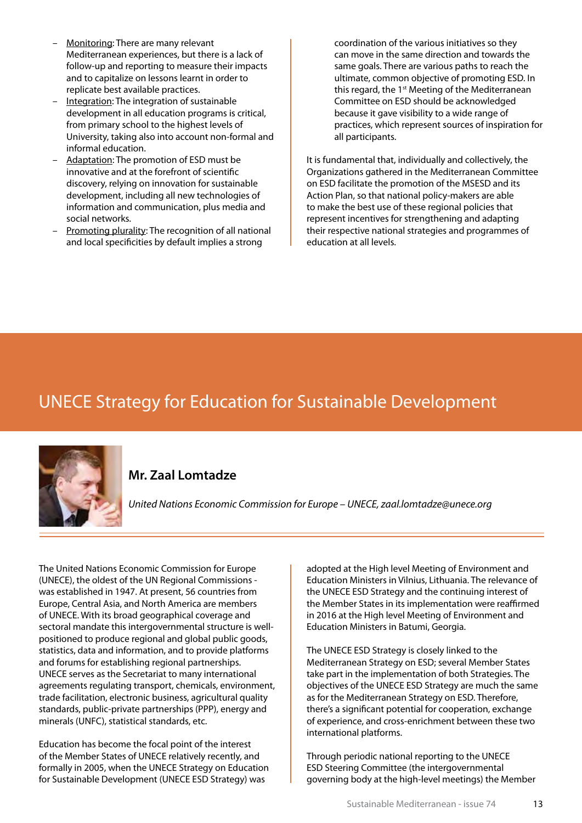- Monitoring: There are many relevant Mediterranean experiences, but there is a lack of follow-up and reporting to measure their impacts and to capitalize on lessons learnt in order to replicate best available practices.
- Integration: The integration of sustainable development in all education programs is critical, from primary school to the highest levels of University, taking also into account non-formal and informal education.
- Adaptation: The promotion of ESD must be innovative and at the forefront of scientific discovery, relying on innovation for sustainable development, including all new technologies of information and communication, plus media and social networks.
- Promoting plurality: The recognition of all national and local specificities by default implies a strong

coordination of the various initiatives so they can move in the same direction and towards the same goals. There are various paths to reach the ultimate, common objective of promoting ESD. In this regard, the 1<sup>st</sup> Meeting of the Mediterranean Committee on ESD should be acknowledged because it gave visibility to a wide range of practices, which represent sources of inspiration for all participants.

It is fundamental that, individually and collectively, the Organizations gathered in the Mediterranean Committee on ESD facilitate the promotion of the MSESD and its Action Plan, so that national policy-makers are able to make the best use of these regional policies that represent incentives for strengthening and adapting their respective national strategies and programmes of education at all levels.

# UNECE Strategy for Education for Sustainable Development



#### **Mr. Zaal Lomtadze**

*United Nations Economic Commission for Europe – UNECE, zaal.lomtadze@unece.org*

The United Nations Economic Commission for Europe (UNECE), the oldest of the UN Regional Commissions was established in 1947. At present, 56 countries from Europe, Central Asia, and North America are members of UNECE. With its broad geographical coverage and sectoral mandate this intergovernmental structure is wellpositioned to produce regional and global public goods, statistics, data and information, and to provide platforms and forums for establishing regional partnerships. UNECE serves as the Secretariat to many international agreements regulating transport, chemicals, environment, trade facilitation, electronic business, agricultural quality standards, public-private partnerships (PPP), energy and minerals (UNFC), statistical standards, etc.

Education has become the focal point of the interest of the Member States of UNECE relatively recently, and formally in 2005, when the UNECE Strategy on Education for Sustainable Development (UNECE ESD Strategy) was

adopted at the High level Meeting of Environment and Education Ministers in Vilnius, Lithuania. The relevance of the UNECE ESD Strategy and the continuing interest of the Member States in its implementation were reaffirmed in 2016 at the High level Meeting of Environment and Education Ministers in Batumi, Georgia.

The UNECE ESD Strategy is closely linked to the Mediterranean Strategy on ESD; several Member States take part in the implementation of both Strategies. The objectives of the UNECE ESD Strategy are much the same as for the Mediterranean Strategy on ESD. Therefore, there's a significant potential for cooperation, exchange of experience, and cross-enrichment between these two international platforms.

Through periodic national reporting to the UNECE ESD Steering Committee (the intergovernmental governing body at the high-level meetings) the Member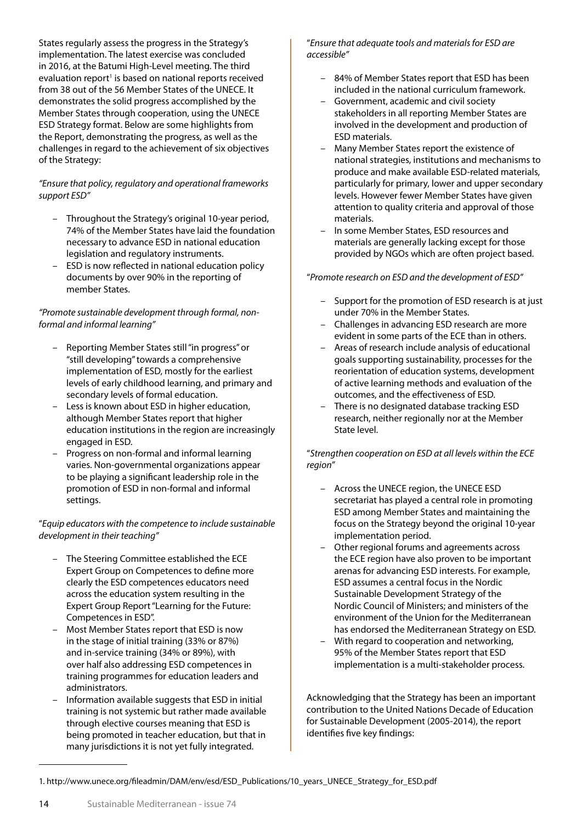States regularly assess the progress in the Strategy's implementation. The latest exercise was concluded in 2016, at the Batumi High-Level meeting. The third evaluation report<sup>1</sup> is based on national reports received from 38 out of the 56 Member States of the UNECE. It demonstrates the solid progress accomplished by the Member States through cooperation, using the UNECE ESD Strategy format. Below are some highlights from the Report, demonstrating the progress, as well as the challenges in regard to the achievement of six objectives of the Strategy:

#### *"Ensure that policy, regulatory and operational frameworks support ESD"*

- Throughout the Strategy's original 10-year period, 74% of the Member States have laid the foundation necessary to advance ESD in national education legislation and regulatory instruments.
- ESD is now reflected in national education policy documents by over 90% in the reporting of member States.

#### *"Promote sustainable development through formal, nonformal and informal learning"*

- Reporting Member States still "in progress" or "still developing" towards a comprehensive implementation of ESD, mostly for the earliest levels of early childhood learning, and primary and secondary levels of formal education.
- Less is known about ESD in higher education, although Member States report that higher education institutions in the region are increasingly engaged in ESD.
- Progress on non-formal and informal learning varies. Non-governmental organizations appear to be playing a significant leadership role in the promotion of ESD in non-formal and informal settings.

#### "*Equip educators with the competence to include sustainable development in their teaching"*

- The Steering Committee established the ECE Expert Group on Competences to define more clearly the ESD competences educators need across the education system resulting in the Expert Group Report "Learning for the Future: Competences in ESD".
- Most Member States report that ESD is now in the stage of initial training (33% or 87%) and in-service training (34% or 89%), with over half also addressing ESD competences in training programmes for education leaders and administrators.
- Information available suggests that ESD in initial training is not systemic but rather made available through elective courses meaning that ESD is being promoted in teacher education, but that in many jurisdictions it is not yet fully integrated.

"*Ensure that adequate tools and materials for ESD are accessible"*

- 84% of Member States report that ESD has been included in the national curriculum framework.
- Government, academic and civil society stakeholders in all reporting Member States are involved in the development and production of ESD materials.
- Many Member States report the existence of national strategies, institutions and mechanisms to produce and make available ESD-related materials, particularly for primary, lower and upper secondary levels. However fewer Member States have given attention to quality criteria and approval of those materials.
- In some Member States, ESD resources and materials are generally lacking except for those provided by NGOs which are often project based.

"*Promote research on ESD and the development of ESD"*

- Support for the promotion of ESD research is at just under 70% in the Member States.
- Challenges in advancing ESD research are more evident in some parts of the ECE than in others.
- Areas of research include analysis of educational goals supporting sustainability, processes for the reorientation of education systems, development of active learning methods and evaluation of the outcomes, and the effectiveness of ESD.
- There is no designated database tracking ESD research, neither regionally nor at the Member State level.

"*Strengthen cooperation on ESD at all levels within the ECE region"*

- Across the UNECE region, the UNECE ESD secretariat has played a central role in promoting ESD among Member States and maintaining the focus on the Strategy beyond the original 10-year implementation period.
- Other regional forums and agreements across the ECE region have also proven to be important arenas for advancing ESD interests. For example, ESD assumes a central focus in the Nordic Sustainable Development Strategy of the Nordic Council of Ministers; and ministers of the environment of the Union for the Mediterranean has endorsed the Mediterranean Strategy on ESD.
- With regard to cooperation and networking, 95% of the Member States report that ESD implementation is a multi-stakeholder process.

Acknowledging that the Strategy has been an important contribution to the United Nations Decade of Education for Sustainable Development (2005-2014), the report identifies five key findings:

<sup>1.</sup> http://www.unece.org/fileadmin/DAM/env/esd/ESD\_Publications/10\_years\_UNECE\_Strategy\_for\_ESD.pdf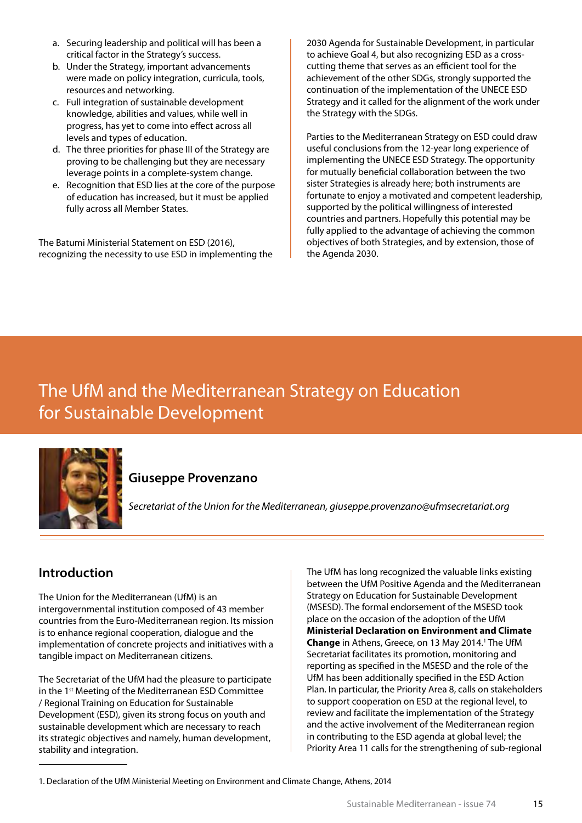- a. Securing leadership and political will has been a critical factor in the Strategy's success.
- b. Under the Strategy, important advancements were made on policy integration, curricula, tools, resources and networking.
- c. Full integration of sustainable development knowledge, abilities and values, while well in progress, has yet to come into effect across all levels and types of education.
- d. The three priorities for phase III of the Strategy are proving to be challenging but they are necessary leverage points in a complete-system change.
- e. Recognition that ESD lies at the core of the purpose of education has increased, but it must be applied fully across all Member States.

The Batumi Ministerial Statement on ESD (2016), recognizing the necessity to use ESD in implementing the 2030 Agenda for Sustainable Development, in particular to achieve Goal 4, but also recognizing ESD as a crosscutting theme that serves as an efficient tool for the achievement of the other SDGs, strongly supported the continuation of the implementation of the UNECE ESD Strategy and it called for the alignment of the work under the Strategy with the SDGs.

Parties to the Mediterranean Strategy on ESD could draw useful conclusions from the 12-year long experience of implementing the UNECE ESD Strategy. The opportunity for mutually beneficial collaboration between the two sister Strategies is already here; both instruments are fortunate to enjoy a motivated and competent leadership, supported by the political willingness of interested countries and partners. Hopefully this potential may be fully applied to the advantage of achieving the common objectives of both Strategies, and by extension, those of the Agenda 2030.

# The UfM and the Mediterranean Strategy on Education for Sustainable Development



## **Giuseppe Provenzano**

*Secretariat of the Union for the Mediterranean, giuseppe.provenzano@ufmsecretariat.org*

#### **Introduction**

The Union for the Mediterranean (UfM) is an intergovernmental institution composed of 43 member countries from the Euro-Mediterranean region. Its mission is to enhance regional cooperation, dialogue and the implementation of concrete projects and initiatives with a tangible impact on Mediterranean citizens.

The Secretariat of the UfM had the pleasure to participate in the 1<sup>st</sup> Meeting of the Mediterranean ESD Committee / Regional Training on Education for Sustainable Development (ESD), given its strong focus on youth and sustainable development which are necessary to reach its strategic objectives and namely, human development, stability and integration.

The UfM has long recognized the valuable links existing between the UfM Positive Agenda and the Mediterranean Strategy on Education for Sustainable Development (MSESD). The formal endorsement of the MSESD took place on the occasion of the adoption of the UfM **Ministerial Declaration on Environment and Climate**  Change in Athens, Greece, on 13 May 2014.<sup>1</sup> The UfM Secretariat facilitates its promotion, monitoring and reporting as specified in the MSESD and the role of the UfM has been additionally specified in the ESD Action Plan. In particular, the Priority Area 8, calls on stakeholders to support cooperation on ESD at the regional level, to review and facilitate the implementation of the Strategy and the active involvement of the Mediterranean region in contributing to the ESD agenda at global level; the Priority Area 11 calls for the strengthening of sub-regional

<sup>1.</sup> Declaration of the UfM Ministerial Meeting on Environment and Climate Change, Athens, 2014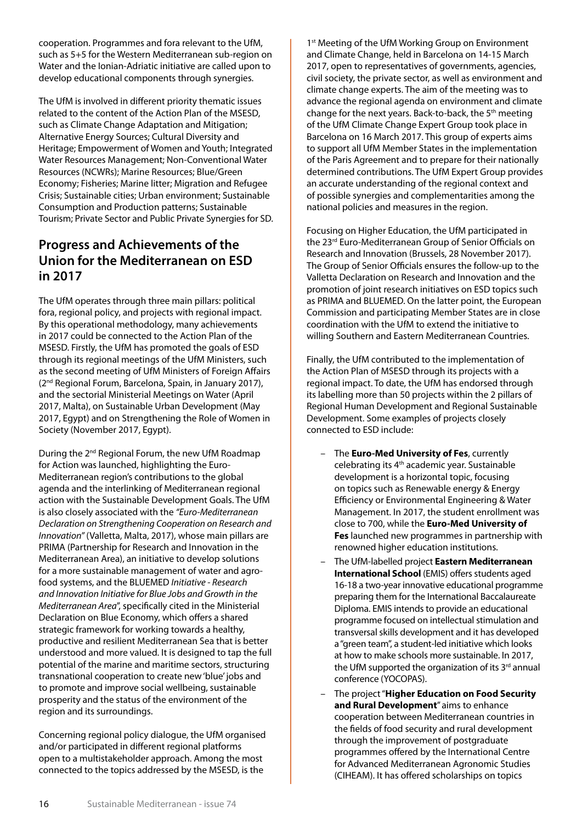cooperation. Programmes and fora relevant to the UfM, such as 5+5 for the Western Mediterranean sub-region on Water and the Ionian-Adriatic initiative are called upon to develop educational components through synergies.

The UfM is involved in different priority thematic issues related to the content of the Action Plan of the MSESD, such as Climate Change Adaptation and Mitigation; Alternative Energy Sources; Cultural Diversity and Heritage; Empowerment of Women and Youth; Integrated Water Resources Management; Non-Conventional Water Resources (NCWRs); Marine Resources; Blue/Green Economy; Fisheries; Marine litter; Migration and Refugee Crisis; Sustainable cities; Urban environment; Sustainable Consumption and Production patterns; Sustainable Tourism; Private Sector and Public Private Synergies for SD.

#### **Progress and Achievements of the Union for the Mediterranean on ESD in 2017**

The UfM operates through three main pillars: political fora, regional policy, and projects with regional impact. By this operational methodology, many achievements in 2017 could be connected to the Action Plan of the MSESD. Firstly, the UfM has promoted the goals of ESD through its regional meetings of the UfM Ministers, such as the second meeting of UfM Ministers of Foreign Affairs (2nd Regional Forum, Barcelona, Spain, in January 2017), and the sectorial Ministerial Meetings on Water (April 2017, Malta), on Sustainable Urban Development (May 2017, Egypt) and on Strengthening the Role of Women in Society (November 2017, Egypt).

During the 2nd Regional Forum, the new UfM Roadmap for Action was launched, highlighting the Euro-Mediterranean region's contributions to the global agenda and the interlinking of Mediterranean regional action with the Sustainable Development Goals. The UfM is also closely associated with the *"Euro-Mediterranean Declaration on Strengthening Cooperation on Research and Innovation"* (Valletta, Malta, 2017), whose main pillars are PRIMA (Partnership for Research and Innovation in the Mediterranean Area), an initiative to develop solutions for a more sustainable management of water and agrofood systems, and the BLUEMED *Initiative - Research and Innovation Initiative for Blue Jobs and Growth in the Mediterranean Area*", specifically cited in the Ministerial Declaration on Blue Economy, which offers a shared strategic framework for working towards a healthy, productive and resilient Mediterranean Sea that is better understood and more valued. It is designed to tap the full potential of the marine and maritime sectors, structuring transnational cooperation to create new 'blue' jobs and to promote and improve social wellbeing, sustainable prosperity and the status of the environment of the region and its surroundings.

Concerning regional policy dialogue, the UfM organised and/or participated in different regional platforms open to a multistakeholder approach. Among the most connected to the topics addressed by the MSESD, is the

1<sup>st</sup> Meeting of the UfM Working Group on Environment and Climate Change, held in Barcelona on 14-15 March 2017, open to representatives of governments, agencies, civil society, the private sector, as well as environment and climate change experts. The aim of the meeting was to advance the regional agenda on environment and climate change for the next years. Back-to-back, the 5th meeting of the UfM Climate Change Expert Group took place in Barcelona on 16 March 2017. This group of experts aims to support all UfM Member States in the implementation of the Paris Agreement and to prepare for their nationally determined contributions. The UfM Expert Group provides an accurate understanding of the regional context and of possible synergies and complementarities among the national policies and measures in the region.

Focusing on Higher Education, the UfM participated in the 23<sup>rd</sup> Euro-Mediterranean Group of Senior Officials on Research and Innovation (Brussels, 28 November 2017). The Group of Senior Officials ensures the follow-up to the Valletta Declaration on Research and Innovation and the promotion of joint research initiatives on ESD topics such as PRIMA and BLUEMED. On the latter point, the European Commission and participating Member States are in close coordination with the UfM to extend the initiative to willing Southern and Eastern Mediterranean Countries.

Finally, the UfM contributed to the implementation of the Action Plan of MSESD through its projects with a regional impact. To date, the UfM has endorsed through its labelling more than 50 projects within the 2 pillars of Regional Human Development and Regional Sustainable Development. Some examples of projects closely connected to ESD include:

- The **Euro-Med University of Fes**, currently celebrating its 4th academic year. Sustainable development is a horizontal topic, focusing on topics such as Renewable energy & Energy Efficiency or Environmental Engineering & Water Management. In 2017, the student enrollment was close to 700, while the **Euro-Med University of Fes** launched new programmes in partnership with renowned higher education institutions.
- The UfM-labelled project **Eastern Mediterranean International School** (EMIS) offers students aged 16-18 a two-year innovative educational programme preparing them for the International Baccalaureate Diploma. EMIS intends to provide an educational programme focused on intellectual stimulation and transversal skills development and it has developed a "green team", a student-led initiative which looks at how to make schools more sustainable. In 2017, the UfM supported the organization of its 3<sup>rd</sup> annual conference (YOCOPAS).
- The project "**Higher Education on Food Security and Rural Development**" aims to enhance cooperation between Mediterranean countries in the fields of food security and rural development through the improvement of postgraduate programmes offered by the International Centre for Advanced Mediterranean Agronomic Studies (CIHEAM). It has offered scholarships on topics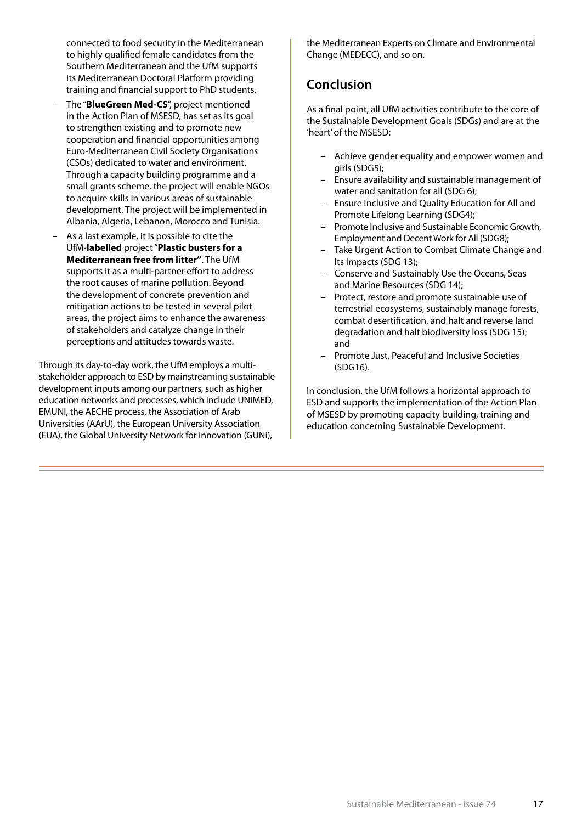connected to food security in the Mediterranean to highly qualified female candidates from the Southern Mediterranean and the UfM supports its Mediterranean Doctoral Platform providing training and financial support to PhD students.

- The "**BlueGreen Med-CS**", project mentioned in the Action Plan of MSESD, has set as its goal to strengthen existing and to promote new cooperation and financial opportunities among Euro-Mediterranean Civil Society Organisations (CSOs) dedicated to water and environment. Through a capacity building programme and a small grants scheme, the project will enable NGOs to acquire skills in various areas of sustainable development. The project will be implemented in Albania, Algeria, Lebanon, Morocco and Tunisia.
- As a last example, it is possible to cite the UfM-**labelled** project "**Plastic busters for a Mediterranean free from litter"**. The UfM supports it as a multi-partner effort to address the root causes of marine pollution. Beyond the development of concrete prevention and mitigation actions to be tested in several pilot areas, the project aims to enhance the awareness of stakeholders and catalyze change in their perceptions and attitudes towards waste.

Through its day-to-day work, the UfM employs a multistakeholder approach to ESD by mainstreaming sustainable development inputs among our partners, such as higher education networks and processes, which include UNIMED, EMUNI, the AECHE process, the Association of Arab Universities (AArU), the European University Association (EUA), the Global University Network for Innovation (GUNi),

the Mediterranean Experts on Climate and Environmental Change (MEDECC), and so on.

#### **Conclusion**

As a final point, all UfM activities contribute to the core of the Sustainable Development Goals (SDGs) and are at the 'heart' of the MSESD:

- Achieve gender equality and empower women and girls (SDG5);
- Ensure availability and sustainable management of water and sanitation for all (SDG 6);
- Ensure Inclusive and Quality Education for All and Promote Lifelong Learning (SDG4);
- Promote Inclusive and Sustainable Economic Growth, Employment and Decent Work for All (SDG8);
- Take Urgent Action to Combat Climate Change and Its Impacts (SDG 13);
- Conserve and Sustainably Use the Oceans, Seas and Marine Resources (SDG 14);
- Protect, restore and promote sustainable use of terrestrial ecosystems, sustainably manage forests, combat desertification, and halt and reverse land degradation and halt biodiversity loss (SDG 15); and
- Promote Just, Peaceful and Inclusive Societies (SDG16).

In conclusion, the UfM follows a horizontal approach to ESD and supports the implementation of the Action Plan of MSESD by promoting capacity building, training and education concerning Sustainable Development.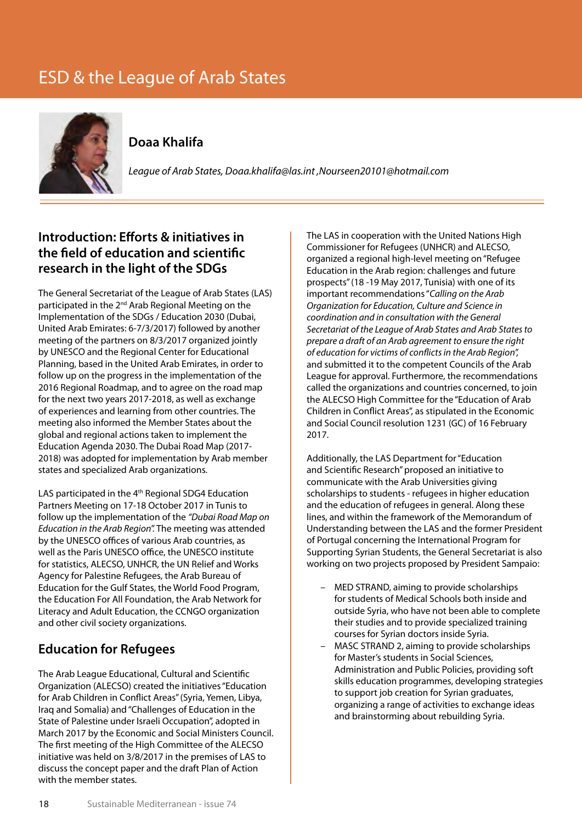# ESD & the League of Arab States



#### **Doaa Khalifa**

*League of Arab States, Doaa.khalifa@las.int ,Nourseen20101@hotmail.com* 

#### **Introduction: Efforts & initiatives in the field of education and scientific research in the light of the SDGs**

The General Secretariat of the League of Arab States (LAS) participated in the 2nd Arab Regional Meeting on the Implementation of the SDGs / Education 2030 (Dubai, United Arab Emirates: 6-7/3/2017) followed by another meeting of the partners on 8/3/2017 organized jointly by UNESCO and the Regional Center for Educational Planning, based in the United Arab Emirates, in order to follow up on the progress in the implementation of the 2016 Regional Roadmap, and to agree on the road map for the next two years 2017-2018, as well as exchange of experiences and learning from other countries. The meeting also informed the Member States about the global and regional actions taken to implement the Education Agenda 2030. The Dubai Road Map (2017- 2018) was adopted for implementation by Arab member states and specialized Arab organizations.

LAS participated in the 4<sup>th</sup> Regional SDG4 Education Partners Meeting on 17-18 October 2017 in Tunis to follow up the implementation of the *"Dubai Road Map on Education in the Arab Region".* The meeting was attended by the UNESCO offices of various Arab countries, as well as the Paris UNESCO office, the UNESCO institute for statistics, ALECSO, UNHCR, the UN Relief and Works Agency for Palestine Refugees, the Arab Bureau of Education for the Gulf States, the World Food Program, the Education For All Foundation, the Arab Network for Literacy and Adult Education, the CCNGO organization and other civil society organizations.

### **Education for Refugees**

The Arab League Educational, Cultural and Scientific Organization (ALECSO) created the initiatives "Education for Arab Children in Conflict Areas" (Syria, Yemen, Libya, Iraq and Somalia) and "Challenges of Education in the State of Palestine under Israeli Occupation", adopted in March 2017 by the Economic and Social Ministers Council. The first meeting of the High Committee of the ALECSO initiative was held on 3/8/2017 in the premises of LAS to discuss the concept paper and the draft Plan of Action with the member states.

The LAS in cooperation with the United Nations High Commissioner for Refugees (UNHCR) and ALECSO, organized a regional high-level meeting on "Refugee Education in the Arab region: challenges and future prospects" (18 -19 May 2017, Tunisia) with one of its important recommendations "*Calling on the Arab Organization for Education, Culture and Science in coordination and in consultation with the General Secretariat of the League of Arab States and Arab States to prepare a draft of an Arab agreement to ensure the right of education for victims of conflicts in the Arab Region",* and submitted it to the competent Councils of the Arab League for approval. Furthermore, the recommendations called the organizations and countries concerned, to join the ALECSO High Committee for the "Education of Arab Children in Conflict Areas", as stipulated in the Economic and Social Council resolution 1231 (GC) of 16 February 2017.

Additionally, the LAS Department for "Education and Scientific Research" proposed an initiative to communicate with the Arab Universities giving scholarships to students - refugees in higher education and the education of refugees in general. Along these lines, and within the framework of the Memorandum of Understanding between the LAS and the former President of Portugal concerning the International Program for Supporting Syrian Students, the General Secretariat is also working on two projects proposed by President Sampaio:

- MED STRAND, aiming to provide scholarships for students of Medical Schools both inside and outside Syria, who have not been able to complete their studies and to provide specialized training courses for Syrian doctors inside Syria.
- MASC STRAND 2, aiming to provide scholarships for Master's students in Social Sciences, Administration and Public Policies, providing soft skills education programmes, developing strategies to support job creation for Syrian graduates, organizing a range of activities to exchange ideas and brainstorming about rebuilding Syria.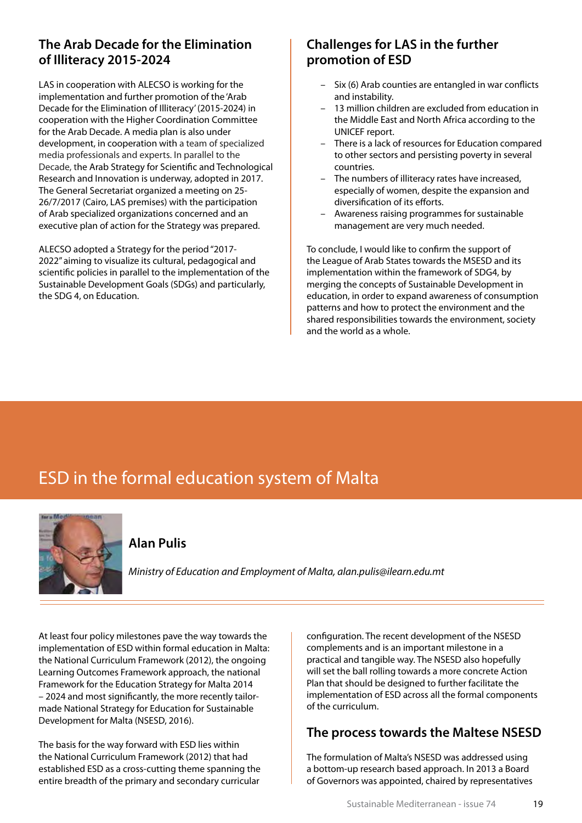#### **The Arab Decade for the Elimination of Illiteracy 2015-2024**

LAS in cooperation with ALECSO is working for the implementation and further promotion of the 'Arab Decade for the Elimination of Illiteracy' (2015-2024) in cooperation with the Higher Coordination Committee for the Arab Decade. A media plan is also under development, in cooperation with a team of specialized media professionals and experts. In parallel to the Decade, the Arab Strategy for Scientific and Technological Research and Innovation is underway, adopted in 2017. The General Secretariat organized a meeting on 25- 26/7/2017 (Cairo, LAS premises) with the participation of Arab specialized organizations concerned and an executive plan of action for the Strategy was prepared.

ALECSO adopted a Strategy for the period "2017- 2022" aiming to visualize its cultural, pedagogical and scientific policies in parallel to the implementation of the Sustainable Development Goals (SDGs) and particularly, the SDG 4, on Education.

#### **Challenges for LAS in the further promotion of ESD**

- Six (6) Arab counties are entangled in war conflicts and instability.
- 13 million children are excluded from education in the Middle East and North Africa according to the UNICEF report.
- There is a lack of resources for Education compared to other sectors and persisting poverty in several countries.
- The numbers of illiteracy rates have increased, especially of women, despite the expansion and diversification of its efforts.
- Awareness raising programmes for sustainable management are very much needed.

To conclude, I would like to confirm the support of the League of Arab States towards the MSESD and its implementation within the framework of SDG4, by merging the concepts of Sustainable Development in education, in order to expand awareness of consumption patterns and how to protect the environment and the shared responsibilities towards the environment, society and the world as a whole.

# ESD in the formal education system of Malta



#### **Alan Pulis**

*Ministry of Education and Employment of Malta, alan.pulis@ilearn.edu.mt* 

At least four policy milestones pave the way towards the implementation of ESD within formal education in Malta: the National Curriculum Framework (2012), the ongoing Learning Outcomes Framework approach, the national Framework for the Education Strategy for Malta 2014 – 2024 and most significantly, the more recently tailormade National Strategy for Education for Sustainable Development for Malta (NSESD, 2016).

The basis for the way forward with ESD lies within the National Curriculum Framework (2012) that had established ESD as a cross-cutting theme spanning the entire breadth of the primary and secondary curricular

configuration. The recent development of the NSESD complements and is an important milestone in a practical and tangible way. The NSESD also hopefully will set the ball rolling towards a more concrete Action Plan that should be designed to further facilitate the implementation of ESD across all the formal components of the curriculum.

#### **The process towards the Maltese NSESD**

The formulation of Malta's NSESD was addressed using a bottom-up research based approach. In 2013 a Board of Governors was appointed, chaired by representatives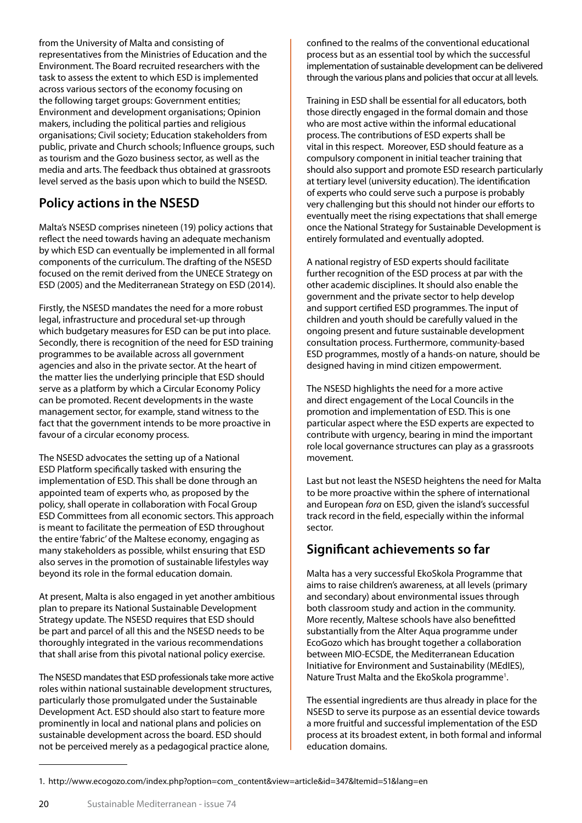from the University of Malta and consisting of representatives from the Ministries of Education and the Environment. The Board recruited researchers with the task to assess the extent to which ESD is implemented across various sectors of the economy focusing on the following target groups: Government entities; Environment and development organisations; Opinion makers, including the political parties and religious organisations; Civil society; Education stakeholders from public, private and Church schools; Influence groups, such as tourism and the Gozo business sector, as well as the media and arts. The feedback thus obtained at grassroots level served as the basis upon which to build the NSESD.

### **Policy actions in the NSESD**

Malta's NSESD comprises nineteen (19) policy actions that reflect the need towards having an adequate mechanism by which ESD can eventually be implemented in all formal components of the curriculum. The drafting of the NSESD focused on the remit derived from the UNECE Strategy on ESD (2005) and the Mediterranean Strategy on ESD (2014).

Firstly, the NSESD mandates the need for a more robust legal, infrastructure and procedural set-up through which budgetary measures for ESD can be put into place. Secondly, there is recognition of the need for ESD training programmes to be available across all government agencies and also in the private sector. At the heart of the matter lies the underlying principle that ESD should serve as a platform by which a Circular Economy Policy can be promoted. Recent developments in the waste management sector, for example, stand witness to the fact that the government intends to be more proactive in favour of a circular economy process.

The NSESD advocates the setting up of a National ESD Platform specifically tasked with ensuring the implementation of ESD. This shall be done through an appointed team of experts who, as proposed by the policy, shall operate in collaboration with Focal Group ESD Committees from all economic sectors. This approach is meant to facilitate the permeation of ESD throughout the entire 'fabric' of the Maltese economy, engaging as many stakeholders as possible, whilst ensuring that ESD also serves in the promotion of sustainable lifestyles way beyond its role in the formal education domain.

At present, Malta is also engaged in yet another ambitious plan to prepare its National Sustainable Development Strategy update. The NSESD requires that ESD should be part and parcel of all this and the NSESD needs to be thoroughly integrated in the various recommendations that shall arise from this pivotal national policy exercise.

The NSESD mandates that ESD professionals take more active roles within national sustainable development structures, particularly those promulgated under the Sustainable Development Act. ESD should also start to feature more prominently in local and national plans and policies on sustainable development across the board. ESD should not be perceived merely as a pedagogical practice alone,

confined to the realms of the conventional educational process but as an essential tool by which the successful implementation of sustainable development can be delivered through the various plans and policies that occur at all levels.

Training in ESD shall be essential for all educators, both those directly engaged in the formal domain and those who are most active within the informal educational process. The contributions of ESD experts shall be vital in this respect. Moreover, ESD should feature as a compulsory component in initial teacher training that should also support and promote ESD research particularly at tertiary level (university education). The identification of experts who could serve such a purpose is probably very challenging but this should not hinder our efforts to eventually meet the rising expectations that shall emerge once the National Strategy for Sustainable Development is entirely formulated and eventually adopted.

A national registry of ESD experts should facilitate further recognition of the ESD process at par with the other academic disciplines. It should also enable the government and the private sector to help develop and support certified ESD programmes. The input of children and youth should be carefully valued in the ongoing present and future sustainable development consultation process. Furthermore, community-based ESD programmes, mostly of a hands-on nature, should be designed having in mind citizen empowerment.

The NSESD highlights the need for a more active and direct engagement of the Local Councils in the promotion and implementation of ESD. This is one particular aspect where the ESD experts are expected to contribute with urgency, bearing in mind the important role local governance structures can play as a grassroots movement.

Last but not least the NSESD heightens the need for Malta to be more proactive within the sphere of international and European *fora* on ESD, given the island's successful track record in the field, especially within the informal sector.

### **Significant achievements so far**

Malta has a very successful EkoSkola Programme that aims to raise children's awareness, at all levels (primary and secondary) about environmental issues through both classroom study and action in the community. More recently, Maltese schools have also benefitted substantially from the Alter Aqua programme under EcoGozo which has brought together a collaboration between MIO-ECSDE, the Mediterranean Education Initiative for Environment and Sustainability (MEdIES), Nature Trust Malta and the EkoSkola programme<sup>1</sup>.

The essential ingredients are thus already in place for the NSESD to serve its purpose as an essential device towards a more fruitful and successful implementation of the ESD process at its broadest extent, in both formal and informal education domains.

<sup>1.</sup> http://www.ecogozo.com/index.php?option=com\_content&view=article&id=347&Itemid=51&lang=en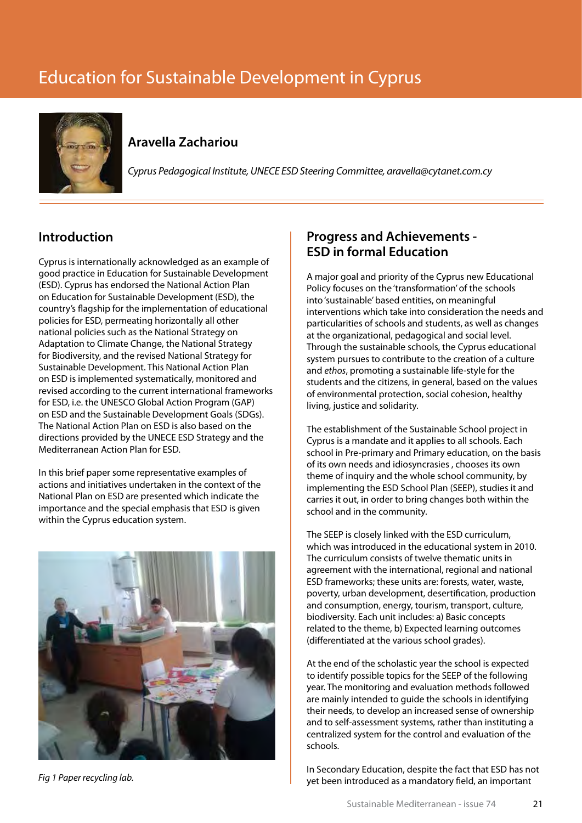# Education for Sustainable Development in Cyprus



#### **Aravella Zachariou**

*Cyprus Pedagogical Institute, UNECE ESD Steering Committee, aravella@cytanet.com.cy* 

#### **Introduction**

Cyprus is internationally acknowledged as an example of good practice in Education for Sustainable Development (ESD). Cyprus has endorsed the National Action Plan on Education for Sustainable Development (ESD), the country's flagship for the implementation of educational policies for ESD, permeating horizontally all other national policies such as the National Strategy on Adaptation to Climate Change, the National Strategy for Biodiversity, and the revised National Strategy for Sustainable Development. This National Action Plan on ESD is implemented systematically, monitored and revised according to the current international frameworks for ESD, i.e. the UNESCO Global Action Program (GAP) on ESD and the Sustainable Development Goals (SDGs). The National Action Plan on ESD is also based on the directions provided by the UNECE ESD Strategy and the Mediterranean Action Plan for ESD.

In this brief paper some representative examples of actions and initiatives undertaken in the context of the National Plan on ESD are presented which indicate the importance and the special emphasis that ESD is given within the Cyprus education system.



*Fig 1 Paper recycling lab.*

#### **Progress and Achievements - ESD in formal Education**

A major goal and priority of the Cyprus new Educational Policy focuses on the 'transformation' of the schools into 'sustainable' based entities, on meaningful interventions which take into consideration the needs and particularities of schools and students, as well as changes at the organizational, pedagogical and social level. Through the sustainable schools, the Cyprus educational system pursues to contribute to the creation of a culture and *ethos*, promoting a sustainable life-style for the students and the citizens, in general, based on the values of environmental protection, social cohesion, healthy living, justice and solidarity.

The establishment of the Sustainable School project in Cyprus is a mandate and it applies to all schools. Each school in Pre-primary and Primary education, on the basis of its own needs and idiosyncrasies , chooses its own theme of inquiry and the whole school community, by implementing the ESD School Plan (SEEP), studies it and carries it out, in order to bring changes both within the school and in the community.

The SEEP is closely linked with the ESD curriculum, which was introduced in the educational system in 2010. The curriculum consists of twelve thematic units in agreement with the international, regional and national ESD frameworks; these units are: forests, water, waste, poverty, urban development, desertification, production and consumption, energy, tourism, transport, culture, biodiversity. Each unit includes: a) Basic concepts related to the theme, b) Expected learning outcomes (differentiated at the various school grades).

At the end of the scholastic year the school is expected to identify possible topics for the SEEP of the following year. The monitoring and evaluation methods followed are mainly intended to guide the schools in identifying their needs, to develop an increased sense of ownership and to self-assessment systems, rather than instituting a centralized system for the control and evaluation of the schools.

In Secondary Education, despite the fact that ESD has not yet been introduced as a mandatory field, an important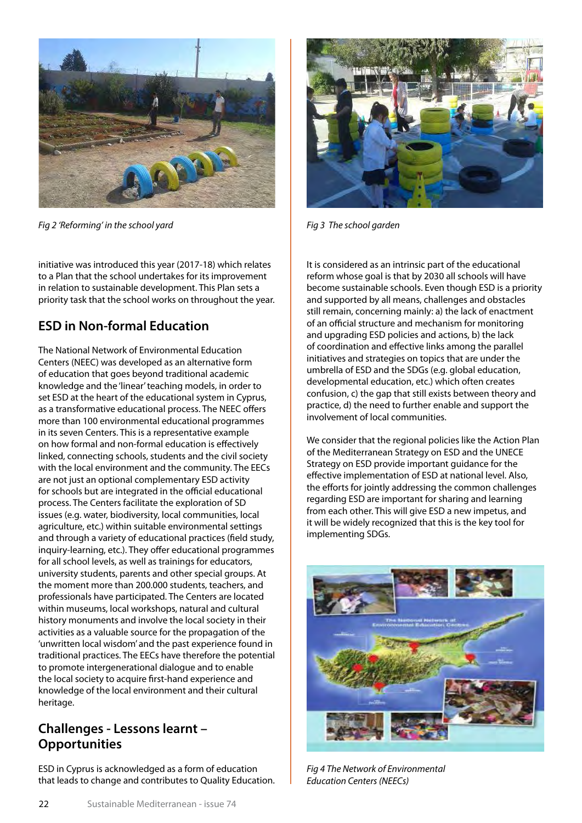

*Fig 2 'Reforming' in the school yard Fig 3 The school garden*

initiative was introduced this year (2017-18) which relates to a Plan that the school undertakes for its improvement in relation to sustainable development. This Plan sets a priority task that the school works on throughout the year.

### **ESD in Non-formal Education**

The National Network of Environmental Education Centers (NEEC) was developed as an alternative form of education that goes beyond traditional academic knowledge and the 'linear' teaching models, in order to set ESD at the heart of the educational system in Cyprus, as a transformative educational process. The NEEC offers more than 100 environmental educational programmes in its seven Centers. This is a representative example on how formal and non-formal education is effectively linked, connecting schools, students and the civil society with the local environment and the community. The EECs are not just an optional complementary ESD activity for schools but are integrated in the official educational process. The Centers facilitate the exploration of SD issues (e.g. water, biodiversity, local communities, local agriculture, etc.) within suitable environmental settings and through a variety of educational practices (field study, inquiry-learning, etc.). They offer educational programmes for all school levels, as well as trainings for educators, university students, parents and other special groups. At the moment more than 200.000 students, teachers, and professionals have participated. The Centers are located within museums, local workshops, natural and cultural history monuments and involve the local society in their activities as a valuable source for the propagation of the 'unwritten local wisdom' and the past experience found in traditional practices. The EECs have therefore the potential to promote intergenerational dialogue and to enable the local society to acquire first-hand experience and knowledge of the local environment and their cultural heritage.

### **Challenges - Lessons learnt – Opportunities**

ESD in Cyprus is acknowledged as a form of education that leads to change and contributes to Quality Education.



It is considered as an intrinsic part of the educational reform whose goal is that by 2030 all schools will have become sustainable schools. Even though ESD is a priority and supported by all means, challenges and obstacles still remain, concerning mainly: a) the lack of enactment of an official structure and mechanism for monitoring and upgrading ESD policies and actions, b) the lack of coordination and effective links among the parallel initiatives and strategies on topics that are under the umbrella of ESD and the SDGs (e.g. global education, developmental education, etc.) which often creates confusion, c) the gap that still exists between theory and practice, d) the need to further enable and support the involvement of local communities.

We consider that the regional policies like the Action Plan of the Mediterranean Strategy on ESD and the UNECE Strategy on ESD provide important guidance for the effective implementation of ESD at national level. Also, the efforts for jointly addressing the common challenges regarding ESD are important for sharing and learning from each other. This will give ESD a new impetus, and it will be widely recognized that this is the key tool for implementing SDGs.



*Fig 4 The Network of Environmental Education Centers (NEECs)*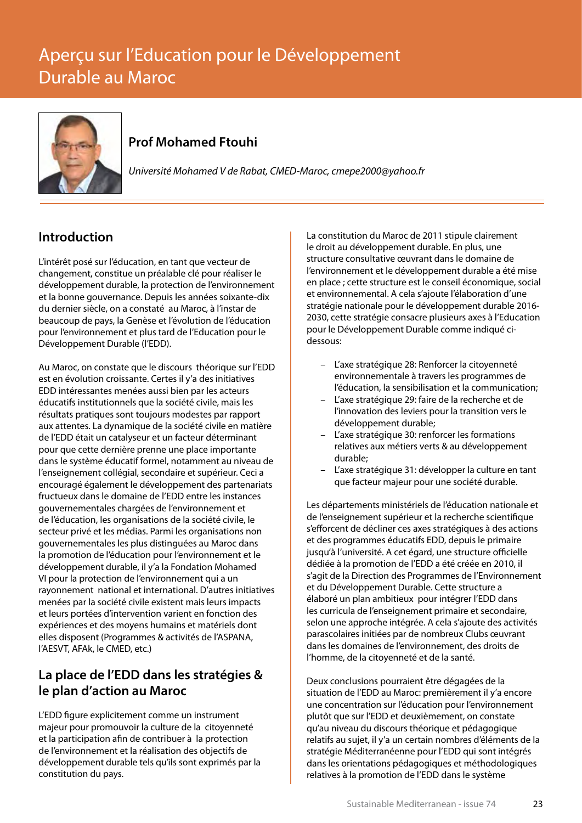# Aperçu sur l'Education pour le Développement Durable au Maroc



### **Prof Mohamed Ftouhi**

*Université Mohamed V de Rabat, CMED-Maroc, cmepe2000@yahoo.fr* 

### **Introduction**

L'intérêt posé sur l'éducation, en tant que vecteur de changement, constitue un préalable clé pour réaliser le développement durable, la protection de l'environnement et la bonne gouvernance. Depuis les années soixante-dix du dernier siècle, on a constaté au Maroc, à l'instar de beaucoup de pays, la Genèse et l'évolution de l'éducation pour l'environnement et plus tard de l'Education pour le Développement Durable (l'EDD).

Au Maroc, on constate que le discours théorique sur l'EDD est en évolution croissante. Certes il y'a des initiatives EDD intéressantes menées aussi bien par les acteurs éducatifs institutionnels que la société civile, mais les résultats pratiques sont toujours modestes par rapport aux attentes. La dynamique de la société civile en matière de l'EDD était un catalyseur et un facteur déterminant pour que cette dernière prenne une place importante dans le système éducatif formel, notamment au niveau de l'enseignement collégial, secondaire et supérieur. Ceci a encouragé également le développement des partenariats fructueux dans le domaine de l'EDD entre les instances gouvernementales chargées de l'environnement et de l'éducation, les organisations de la société civile, le secteur privé et les médias. Parmi les organisations non gouvernementales les plus distinguées au Maroc dans la promotion de l'éducation pour l'environnement et le développement durable, il y'a la Fondation Mohamed VI pour la protection de l'environnement qui a un rayonnement national et international. D'autres initiatives menées par la société civile existent mais leurs impacts et leurs portées d'intervention varient en fonction des expériences et des moyens humains et matériels dont elles disposent (Programmes & activités de l'ASPANA, l'AESVT, AFAk, le CMED, etc.)

### **La place de l'EDD dans les stratégies & le plan d'action au Maroc**

L'EDD figure explicitement comme un instrument majeur pour promouvoir la culture de la citoyenneté et la participation afin de contribuer à la protection de l'environnement et la réalisation des objectifs de développement durable tels qu'ils sont exprimés par la constitution du pays.

La constitution du Maroc de 2011 stipule clairement le droit au développement durable. En plus, une structure consultative œuvrant dans le domaine de l'environnement et le développement durable a été mise en place ; cette structure est le conseil économique, social et environnemental. A cela s'ajoute l'élaboration d'une stratégie nationale pour le développement durable 2016- 2030, cette stratégie consacre plusieurs axes à l'Education pour le Développement Durable comme indiqué cidessous:

- L'axe stratégique 28: Renforcer la citoyenneté environnementale à travers les programmes de l'éducation, la sensibilisation et la communication;
- L'axe stratégique 29: faire de la recherche et de l'innovation des leviers pour la transition vers le développement durable;
- L'axe stratégique 30: renforcer les formations relatives aux métiers verts & au développement durable;
- L'axe stratégique 31: développer la culture en tant que facteur majeur pour une société durable.

Les départements ministériels de l'éducation nationale et de l'enseignement supérieur et la recherche scientifique s'efforcent de décliner ces axes stratégiques à des actions et des programmes éducatifs EDD, depuis le primaire jusqu'à l'université. A cet égard, une structure officielle dédiée à la promotion de l'EDD a été créée en 2010, il s'agit de la Direction des Programmes de l'Environnement et du Développement Durable. Cette structure a élaboré un plan ambitieux pour intégrer l'EDD dans les curricula de l'enseignement primaire et secondaire, selon une approche intégrée. A cela s'ajoute des activités parascolaires initiées par de nombreux Clubs œuvrant dans les domaines de l'environnement, des droits de l'homme, de la citoyenneté et de la santé.

Deux conclusions pourraient être dégagées de la situation de l'EDD au Maroc: premièrement il y'a encore une concentration sur l'éducation pour l'environnement plutôt que sur l'EDD et deuxièmement, on constate qu'au niveau du discours théorique et pédagogique relatifs au sujet, il y'a un certain nombres d'éléments de la stratégie Méditerranéenne pour l'EDD qui sont intégrés dans les orientations pédagogiques et méthodologiques relatives à la promotion de l'EDD dans le système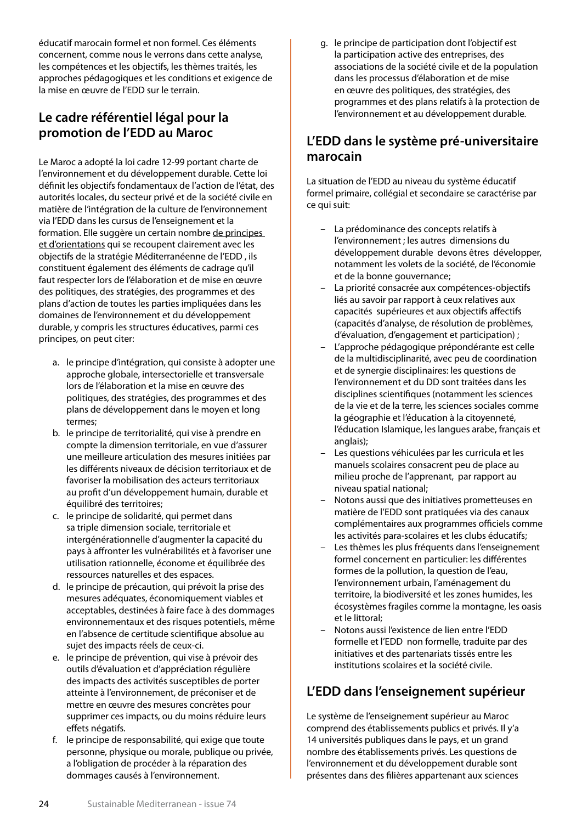éducatif marocain formel et non formel. Ces éléments concernent, comme nous le verrons dans cette analyse, les compétences et les objectifs, les thèmes traités, les approches pédagogiques et les conditions et exigence de la mise en œuvre de l'EDD sur le terrain.

### **Le cadre référentiel légal pour la promotion de l'EDD au Maroc**

Le Maroc a adopté la loi cadre 12-99 portant charte de l'environnement et du développement durable. Cette loi définit les objectifs fondamentaux de l'action de l'état, des autorités locales, du secteur privé et de la société civile en matière de l'intégration de la culture de l'environnement via l'EDD dans les cursus de l'enseignement et la formation. Elle suggère un certain nombre de principes et d'orientations qui se recoupent clairement avec les objectifs de la stratégie Méditerranéenne de l'EDD , ils constituent également des éléments de cadrage qu'il faut respecter lors de l'élaboration et de mise en œuvre des politiques, des stratégies, des programmes et des plans d'action de toutes les parties impliquées dans les domaines de l'environnement et du développement durable, y compris les structures éducatives, parmi ces principes, on peut citer:

- a. le principe d'intégration, qui consiste à adopter une approche globale, intersectorielle et transversale lors de l'élaboration et la mise en œuvre des politiques, des stratégies, des programmes et des plans de développement dans le moyen et long termes;
- b. le principe de territorialité, qui vise à prendre en compte la dimension territoriale, en vue d'assurer une meilleure articulation des mesures initiées par les différents niveaux de décision territoriaux et de favoriser la mobilisation des acteurs territoriaux au profit d'un développement humain, durable et équilibré des territoires;
- c. le principe de solidarité, qui permet dans sa triple dimension sociale, territoriale et intergénérationnelle d'augmenter la capacité du pays à affronter les vulnérabilités et à favoriser une utilisation rationnelle, économe et équilibrée des ressources naturelles et des espaces.
- d. le principe de précaution, qui prévoit la prise des mesures adéquates, économiquement viables et acceptables, destinées à faire face à des dommages environnementaux et des risques potentiels, même en l'absence de certitude scientifique absolue au sujet des impacts réels de ceux-ci.
- e. le principe de prévention, qui vise à prévoir des outils d'évaluation et d'appréciation régulière des impacts des activités susceptibles de porter atteinte à l'environnement, de préconiser et de mettre en œuvre des mesures concrètes pour supprimer ces impacts, ou du moins réduire leurs effets négatifs.
- f. le principe de responsabilité, qui exige que toute personne, physique ou morale, publique ou privée, a l'obligation de procéder à la réparation des dommages causés à l'environnement.

g. le principe de participation dont l'objectif est la participation active des entreprises, des associations de la société civile et de la population dans les processus d'élaboration et de mise en œuvre des politiques, des stratégies, des programmes et des plans relatifs à la protection de l'environnement et au développement durable.

#### **L'EDD dans le système pré-universitaire marocain**

La situation de l'EDD au niveau du système éducatif formel primaire, collégial et secondaire se caractérise par ce qui suit:

- La prédominance des concepts relatifs à l'environnement ; les autres dimensions du développement durable devons êtres développer, notamment les volets de la société, de l'économie et de la bonne gouvernance;
- La priorité consacrée aux compétences-objectifs liés au savoir par rapport à ceux relatives aux capacités supérieures et aux objectifs affectifs (capacités d'analyse, de résolution de problèmes, d'évaluation, d'engagement et participation) ;
- L'approche pédagogique prépondérante est celle de la multidisciplinarité, avec peu de coordination et de synergie disciplinaires: les questions de l'environnement et du DD sont traitées dans les disciplines scientifiques (notamment les sciences de la vie et de la terre, les sciences sociales comme la géographie et l'éducation à la citoyenneté, l'éducation Islamique, les langues arabe, français et anglais);
- Les questions véhiculées par les curricula et les manuels scolaires consacrent peu de place au milieu proche de l'apprenant, par rapport au niveau spatial national;
- Notons aussi que des initiatives prometteuses en matière de l'EDD sont pratiquées via des canaux complémentaires aux programmes officiels comme les activités para-scolaires et les clubs éducatifs;
- Les thèmes les plus fréquents dans l'enseignement formel concernent en particulier: les différentes formes de la pollution, la question de l'eau, l'environnement urbain, l'aménagement du territoire, la biodiversité et les zones humides, les écosystèmes fragiles comme la montagne, les oasis et le littoral;
- Notons aussi l'existence de lien entre l'EDD formelle et l'EDD non formelle, traduite par des initiatives et des partenariats tissés entre les institutions scolaires et la société civile.

### **L'EDD dans l'enseignement supérieur**

Le système de l'enseignement supérieur au Maroc comprend des établissements publics et privés. Il y'a 14 universités publiques dans le pays, et un grand nombre des établissements privés. Les questions de l'environnement et du développement durable sont présentes dans des filières appartenant aux sciences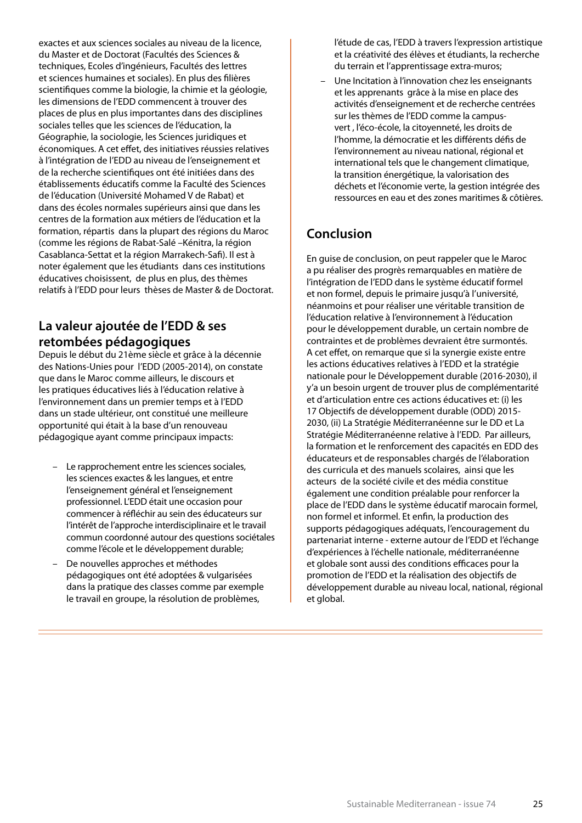exactes et aux sciences sociales au niveau de la licence, du Master et de Doctorat (Facultés des Sciences & techniques, Ecoles d'ingénieurs, Facultés des lettres et sciences humaines et sociales). En plus des filières scientifiques comme la biologie, la chimie et la géologie, les dimensions de l'EDD commencent à trouver des places de plus en plus importantes dans des disciplines sociales telles que les sciences de l'éducation, la Géographie, la sociologie, les Sciences juridiques et économiques. A cet effet, des initiatives réussies relatives à l'intégration de l'EDD au niveau de l'enseignement et de la recherche scientifiques ont été initiées dans des établissements éducatifs comme la Faculté des Sciences de l'éducation (Université Mohamed V de Rabat) et dans des écoles normales supérieurs ainsi que dans les centres de la formation aux métiers de l'éducation et la formation, répartis dans la plupart des régions du Maroc (comme les régions de Rabat-Salé –Kénitra, la région Casablanca-Settat et la région Marrakech-Safi). Il est à noter également que les étudiants dans ces institutions éducatives choisissent, de plus en plus, des thèmes relatifs à l'EDD pour leurs thèses de Master & de Doctorat.

#### **La valeur ajoutée de l'EDD & ses retombées pédagogiques**

Depuis le début du 21ème siècle et grâce à la décennie des Nations-Unies pour l'EDD (2005-2014), on constate que dans le Maroc comme ailleurs, le discours et les pratiques éducatives liés à l'éducation relative à l'environnement dans un premier temps et à l'EDD dans un stade ultérieur, ont constitué une meilleure opportunité qui était à la base d'un renouveau pédagogique ayant comme principaux impacts:

- Le rapprochement entre les sciences sociales, les sciences exactes & les langues, et entre l'enseignement général et l'enseignement professionnel. L'EDD était une occasion pour commencer à réfléchir au sein des éducateurs sur l'intérêt de l'approche interdisciplinaire et le travail commun coordonné autour des questions sociétales comme l'école et le développement durable;
- De nouvelles approches et méthodes pédagogiques ont été adoptées & vulgarisées dans la pratique des classes comme par exemple le travail en groupe, la résolution de problèmes,

l'étude de cas, l'EDD à travers l'expression artistique et la créativité des élèves et étudiants, la recherche du terrain et l'apprentissage extra-muros;

– Une Incitation à l'innovation chez les enseignants et les apprenants grâce à la mise en place des activités d'enseignement et de recherche centrées sur les thèmes de l'EDD comme la campusvert , l'éco-école, la citoyenneté, les droits de l'homme, la démocratie et les différents défis de l'environnement au niveau national, régional et international tels que le changement climatique, la transition énergétique, la valorisation des déchets et l'économie verte, la gestion intégrée des ressources en eau et des zones maritimes & côtières.

### **Conclusion**

En guise de conclusion, on peut rappeler que le Maroc a pu réaliser des progrès remarquables en matière de l'intégration de l'EDD dans le système éducatif formel et non formel, depuis le primaire jusqu'à l'université, néanmoins et pour réaliser une véritable transition de l'éducation relative à l'environnement à l'éducation pour le développement durable, un certain nombre de contraintes et de problèmes devraient être surmontés. A cet effet, on remarque que si la synergie existe entre les actions éducatives relatives à l'EDD et la stratégie nationale pour le Développement durable (2016-2030), il y'a un besoin urgent de trouver plus de complémentarité et d'articulation entre ces actions éducatives et: (i) les 17 Objectifs de développement durable (ODD) 2015- 2030, (ii) La Stratégie Méditerranéenne sur le DD et La Stratégie Méditerranéenne relative à l'EDD. Par ailleurs, la formation et le renforcement des capacités en EDD des éducateurs et de responsables chargés de l'élaboration des curricula et des manuels scolaires, ainsi que les acteurs de la société civile et des média constitue également une condition préalable pour renforcer la place de l'EDD dans le système éducatif marocain formel, non formel et informel. Et enfin, la production des supports pédagogiques adéquats, l'encouragement du partenariat interne - externe autour de l'EDD et l'échange d'expériences à l'échelle nationale, méditerranéenne et globale sont aussi des conditions efficaces pour la promotion de l'EDD et la réalisation des objectifs de développement durable au niveau local, national, régional et global.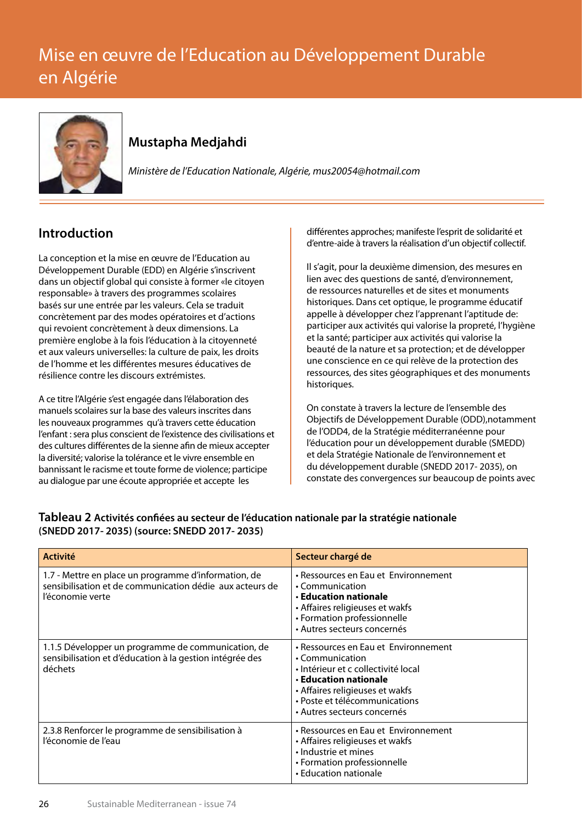# Mise en œuvre de l'Education au Développement Durable en Algérie



### **Mustapha Medjahdi**

*Ministère de l'Education Nationale, Algérie, mus20054@hotmail.com* 

### **Introduction**

La conception et la mise en œuvre de l'Education au Développement Durable (EDD) en Algérie s'inscrivent dans un objectif global qui consiste à former «le citoyen responsable» à travers des programmes scolaires basés sur une entrée par les valeurs. Cela se traduit concrètement par des modes opératoires et d'actions qui revoient concrètement à deux dimensions. La première englobe à la fois l'éducation à la citoyenneté et aux valeurs universelles: la culture de paix, les droits de l'homme et les différentes mesures éducatives de résilience contre les discours extrémistes.

A ce titre l'Algérie s'est engagée dans l'élaboration des manuels scolaires sur la base des valeurs inscrites dans les nouveaux programmes qu'à travers cette éducation l'enfant : sera plus conscient de l'existence des civilisations et des cultures différentes de la sienne afin de mieux accepter la diversité; valorise la tolérance et le vivre ensemble en bannissant le racisme et toute forme de violence; participe au dialogue par une écoute appropriée et accepte les

différentes approches; manifeste l'esprit de solidarité et d'entre-aide à travers la réalisation d'un objectif collectif.

Il s'agit, pour la deuxième dimension, des mesures en lien avec des questions de santé, d'environnement, de ressources naturelles et de sites et monuments historiques. Dans cet optique, le programme éducatif appelle à développer chez l'apprenant l'aptitude de: participer aux activités qui valorise la propreté, l'hygiène et la santé; participer aux activités qui valorise la beauté de la nature et sa protection; et de développer une conscience en ce qui relève de la protection des ressources, des sites géographiques et des monuments historiques.

On constate à travers la lecture de l'ensemble des Objectifs de Développement Durable (ODD),notamment de l'ODD4, de la Stratégie méditerranéenne pour l'éducation pour un développement durable (SMEDD) et dela Stratégie Nationale de l'environnement et du développement durable (SNEDD 2017- 2035), on constate des convergences sur beaucoup de points avec

#### **Tableau 2 Activités confiées au secteur de l'éducation nationale par la stratégie nationale (SNEDD 2017- 2035) (source: SNEDD 2017- 2035)**

| <b>Activité</b>                                                                                                                      | Secteur chargé de                                                                                                                                                                                                                 |
|--------------------------------------------------------------------------------------------------------------------------------------|-----------------------------------------------------------------------------------------------------------------------------------------------------------------------------------------------------------------------------------|
| 1.7 - Mettre en place un programme d'information, de<br>sensibilisation et de communication dédie aux acteurs de<br>l'économie verte | • Ressources en Eau et Environnement<br>• Communication<br><b>• Education nationale</b><br>• Affaires religieuses et wakfs<br>• Formation professionnelle<br>• Autres secteurs concernés                                          |
| 1.1.5 Développer un programme de communication, de<br>sensibilisation et d'éducation à la gestion intégrée des<br>déchets            | • Ressources en Eau et Environnement<br>• Communication<br>· Intérieur et c collectivité local<br><b>• Education nationale</b><br>• Affaires religieuses et wakfs<br>· Poste et télécommunications<br>• Autres secteurs concernés |
| 2.3.8 Renforcer le programme de sensibilisation à<br>l'économie de l'eau                                                             | • Ressources en Eau et Environnement<br>• Affaires religieuses et wakfs<br>· Industrie et mines<br>• Formation professionnelle<br>• Education nationale                                                                           |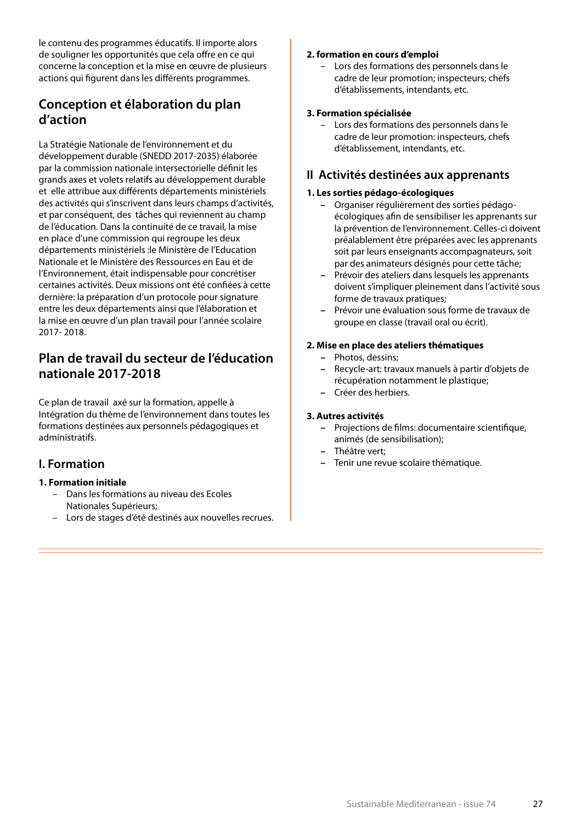le contenu des programmes éducatifs. Il importe alors de souligner les opportunités que cela offre en ce qui concerne la conception et la mise en œuvre de plusieurs actions qui figurent dans les différents programmes.

#### **Conception et élaboration du plan d'action**

La Stratégie Nationale de l'environnement et du développement durable (SNEDD 2017-2035) élaborée par la commission nationale intersectorielle définit les grands axes et volets relatifs au développement durable et elle attribue aux différents départements ministériels des activités qui s'inscrivent dans leurs champs d'activités, et par conséquent, des tâches qui reviennent au champ de l'éducation. Dans la continuité de ce travail, la mise en place d'une commission qui regroupe les deux départements ministériels :le Ministère de l'Education Nationale et le Ministère des Ressources en Eau et de l'Environnement, était indispensable pour concrétiser certaines activités. Deux missions ont été confiées à cette dernière: la préparation d'un protocole pour signature entre les deux départements ainsi que l'élaboration et la mise en œuvre d'un plan travail pour l'année scolaire 2017- 2018.

#### **Plan de travail du secteur de l'éducation nationale 2017-2018**

Ce plan de travail axé sur la formation, appelle à Intégration du thème de l'environnement dans toutes les formations destinées aux personnels pédagogiques et administratifs.

#### **I. Formation**

#### **1. Formation initiale**

- Dans les formations au niveau des Ecoles Nationales Supérieurs;
- Lors de stages d'été destinés aux nouvelles recrues.

#### **2. formation en cours d'emploi**

– Lors des formations des personnels dans le cadre de leur promotion; inspecteurs; chefs d'établissements, intendants, etc.

#### **3. Formation spécialisée**

– Lors des formations des personnels dans le cadre de leur promotion: inspecteurs, chefs d'établissement, intendants, etc.

#### **II Activités destinées aux apprenants**

#### **1. Les sorties pédago-écologiques**

- **–** Organiser régulièrement des sorties pédagoécologiques afin de sensibiliser les apprenants sur la prévention de l'environnement. Celles-ci doivent préalablement être préparées avec les apprenants soit par leurs enseignants accompagnateurs, soit par des animateurs désignés pour cette tâche;
- **–** Prévoir des ateliers dans lesquels les apprenants doivent s'impliquer pleinement dans l'activité sous forme de travaux pratiques;
- **–** Prévoir une évaluation sous forme de travaux de groupe en classe (travail oral ou écrit).

#### **2. Mise en place des ateliers thématiques**

- **–** Photos, dessins;
- **–** Recycle-art: travaux manuels à partir d'objets de récupération notamment le plastique;
- **–** Créer des herbiers.

#### **3. Autres activités**

- **–** Projections de films: documentaire scientifique, animés (de sensibilisation);
- **–** Théâtre vert;
- **–** Tenir une revue scolaire thématique.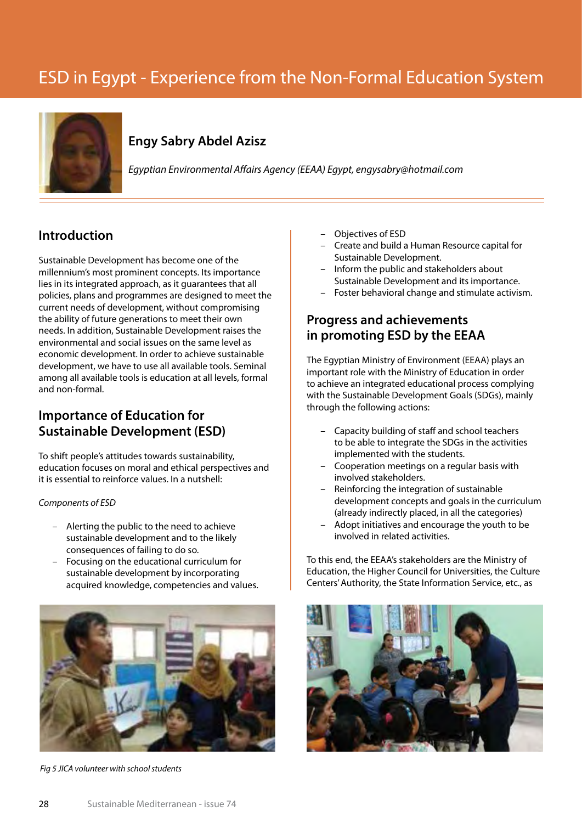# ESD in Egypt - Experience from the Non-Formal Education System



#### **Engy Sabry Abdel Azisz**

*Egyptian Environmental Affairs Agency (EEAA) Egypt, engysabry@hotmail.com* 

#### **Introduction**

Sustainable Development has become one of the millennium's most prominent concepts. Its importance lies in its integrated approach, as it guarantees that all policies, plans and programmes are designed to meet the current needs of development, without compromising the ability of future generations to meet their own needs. In addition, Sustainable Development raises the environmental and social issues on the same level as economic development. In order to achieve sustainable development, we have to use all available tools. Seminal among all available tools is education at all levels, formal and non-formal.

#### **Importance of Education for Sustainable Development (ESD)**

To shift people's attitudes towards sustainability, education focuses on moral and ethical perspectives and it is essential to reinforce values. In a nutshell:

*Components of ESD* 

- Alerting the public to the need to achieve sustainable development and to the likely consequences of failing to do so.
- Focusing on the educational curriculum for sustainable development by incorporating acquired knowledge, competencies and values.



*Fig 5 JICA volunteer with school students* 

- Objectives of ESD
- Create and build a Human Resource capital for Sustainable Development.
- Inform the public and stakeholders about Sustainable Development and its importance.
- Foster behavioral change and stimulate activism.

#### **Progress and achievements in promoting ESD by the EEAA**

The Egyptian Ministry of Environment (EEAA) plays an important role with the Ministry of Education in order to achieve an integrated educational process complying with the Sustainable Development Goals (SDGs), mainly through the following actions:

- Capacity building of staff and school teachers to be able to integrate the SDGs in the activities implemented with the students.
- Cooperation meetings on a regular basis with involved stakeholders.
- Reinforcing the integration of sustainable development concepts and goals in the curriculum (already indirectly placed, in all the categories)
- Adopt initiatives and encourage the youth to be involved in related activities.

To this end, the EEAA's stakeholders are the Ministry of Education, the Higher Council for Universities, the Culture Centers' Authority, the State Information Service, etc., as

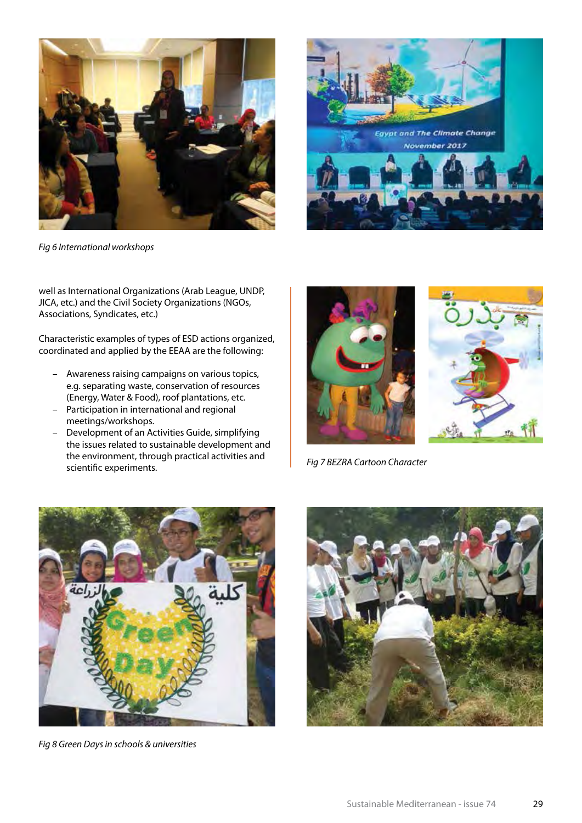

*Fig 6 International workshops*

well as International Organizations (Arab League, UNDP, JICA, etc.) and the Civil Society Organizations (NGOs, Associations, Syndicates, etc.)

Characteristic examples of types of ESD actions organized, coordinated and applied by the EEAA are the following:

- Awareness raising campaigns on various topics, e.g. separating waste, conservation of resources (Energy, Water & Food), roof plantations, etc.
- Participation in international and regional meetings/workshops.
- Development of an Activities Guide, simplifying the issues related to sustainable development and the environment, through practical activities and<br>scientific experiments.







**Fig 7 BEZRA Cartoon Character** 



*Fig 8 Green Days in schools & universities*

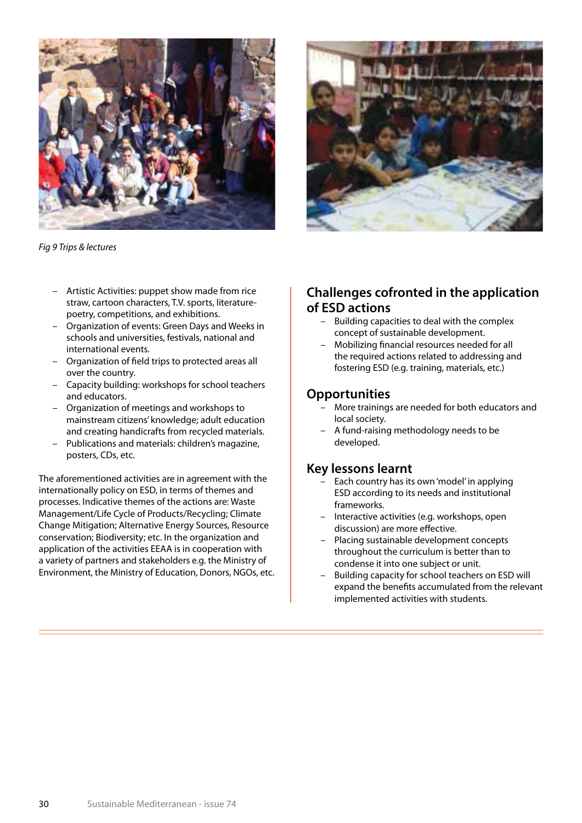

*Fig 9 Trips & lectures*



- Artistic Activities: puppet show made from rice straw, cartoon characters, T.V. sports, literaturepoetry, competitions, and exhibitions.
- Organization of events: Green Days and Weeks in schools and universities, festivals, national and international events.
- Organization of field trips to protected areas all over the country.
- Capacity building: workshops for school teachers and educators.
- Organization of meetings and workshops to mainstream citizens' knowledge; adult education and creating handicrafts from recycled materials.
- Publications and materials: children's magazine, posters, CDs, etc.

The aforementioned activities are in agreement with the internationally policy on ESD, in terms of themes and processes. Indicative themes of the actions are: Waste Management/Life Cycle of Products/Recycling; Climate Change Mitigation; Alternative Energy Sources, Resource conservation; Biodiversity; etc. In the organization and application of the activities EEAA is in cooperation with a variety of partners and stakeholders e.g. the Ministry of Environment, the Ministry of Education, Donors, NGOs, etc.

#### **Challenges cofronted in the application of ESD actions**

- Building capacities to deal with the complex concept of sustainable development.
- Mobilizing financial resources needed for all the required actions related to addressing and fostering ESD (e.g. training, materials, etc.)

#### **Opportunities**

- More trainings are needed for both educators and local society.
- A fund-raising methodology needs to be developed.

#### **Key lessons learnt**

- Each country has its own 'model' in applying ESD according to its needs and institutional frameworks.
- Interactive activities (e.g. workshops, open discussion) are more effective.
- Placing sustainable development concepts throughout the curriculum is better than to condense it into one subject or unit.
- Building capacity for school teachers on ESD will expand the benefits accumulated from the relevant implemented activities with students.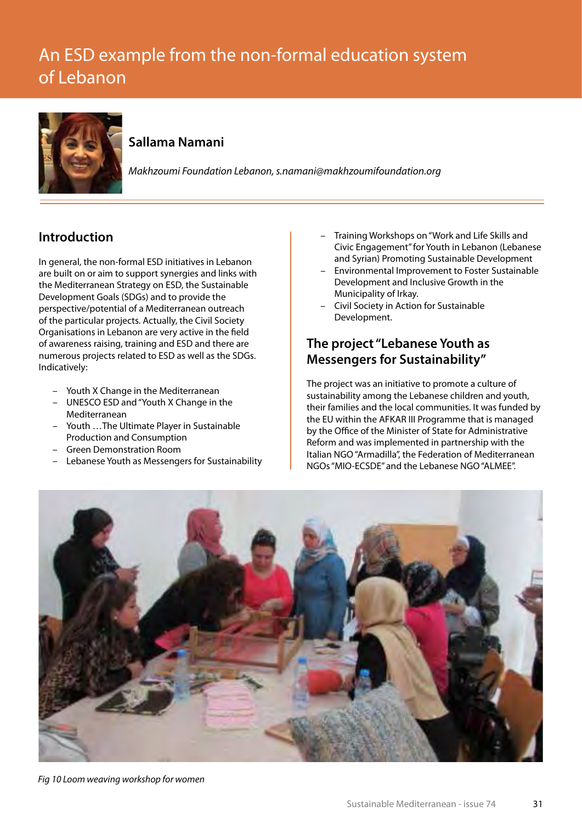# An ESD example from the non-formal education system of Lebanon



#### **Sallama Namani**

*Makhzoumi Foundation Lebanon, s.namani@makhzoumifoundation.org*

### **Introduction**

In general, the non-formal ESD initiatives in Lebanon are built on or aim to support synergies and links with the Mediterranean Strategy on ESD, the Sustainable Development Goals (SDGs) and to provide the perspective/potential of a Mediterranean outreach of the particular projects. Actually, the Civil Society Organisations in Lebanon are very active in the field of awareness raising, training and ESD and there are numerous projects related to ESD as well as the SDGs. Indicatively:

- Youth X Change in the Mediterranean
- UNESCO ESD and "Youth X Change in the Mediterranean
- Youth …The Ultimate Player in Sustainable Production and Consumption
- Green Demonstration Room
- Lebanese Youth as Messengers for Sustainability
- Training Workshops on "Work and Life Skills and Civic Engagement" for Youth in Lebanon (Lebanese and Syrian) Promoting Sustainable Development
- Environmental Improvement to Foster Sustainable Development and Inclusive Growth in the Municipality of Irkay.
- Civil Society in Action for Sustainable Development.

#### **The project "Lebanese Youth as Messengers for Sustainability"**

The project was an initiative to promote a culture of sustainability among the Lebanese children and youth, their families and the local communities. It was funded by the EU within the AFKAR III Programme that is managed by the Office of the Minister of State for Administrative Reform and was implemented in partnership with the Italian NGO "Armadilla", the Federation of Mediterranean NGOs "MIO-ECSDE" and the Lebanese NGO "ALMEE".



*Fig 10 Loom weaving workshop for women*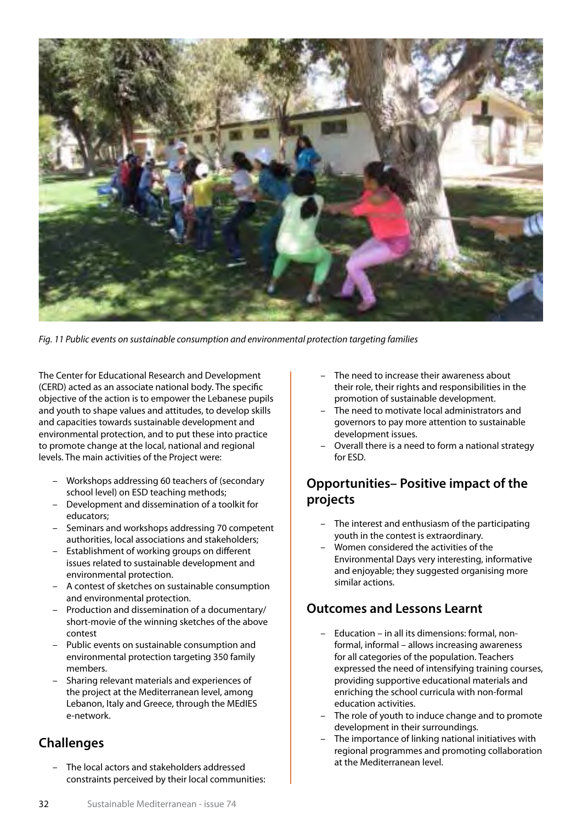

*Fig. 11 Public events on sustainable consumption and environmental protection targeting families*

The Center for Educational Research and Development (CERD) acted as an associate national body. The specific objective of the action is to empower the Lebanese pupils and youth to shape values and attitudes, to develop skills and capacities towards sustainable development and environmental protection, and to put these into practice to promote change at the local, national and regional levels. The main activities of the Project were:

- Workshops addressing 60 teachers of (secondary school level) on ESD teaching methods;
- Development and dissemination of a toolkit for educators;
- Seminars and workshops addressing 70 competent authorities, local associations and stakeholders;
- Establishment of working groups on different issues related to sustainable development and environmental protection.
- A contest of sketches on sustainable consumption and environmental protection.
- Production and dissemination of a documentary/ short-movie of the winning sketches of the above contest
- Public events on sustainable consumption and environmental protection targeting 350 family members.
- Sharing relevant materials and experiences of the project at the Mediterranean level, among Lebanon, Italy and Greece, through the MEdIES e-network.

#### **Challenges**

– The local actors and stakeholders addressed constraints perceived by their local communities:

- The need to increase their awareness about their role, their rights and responsibilities in the promotion of sustainable development.
- The need to motivate local administrators and governors to pay more attention to sustainable development issues.
- Overall there is a need to form a national strategy for ESD.

#### **Opportunities– Positive impact of the projects**

- The interest and enthusiasm of the participating youth in the contest is extraordinary.
- Women considered the activities of the Environmental Days very interesting, informative and enjoyable; they suggested organising more similar actions.

#### **Outcomes and Lessons Learnt**

- Education in all its dimensions: formal, nonformal, informal – allows increasing awareness for all categories of the population. Teachers expressed the need of intensifying training courses, providing supportive educational materials and enriching the school curricula with non-formal education activities.
- The role of youth to induce change and to promote development in their surroundings.
- The importance of linking national initiatives with regional programmes and promoting collaboration at the Mediterranean level.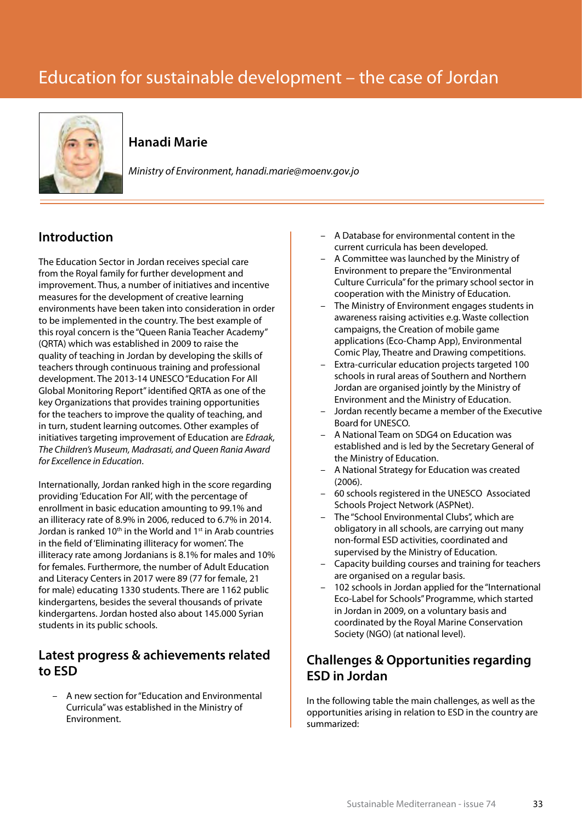# Education for sustainable development – the case of Jordan



#### **Hanadi Marie**

*Ministry of Environment, hanadi.marie@moenv.gov.jo*

#### **Introduction**

The Education Sector in Jordan receives special care from the Royal family for further development and improvement. Thus, a number of initiatives and incentive measures for the development of creative learning environments have been taken into consideration in order to be implemented in the country. The best example of this royal concern is the "Queen Rania Teacher Academy" (QRTA) which was established in 2009 to raise the quality of teaching in Jordan by developing the skills of teachers through continuous training and professional development. The 2013-14 UNESCO "Education For All Global Monitoring Report"identified QRTA as one of the key Organizations that provides training opportunities for the teachers to improve the quality of teaching, and in turn, student learning outcomes. Other examples of initiatives targeting improvement of Education are *Edraak, The Children's Museum, Madrasati, and Queen Rania Award for Excellence in Education*.

Internationally, Jordan ranked high in the score regarding providing 'Education For All', with the percentage of enrollment in basic education amounting to 99.1% and an illiteracy rate of 8.9% in 2006, reduced to 6.7% in 2014. Jordan is ranked 10<sup>th</sup> in the World and 1<sup>st</sup> in Arab countries in the field of 'Eliminating illiteracy for women'. The illiteracy rate among Jordanians is 8.1% for males and 10% for females. Furthermore, the number of Adult Education and Literacy Centers in 2017 were 89 (77 for female, 21 for male) educating 1330 students. There are 1162 public kindergartens, besides the several thousands of private kindergartens. Jordan hosted also about 145.000 Syrian students in its public schools.

#### **Latest progress & achievements related to ESD**

– A new section for "Education and Environmental Curricula" was established in the Ministry of Environment.

- A Database for environmental content in the current curricula has been developed.
- A Committee was launched by the Ministry of Environment to prepare the "Environmental Culture Curricula" for the primary school sector in cooperation with the Ministry of Education.
- The Ministry of Environment engages students in awareness raising activities e.g. Waste collection campaigns, the Creation of mobile game applications (Eco-Champ App), Environmental Comic Play, Theatre and Drawing competitions.
- Extra-curricular education projects targeted 100 schools in rural areas of Southern and Northern Jordan are organised jointly by the Ministry of Environment and the Ministry of Education.
- Jordan recently became a member of the Executive Board for UNESCO.
- A National Team on SDG4 on Education was established and is led by the Secretary General of the Ministry of Education.
- A National Strategy for Education was created (2006).
- 60 schools registered in the UNESCO Associated Schools Project Network (ASPNet).
- The "School Environmental Clubs", which are obligatory in all schools, are carrying out many non-formal ESD activities, coordinated and supervised by the Ministry of Education.
- Capacity building courses and training for teachers are organised on a regular basis.
- 102 schools in Jordan applied for the "International Eco-Label for Schools" Programme, which started in Jordan in 2009, on a voluntary basis and coordinated by the Royal Marine Conservation Society (NGO) (at national level).

#### **Challenges & Opportunities regarding ESD in Jordan**

In the following table the main challenges, as well as the opportunities arising in relation to ESD in the country are summarized: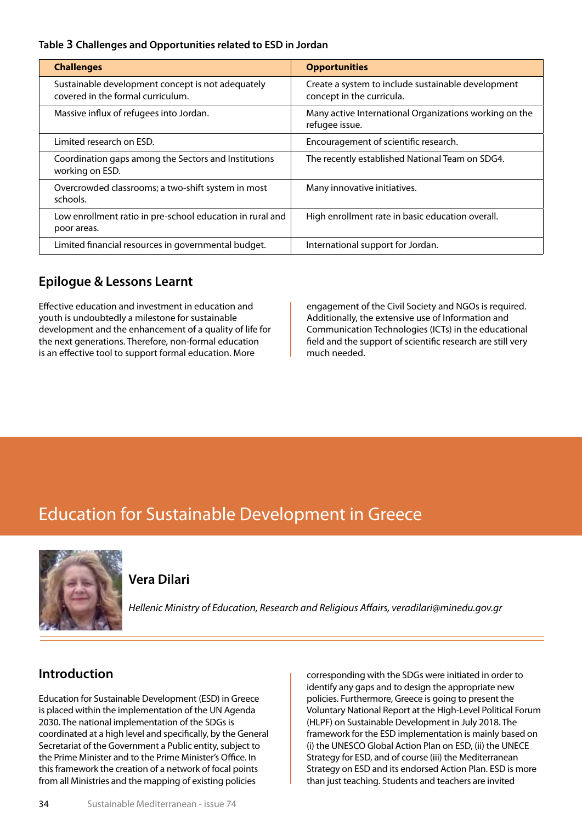#### **Table 3 Challenges and Opportunities related to ESD in Jordan**

| <b>Challenges</b>                                                                      | <b>Opportunities</b>                                                            |
|----------------------------------------------------------------------------------------|---------------------------------------------------------------------------------|
| Sustainable development concept is not adequately<br>covered in the formal curriculum. | Create a system to include sustainable development<br>concept in the curricula. |
| Massive influx of refugees into Jordan.                                                | Many active International Organizations working on the<br>refugee issue.        |
| Limited research on ESD.                                                               | Encouragement of scientific research.                                           |
| Coordination gaps among the Sectors and Institutions<br>working on ESD.                | The recently established National Team on SDG4.                                 |
| Overcrowded classrooms; a two-shift system in most<br>schools.                         | Many innovative initiatives.                                                    |
| Low enrollment ratio in pre-school education in rural and<br>poor areas.               | High enrollment rate in basic education overall.                                |
| Limited financial resources in governmental budget.                                    | International support for Jordan.                                               |

#### **Epilogue & Lessons Learnt**

Effective education and investment in education and youth is undoubtedly a milestone for sustainable development and the enhancement of a quality of life for the next generations. Therefore, non-formal education is an effective tool to support formal education. More

engagement of the Civil Society and NGOs is required. Additionally, the extensive use of Information and Communication Technologies (ICTs) in the educational field and the support of scientific research are still very much needed.

# Education for Sustainable Development in Greece



## **Vera Dilari**

*Hellenic Ministry of Education, Research and Religious Affairs, veradilari@minedu.gov.gr* 

#### **Introduction**

Education for Sustainable Development (ESD) in Greece is placed within the implementation of the UN Agenda 2030. The national implementation of the SDGs is coordinated at a high level and specifically, by the General Secretariat of the Government a Public entity, subject to the Prime Minister and to the Prime Minister's Office. In this framework the creation of a network of focal points from all Ministries and the mapping of existing policies

corresponding with the SDGs were initiated in order to identify any gaps and to design the appropriate new policies. Furthermore, Greece is going to present the Voluntary National Report at the High-Level Political Forum (HLPF) on Sustainable Development in July 2018. The framework for the ESD implementation is mainly based on (i) the UNESCO Global Action Plan on ESD, (ii) the UNECE Strategy for ESD, and of course (iii) the Mediterranean Strategy on ESD and its endorsed Action Plan. ESD is more than just teaching. Students and teachers are invited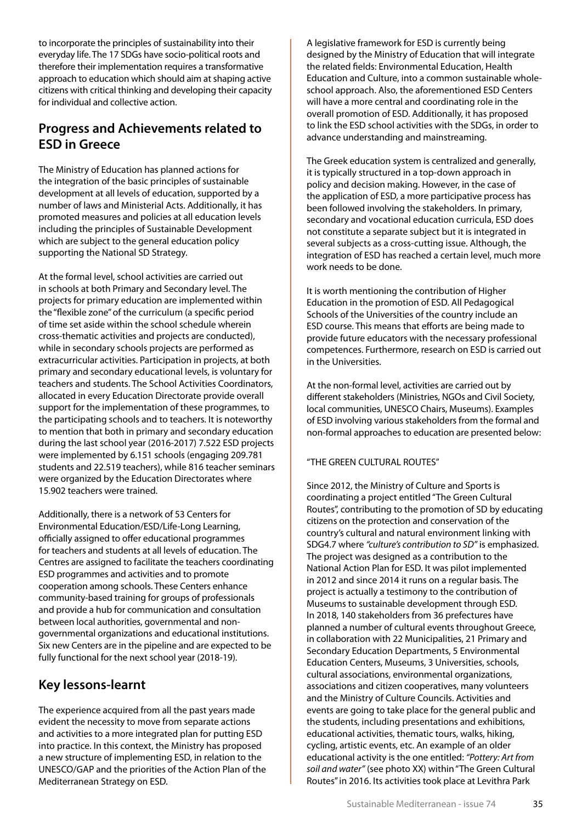to incorporate the principles of sustainability into their everyday life. The 17 SDGs have socio-political roots and therefore their implementation requires a transformative approach to education which should aim at shaping active citizens with critical thinking and developing their capacity for individual and collective action.

#### **Progress and Achievements related to ESD in Greece**

The Ministry of Education has planned actions for the integration of the basic principles of sustainable development at all levels of education, supported by a number of laws and Ministerial Acts. Additionally, it has promoted measures and policies at all education levels including the principles of Sustainable Development which are subject to the general education policy supporting the National SD Strategy.

At the formal level, school activities are carried out in schools at both Primary and Secondary level. The projects for primary education are implemented within the "flexible zone" of the curriculum (a specific period of time set aside within the school schedule wherein cross-thematic activities and projects are conducted), while in secondary schools projects are performed as extracurricular activities. Participation in projects, at both primary and secondary educational levels, is voluntary for teachers and students. The School Activities Coordinators, allocated in every Education Directorate provide overall support for the implementation of these programmes, to the participating schools and to teachers. It is noteworthy to mention that both in primary and secondary education during the last school year (2016-2017) 7.522 ESD projects were implemented by 6.151 schools (engaging 209.781 students and 22.519 teachers), while 816 teacher seminars were organized by the Education Directorates where 15.902 teachers were trained.

Additionally, there is a network of 53 Centers for Environmental Education/ESD/Life-Long Learning, officially assigned to offer educational programmes for teachers and students at all levels of education. The Centres are assigned to facilitate the teachers coordinating ESD programmes and activities and to promote cooperation among schools. These Centers enhance community-based training for groups of professionals and provide a hub for communication and consultation between local authorities, governmental and nongovernmental organizations and educational institutions. Six new Centers are in the pipeline and are expected to be fully functional for the next school year (2018-19).

#### **Key lessons-learnt**

The experience acquired from all the past years made evident the necessity to move from separate actions and activities to a more integrated plan for putting ESD into practice. In this context, the Ministry has proposed a new structure of implementing ESD, in relation to the UNESCO/GAP and the priorities of the Action Plan of the Mediterranean Strategy on ESD.

A legislative framework for ESD is currently being designed by the Ministry of Education that will integrate the related fields: Environmental Education, Health Education and Culture, into a common sustainable wholeschool approach. Also, the aforementioned ESD Centers will have a more central and coordinating role in the overall promotion of ESD. Additionally, it has proposed to link the ESD school activities with the SDGs, in order to advance understanding and mainstreaming.

The Greek education system is centralized and generally, it is typically structured in a top-down approach in policy and decision making. However, in the case of the application of ESD, a more participative process has been followed involving the stakeholders. In primary, secondary and vocational education curricula, ESD does not constitute a separate subject but it is integrated in several subjects as a cross-cutting issue. Although, the integration of ESD has reached a certain level, much more work needs to be done.

It is worth mentioning the contribution of Higher Education in the promotion of ESD. All Pedagogical Schools of the Universities of the country include an ESD course. This means that efforts are being made to provide future educators with the necessary professional competences. Furthermore, research on ESD is carried out in the Universities.

At the non-formal level, activities are carried out by different stakeholders (Ministries, NGOs and Civil Society, local communities, UNESCO Chairs, Museums). Examples of ESD involving various stakeholders from the formal and non-formal approaches to education are presented below:

#### "THE GREEN CULTURAL ROUTES"

Since 2012, the Ministry of Culture and Sports is coordinating a project entitled "The Green Cultural Routes", contributing to the promotion of SD by educating citizens on the protection and conservation of the country's cultural and natural environment linking with SDG4.7 where *"culture's contribution to SD"* is emphasized. The project was designed as a contribution to the National Action Plan for ESD. It was pilot implemented in 2012 and since 2014 it runs on a regular basis. The project is actually a testimony to the contribution of Museums to sustainable development through ESD. In 2018, 140 stakeholders from 36 prefectures have planned a number of cultural events throughout Greece, in collaboration with 22 Municipalities, 21 Primary and Secondary Education Departments, 5 Environmental Education Centers, Museums, 3 Universities, schools, cultural associations, environmental organizations, associations and citizen cooperatives, many volunteers and the Ministry of Culture Councils. Activities and events are going to take place for the general public and the students, including presentations and exhibitions, educational activities, thematic tours, walks, hiking, cycling, artistic events, etc. An example of an older educational activity is the one entitled: *"Pottery: Art from soil and water"* (see photo XX) within "The Green Cultural Routes" in 2016. Its activities took place at Levithra Park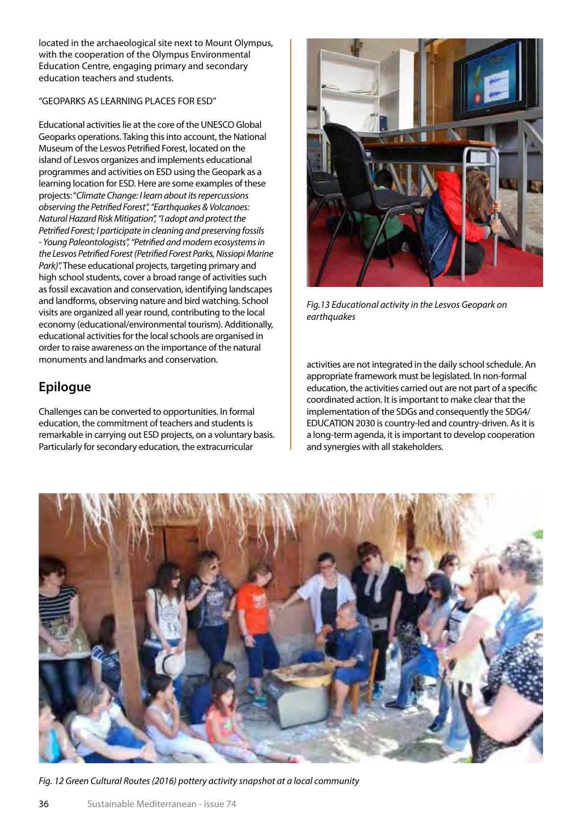located in the archaeological site next to Mount Olympus, with the cooperation of the Olympus Environmental Education Centre, engaging primary and secondary education teachers and students.

#### "GEOPARKS AS LEARNING PLACES FOR ESD"

Educational activities lie at the core of the UNESCO Global Geoparks operations. Taking this into account, the National Museum of the Lesvos Petrified Forest, located on the island of Lesvos organizes and implements educational programmes and activities on ESD using the Geopark as a learning location for ESD. Here are some examples of these projects: "*Climate Change: I learn about its repercussions observing the Petrified Forest", "Earthquakes & Volcanoes: Natural Hazard Risk Mitigation", "I adopt and protect the Petrified Forest; I participate in cleaning and preserving fossils - Young Paleontologists", "Petrified and modern ecosystems in the Lesvos Petrified Forest (Petrified Forest Parks, Nissiopi Marine Park)".* These educational projects, targeting primary and high school students, cover a broad range of activities such as fossil excavation and conservation, identifying landscapes and landforms, observing nature and bird watching. School visits are organized all year round, contributing to the local economy (educational/environmental tourism). Additionally, educational activities for the local schools are organised in order to raise awareness on the importance of the natural monuments and landmarks and conservation.

#### **Epilogue**

Challenges can be converted to opportunities. In formal education, the commitment of teachers and students is remarkable in carrying out ESD projects, on a voluntary basis. Particularly for secondary education, the extracurricular



*Fig.13 Educational activity in the Lesvos Geopark on earthquakes*

activities are not integrated in the daily school schedule. An appropriate framework must be legislated. In non-formal education, the activities carried out are not part of a specific coordinated action. It is important to make clear that the implementation of the SDGs and consequently the SDG4/ EDUCATION 2030 is country-led and country-driven. As it is a long-term agenda, it is important to develop cooperation and synergies with all stakeholders.



*Fig. 12 Green Cultural Routes (2016) pottery activity snapshot at a local community*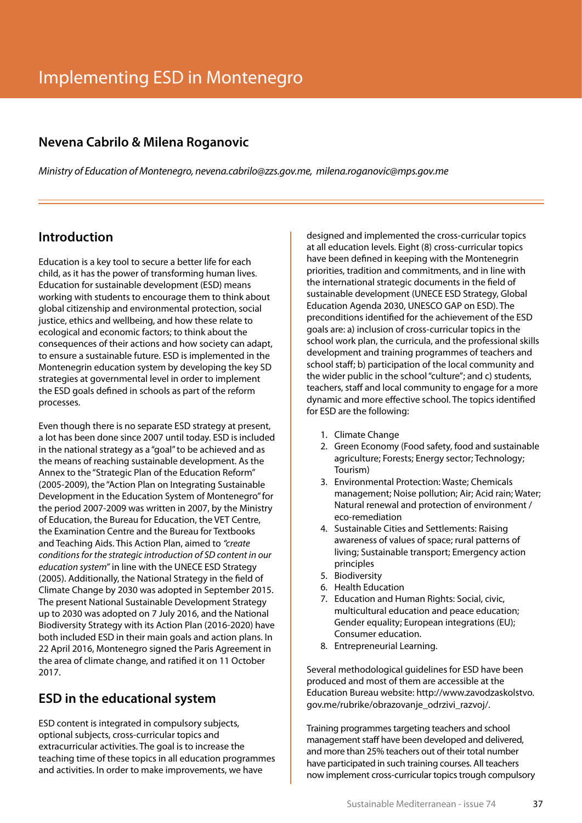# Implementing ESD in Montenegro

#### **Nevena Cabrilo & Milena Roganovic**

*Ministry of Education of Montenegro, nevena.cabrilo@zzs.gov.me, milena.roganovic@mps.gov.me* 

#### **Introduction**

Education is a key tool to secure a better life for each child, as it has the power of transforming human lives. Education for sustainable development (ESD) means working with students to encourage them to think about global citizenship and environmental protection, social justice, ethics and wellbeing, and how these relate to ecological and economic factors; to think about the consequences of their actions and how society can adapt, to ensure a sustainable future. ESD is implemented in the Montenegrin education system by developing the key SD strategies at governmental level in order to implement the ESD goals defined in schools as part of the reform processes.

Even though there is no separate ESD strategy at present, a lot has been done since 2007 until today. ESD is included in the national strategy as a "goal" to be achieved and as the means of reaching sustainable development. As the Annex to the "Strategic Plan of the Education Reform" (2005-2009), the "Action Plan on Integrating Sustainable Development in the Education System of Montenegro" for the period 2007-2009 was written in 2007, by the Ministry of Education, the Bureau for Education, the VET Centre, the Examination Centre and the Bureau for Textbooks and Teaching Aids. This Action Plan, aimed to *"create conditions for the strategic introduction of SD content in our education system"* in line with the UNECE ESD Strategy (2005). Additionally, the National Strategy in the field of Climate Change by 2030 was adopted in September 2015. The present National Sustainable Development Strategy up to 2030 was adopted on 7 July 2016, and the National Biodiversity Strategy with its Action Plan (2016-2020) have both included ESD in their main goals and action plans. In 22 April 2016, Montenegro signed the Paris Agreement in the area of climate change, and ratified it on 11 October 2017.

#### **ESD in the educational system**

ESD content is integrated in compulsory subjects, optional subjects, cross-curricular topics and extracurricular activities. The goal is to increase the teaching time of these topics in all education programmes and activities. In order to make improvements, we have

designed and implemented the cross-curricular topics at all education levels. Eight (8) cross-curricular topics have been defined in keeping with the Montenegrin priorities, tradition and commitments, and in line with the international strategic documents in the field of sustainable development (UNECE ESD Strategy, Global Education Agenda 2030, UNESCO GAP on ESD). The preconditions identified for the achievement of the ESD goals are: a) inclusion of cross-curricular topics in the school work plan, the curricula, and the professional skills development and training programmes of teachers and school staff; b) participation of the local community and the wider public in the school "culture"; and c) students, teachers, staff and local community to engage for a more dynamic and more effective school. The topics identified for ESD are the following:

- 1. Climate Change
- 2. Green Economy (Food safety, food and sustainable agriculture; Forests; Energy sector; Technology; Tourism)
- 3. Environmental Protection: Waste; Chemicals management; Noise pollution; Air; Acid rain; Water; Natural renewal and protection of environment / eco-remediation
- 4. Sustainable Cities and Settlements: Raising awareness of values of space; rural patterns of living; Sustainable transport; Emergency action principles
- 5. Biodiversity
- 6. Health Education
- 7. Education and Human Rights: Social, civic, multicultural education and peace education; Gender equality; European integrations (EU); Consumer education.
- 8. Entrepreneurial Learning.

Several methodological guidelines for ESD have been produced and most of them are accessible at the Education Bureau website: http://www.zavodzaskolstvo. gov.me/rubrike/obrazovanje\_odrzivi\_razvoj/.

Training programmes targeting teachers and school management staff have been developed and delivered, and more than 25% teachers out of their total number have participated in such training courses. All teachers now implement cross-curricular topics trough compulsory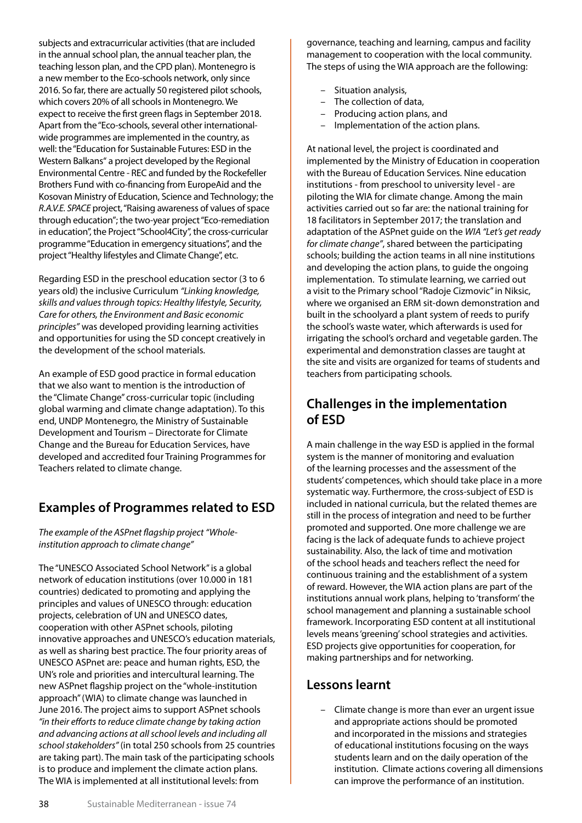subjects and extracurricular activities (that are included in the annual school plan, the annual teacher plan, the teaching lesson plan, and the CPD plan). Montenegro is a new member to the Eco-schools network, only since 2016. So far, there are actually 50 registered pilot schools, which covers 20% of all schools in Montenegro. We expect to receive the first green flags in September 2018. Apart from the "Eco-schools, several other internationalwide programmes are implemented in the country, as well: the "Education for Sustainable Futures: ESD in the Western Balkans" a project developed by the Regional Environmental Centre - REC and funded by the Rockefeller Brothers Fund with co-financing from EuropeAid and the Kosovan Ministry of Education, Science and Technology; the *R.A.V.E. SPACE* project, "Raising awareness of values of space through education"; the two-year project "Eco-remediation in education", the Project "School4City", the cross-curricular programme "Education in emergency situations", and the project "Healthy lifestyles and Climate Change", etc.

Regarding ESD in the preschool education sector (3 to 6 years old) the inclusive Curriculum *"Linking knowledge, skills and values through topics: Healthy lifestyle, Security, Care for others, the Environment and Basic economic principles"* was developed providing learning activities and opportunities for using the SD concept creatively in the development of the school materials.

An example of ESD good practice in formal education that we also want to mention is the introduction of the "Climate Change" cross-curricular topic (including global warming and climate change adaptation). To this end, UNDP Montenegro, the Ministry of Sustainable Development and Tourism – Directorate for Climate Change and the Bureau for Education Services, have developed and accredited four Training Programmes for Teachers related to climate change.

#### **Examples of Programmes related to ESD**

#### *The example of the ASPnet flagship project "Wholeinstitution approach to climate change"*

The "UNESCO Associated School Network" is a global network of education institutions (over 10.000 in 181 countries) dedicated to promoting and applying the principles and values of UNESCO through: education projects, celebration of UN and UNESCO dates, cooperation with other ASPnet schools, piloting innovative approaches and UNESCO's education materials, as well as sharing best practice. The four priority areas of UNESCO ASPnet are: peace and human rights, ESD, the UN's role and priorities and intercultural learning. The new ASPnet flagship project on the "whole-institution approach" (WIA) to climate change was launched in June 2016. The project aims to support ASPnet schools *"in their efforts to reduce climate change by taking action and advancing actions at all school levels and including all school stakeholders"* (in total 250 schools from 25 countries are taking part). The main task of the participating schools is to produce and implement the climate action plans. The WIA is implemented at all institutional levels: from

governance, teaching and learning, campus and facility management to cooperation with the local community. The steps of using the WIA approach are the following:

- Situation analysis,
- The collection of data,
- Producing action plans, and
- Implementation of the action plans.

At national level, the project is coordinated and implemented by the Ministry of Education in cooperation with the Bureau of Education Services. Nine education institutions - from preschool to university level - are piloting the WIA for climate change. Among the main activities carried out so far are: the national training for 18 facilitators in September 2017; the translation and adaptation of the ASPnet guide on the *WIA "Let's get ready for climate change"*, shared between the participating schools; building the action teams in all nine institutions and developing the action plans, to guide the ongoing implementation. To stimulate learning, we carried out a visit to the Primary school "Radoje Cizmovic" in Niksic, where we organised an ERM sit-down demonstration and built in the schoolyard a plant system of reeds to purify the school's waste water, which afterwards is used for irrigating the school's orchard and vegetable garden. The experimental and demonstration classes are taught at the site and visits are organized for teams of students and teachers from participating schools.

#### **Challenges in the implementation of ESD**

A main challenge in the way ESD is applied in the formal system is the manner of monitoring and evaluation of the learning processes and the assessment of the students' competences, which should take place in a more systematic way. Furthermore, the cross-subject of ESD is included in national curricula, but the related themes are still in the process of integration and need to be further promoted and supported. One more challenge we are facing is the lack of adequate funds to achieve project sustainability. Also, the lack of time and motivation of the school heads and teachers reflect the need for continuous training and the establishment of a system of reward. However, the WIA action plans are part of the institutions annual work plans, helping to 'transform' the school management and planning a sustainable school framework. Incorporating ESD content at all institutional levels means 'greening' school strategies and activities. ESD projects give opportunities for cooperation, for making partnerships and for networking.

#### **Lessons learnt**

– Climate change is more than ever an urgent issue and appropriate actions should be promoted and incorporated in the missions and strategies of educational institutions focusing on the ways students learn and on the daily operation of the institution. Climate actions covering all dimensions can improve the performance of an institution.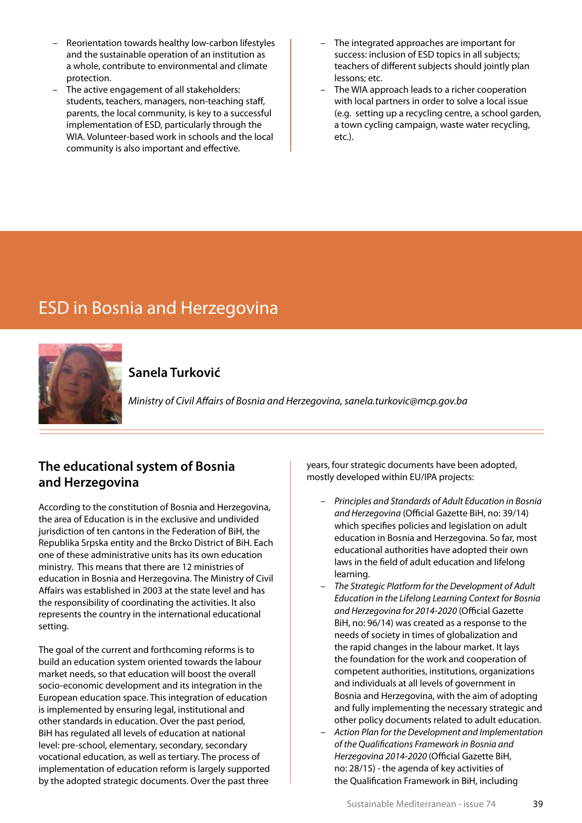- Reorientation towards healthy low-carbon lifestyles and the sustainable operation of an institution as a whole, contribute to environmental and climate protection.
- The active engagement of all stakeholders: students, teachers, managers, non-teaching staff, parents, the local community, is key to a successful implementation of ESD, particularly through the WIA. Volunteer-based work in schools and the local community is also important and effective.
- The integrated approaches are important for success: inclusion of ESD topics in all subjects; teachers of different subjects should jointly plan lessons; etc.
- The WIA approach leads to a richer cooperation with local partners in order to solve a local issue (e.g. setting up a recycling centre, a school garden, a town cycling campaign, waste water recycling, etc.).

# ESD in Bosnia and Herzegovina



#### **Sanela Turković**

*Ministry of Civil Affairs of Bosnia and Herzegovina, sanela.turkovic@mcp.gov.ba*

#### **The educational system of Bosnia and Herzegovina**

According to the constitution of Bosnia and Herzegovina, the area of Education is in the exclusive and undivided jurisdiction of ten cantons in the Federation of BiH, the Republika Srpska entity and the Brcko District of BiH. Each one of these administrative units has its own education ministry. This means that there are 12 ministries of education in Bosnia and Herzegovina. The Ministry of Civil Affairs was established in 2003 at the state level and has the responsibility of coordinating the activities. It also represents the country in the international educational setting.

The goal of the current and forthcoming reforms is to build an education system oriented towards the labour market needs, so that education will boost the overall socio-economic development and its integration in the European education space. This integration of education is implemented by ensuring legal, institutional and other standards in education. Over the past period, BiH has regulated all levels of education at national level: pre-school, elementary, secondary, secondary vocational education, as well as tertiary. The process of implementation of education reform is largely supported by the adopted strategic documents. Over the past three

years, four strategic documents have been adopted, mostly developed within EU/IPA projects:

- *– Principles and Standards of Adult Education in Bosnia and Herzegovina* (Official Gazette BiH, no: 39/14) which specifies policies and legislation on adult education in Bosnia and Herzegovina. So far, most educational authorities have adopted their own laws in the field of adult education and lifelong learning.
- *– The Strategic Platform for the Development of Adult Education in the Lifelong Learning Context for Bosnia and Herzegovina for 2014-2020* (Official Gazette BiH, no: 96/14) was created as a response to the needs of society in times of globalization and the rapid changes in the labour market. It lays the foundation for the work and cooperation of competent authorities, institutions, organizations and individuals at all levels of government in Bosnia and Herzegovina, with the aim of adopting and fully implementing the necessary strategic and other policy documents related to adult education.
- *– Action Plan for the Development and Implementation of the Qualifications Framework in Bosnia and Herzegovina 2014-2020* (Official Gazette BiH, no: 28/15) *-* the agenda of key activities of the Qualification Framework in BiH, including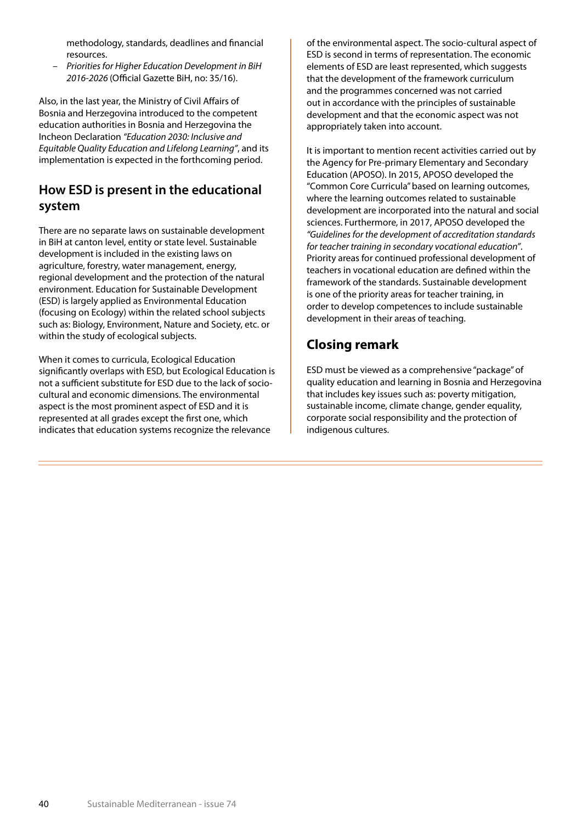methodology, standards, deadlines and financial resources.

*– Priorities for Higher Education Development in BiH 2016-2026* (Official Gazette BiH, no: 35/16).

Also, in the last year, the Ministry of Civil Affairs of Bosnia and Herzegovina introduced to the competent education authorities in Bosnia and Herzegovina the Incheon Declaration *"Education 2030: Inclusive and Equitable Quality Education and Lifelong Learning"*, and its implementation is expected in the forthcoming period.

#### **How ESD is present in the educational system**

There are no separate laws on sustainable development in BiH at canton level, entity or state level. Sustainable development is included in the existing laws on agriculture, forestry, water management, energy, regional development and the protection of the natural environment. Education for Sustainable Development (ESD) is largely applied as Environmental Education (focusing on Ecology) within the related school subjects such as: Biology, Environment, Nature and Society, etc. or within the study of ecological subjects.

When it comes to curricula, Ecological Education significantly overlaps with ESD, but Ecological Education is not a sufficient substitute for ESD due to the lack of sociocultural and economic dimensions. The environmental aspect is the most prominent aspect of ESD and it is represented at all grades except the first one, which indicates that education systems recognize the relevance

of the environmental aspect. The socio-cultural aspect of ESD is second in terms of representation. The economic elements of ESD are least represented, which suggests that the development of the framework curriculum and the programmes concerned was not carried out in accordance with the principles of sustainable development and that the economic aspect was not appropriately taken into account.

It is important to mention recent activities carried out by the Agency for Pre-primary Elementary and Secondary Education (APOSO). In 2015, APOSO developed the "Common Core Curricula" based on learning outcomes, where the learning outcomes related to sustainable development are incorporated into the natural and social sciences. Furthermore, in 2017, APOSO developed the *"Guidelines for the development of accreditation standards for teacher training in secondary vocational education"*. Priority areas for continued professional development of teachers in vocational education are defined within the framework of the standards. Sustainable development is one of the priority areas for teacher training, in order to develop competences to include sustainable development in their areas of teaching.

## **Closing remark**

ESD must be viewed as a comprehensive "package" of quality education and learning in Bosnia and Herzegovina that includes key issues such as: poverty mitigation, sustainable income, climate change, gender equality, corporate social responsibility and the protection of indigenous cultures.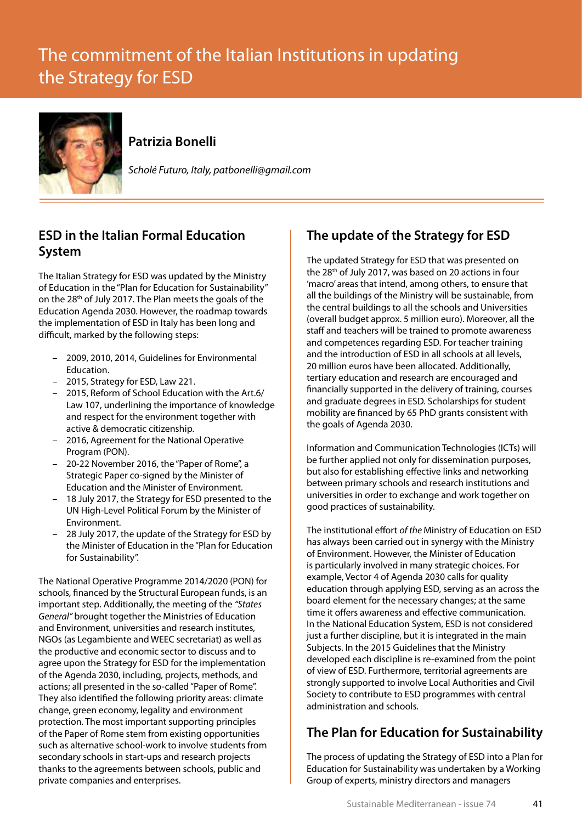# The commitment of the Italian Institutions in updating the Strategy for ESD



#### **Patrizia Bonelli**

*Scholé Futuro, Italy, patbonelli@gmail.com*

#### **ESD in the Italian Formal Education System**

The Italian Strategy for ESD was updated by the Ministry of Education in the "Plan for Education for Sustainability" on the 28<sup>th</sup> of July 2017. The Plan meets the goals of the Education Agenda 2030. However, the roadmap towards the implementation of ESD in Italy has been long and difficult, marked by the following steps:

- 2009, 2010, 2014, Guidelines for Environmental Education.
- 2015, Strategy for ESD, Law 221.
- 2015, Reform of School Education with the Art.6/ Law 107, underlining the importance of knowledge and respect for the environment together with active & democratic citizenship.
- 2016, Agreement for the National Operative Program (PON).
- 20-22 November 2016, the "Paper of Rome", a Strategic Paper co-signed by the Minister of Education and the Minister of Environment.
- 18 July 2017, the Strategy for ESD presented to the UN High-Level Political Forum by the Minister of Environment.
- 28 July 2017, the update of the Strategy for ESD by the Minister of Education in the "Plan for Education for Sustainability".

The National Operative Programme 2014/2020 (PON) for schools, financed by the Structural European funds, is an important step. Additionally, the meeting of the *"States General"* brought together the Ministries of Education and Environment, universities and research institutes, NGOs (as Legambiente and WEEC secretariat) as well as the productive and economic sector to discuss and to agree upon the Strategy for ESD for the implementation of the Agenda 2030, including, projects, methods, and actions; all presented in the so-called "Paper of Rome". They also identified the following priority areas: climate change, green economy, legality and environment protection. The most important supporting principles of the Paper of Rome stem from existing opportunities such as alternative school-work to involve students from secondary schools in start-ups and research projects thanks to the agreements between schools, public and private companies and enterprises.

### **The update of the Strategy for ESD**

The updated Strategy for ESD that was presented on the 28<sup>th</sup> of July 2017, was based on 20 actions in four 'macro' areas that intend, among others, to ensure that all the buildings of the Ministry will be sustainable, from the central buildings to all the schools and Universities (overall budget approx. 5 million euro). Moreover, all the staff and teachers will be trained to promote awareness and competences regarding ESD. For teacher training and the introduction of ESD in all schools at all levels, 20 million euros have been allocated. Additionally, tertiary education and research are encouraged and financially supported in the delivery of training, courses and graduate degrees in ESD. Scholarships for student mobility are financed by 65 PhD grants consistent with the goals of Agenda 2030.

Information and Communication Technologies (ICTs) will be further applied not only for dissemination purposes, but also for establishing effective links and networking between primary schools and research institutions and universities in order to exchange and work together on good practices of sustainability.

The institutional effort *of the* Ministry of Education on ESD has always been carried out in synergy with the Ministry of Environment. However, the Minister of Education is particularly involved in many strategic choices. For example, Vector 4 of Agenda 2030 calls for quality education through applying ESD, serving as an across the board element for the necessary changes; at the same time it offers awareness and effective communication. In the National Education System, ESD is not considered just a further discipline, but it is integrated in the main Subjects. In the 2015 Guidelines that the Ministry developed each discipline is re-examined from the point of view of ESD. Furthermore, territorial agreements are strongly supported to involve Local Authorities and Civil Society to contribute to ESD programmes with central administration and schools.

#### **The Plan for Education for Sustainability**

The process of updating the Strategy of ESD into a Plan for Education for Sustainability was undertaken by a Working Group of experts, ministry directors and managers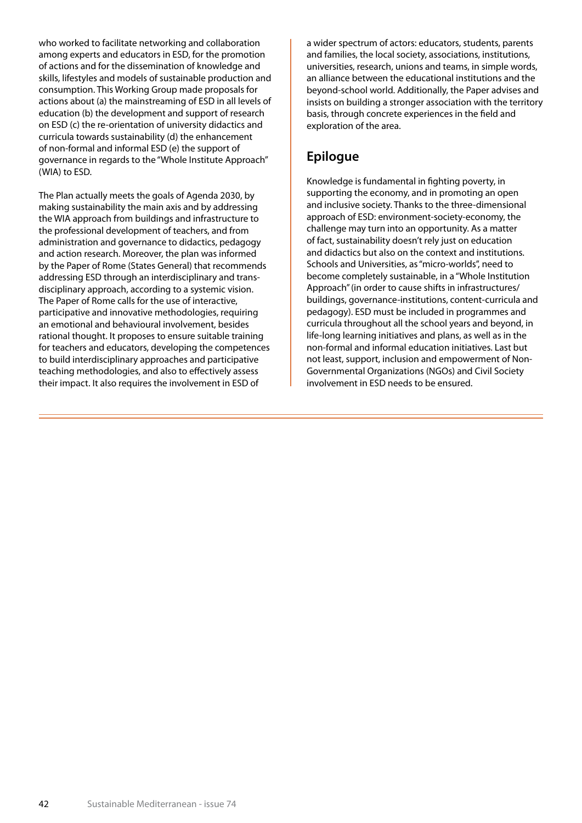who worked to facilitate networking and collaboration among experts and educators in ESD, for the promotion of actions and for the dissemination of knowledge and skills, lifestyles and models of sustainable production and consumption. This Working Group made proposals for actions about (a) the mainstreaming of ESD in all levels of education (b) the development and support of research on ESD (c) the re-orientation of university didactics and curricula towards sustainability (d) the enhancement of non-formal and informal ESD (e) the support of governance in regards to the "Whole Institute Approach" (WIA) to ESD.

The Plan actually meets the goals of Agenda 2030, by making sustainability the main axis and by addressing the WIA approach from buildings and infrastructure to the professional development of teachers, and from administration and governance to didactics, pedagogy and action research. Moreover, the plan was informed by the Paper of Rome (States General) that recommends addressing ESD through an interdisciplinary and transdisciplinary approach, according to a systemic vision. The Paper of Rome calls for the use of interactive, participative and innovative methodologies, requiring an emotional and behavioural involvement, besides rational thought. It proposes to ensure suitable training for teachers and educators, developing the competences to build interdisciplinary approaches and participative teaching methodologies, and also to effectively assess their impact. It also requires the involvement in ESD of

a wider spectrum of actors: educators, students, parents and families, the local society, associations, institutions, universities, research, unions and teams, in simple words, an alliance between the educational institutions and the beyond-school world. Additionally, the Paper advises and insists on building a stronger association with the territory basis, through concrete experiences in the field and exploration of the area.

### **Epilogue**

Knowledge is fundamental in fighting poverty, in supporting the economy, and in promoting an open and inclusive society. Thanks to the three-dimensional approach of ESD: environment-society-economy, the challenge may turn into an opportunity. As a matter of fact, sustainability doesn't rely just on education and didactics but also on the context and institutions. Schools and Universities, as "micro-worlds", need to become completely sustainable, in a "Whole Institution Approach" (in order to cause shifts in infrastructures/ buildings, governance-institutions, content-curricula and pedagogy). ESD must be included in programmes and curricula throughout all the school years and beyond, in life-long learning initiatives and plans, as well as in the non-formal and informal education initiatives. Last but not least, support, inclusion and empowerment of Non-Governmental Organizations (NGOs) and Civil Society involvement in ESD needs to be ensured.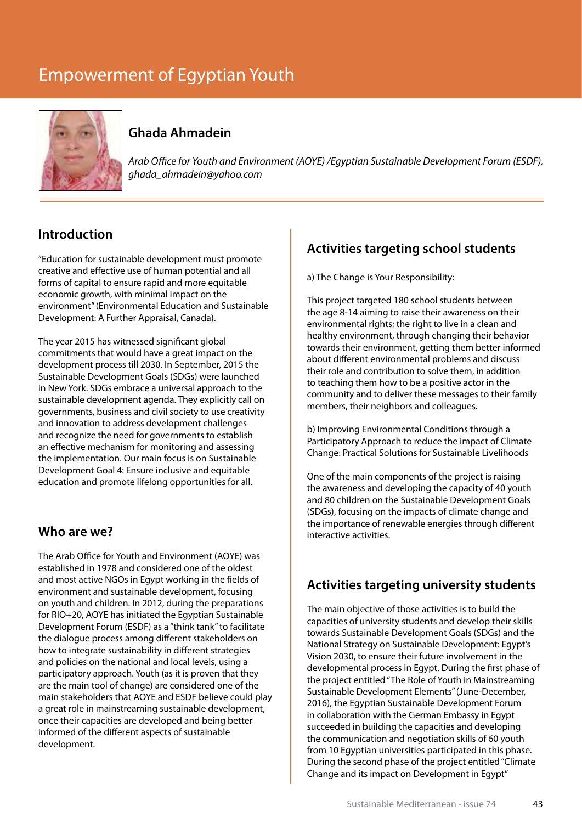# Empowerment of Egyptian Youth



#### **Ghada Ahmadein**

*Arab Office for Youth and Environment (AOYE) /Egyptian Sustainable Development Forum (ESDF), ghada\_ahmadein@yahoo.com*

#### **Introduction**

"Education for sustainable development must promote creative and effective use of human potential and all forms of capital to ensure rapid and more equitable economic growth, with minimal impact on the environment" (Environmental Education and Sustainable Development: A Further Appraisal, Canada).

The year 2015 has witnessed significant global commitments that would have a great impact on the development process till 2030. In September, 2015 the Sustainable Development Goals (SDGs) were launched in New York. SDGs embrace a universal approach to the sustainable development agenda. They explicitly call on governments, business and civil society to use creativity and innovation to address development challenges and recognize the need for governments to establish an effective mechanism for monitoring and assessing the implementation. Our main focus is on Sustainable Development Goal 4: Ensure inclusive and equitable education and promote lifelong opportunities for all.

#### **Who are we?**

The Arab Office for Youth and Environment (AOYE) was established in 1978 and considered one of the oldest and most active NGOs in Egypt working in the fields of environment and sustainable development, focusing on youth and children. In 2012, during the preparations for RIO+20, AOYE has initiated the Egyptian Sustainable Development Forum (ESDF) as a "think tank" to facilitate the dialogue process among different stakeholders on how to integrate sustainability in different strategies and policies on the national and local levels, using a participatory approach. Youth (as it is proven that they are the main tool of change) are considered one of the main stakeholders that AOYE and ESDF believe could play a great role in mainstreaming sustainable development, once their capacities are developed and being better informed of the different aspects of sustainable development.

#### **Activities targeting school students**

a) The Change is Your Responsibility:

This project targeted 180 school students between the age 8-14 aiming to raise their awareness on their environmental rights; the right to live in a clean and healthy environment, through changing their behavior towards their environment, getting them better informed about different environmental problems and discuss their role and contribution to solve them, in addition to teaching them how to be a positive actor in the community and to deliver these messages to their family members, their neighbors and colleagues.

b) Improving Environmental Conditions through a Participatory Approach to reduce the impact of Climate Change: Practical Solutions for Sustainable Livelihoods

One of the main components of the project is raising the awareness and developing the capacity of 40 youth and 80 children on the Sustainable Development Goals (SDGs), focusing on the impacts of climate change and the importance of renewable energies through different interactive activities.

#### **Activities targeting university students**

The main objective of those activities is to build the capacities of university students and develop their skills towards Sustainable Development Goals (SDGs) and the National Strategy on Sustainable Development: Egypt's Vision 2030, to ensure their future involvement in the developmental process in Egypt. During the first phase of the project entitled "The Role of Youth in Mainstreaming Sustainable Development Elements" (June-December, 2016), the Egyptian Sustainable Development Forum in collaboration with the German Embassy in Egypt succeeded in building the capacities and developing the communication and negotiation skills of 60 youth from 10 Egyptian universities participated in this phase. During the second phase of the project entitled "Climate Change and its impact on Development in Egypt"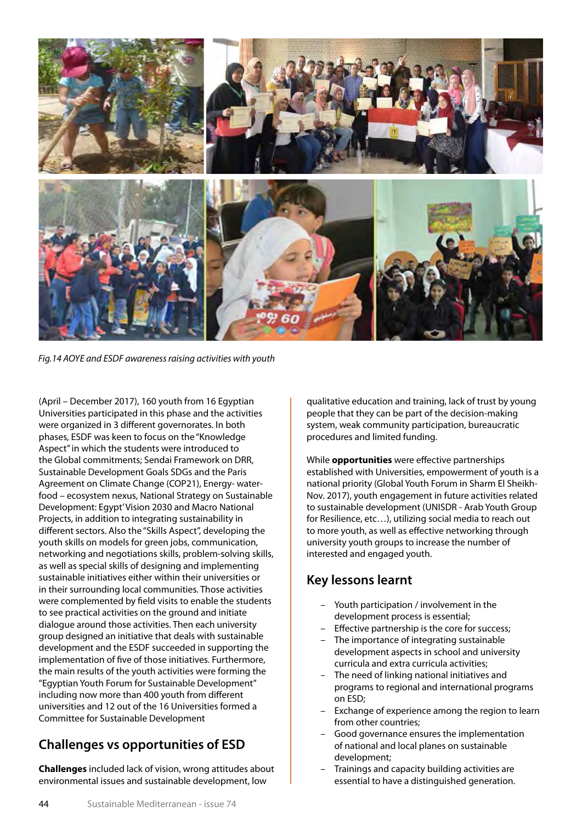

*Fig.14 AOYE and ESDF awareness raising activities with youth*

(April – December 2017), 160 youth from 16 Egyptian Universities participated in this phase and the activities were organized in 3 different governorates. In both phases, ESDF was keen to focus on the "Knowledge Aspect" in which the students were introduced to the Global commitments; Sendai Framework on DRR, Sustainable Development Goals SDGs and the Paris Agreement on Climate Change (COP21), Energy- waterfood – ecosystem nexus, National Strategy on Sustainable Development: Egypt' Vision 2030 and Macro National Projects, in addition to integrating sustainability in different sectors. Also the "Skills Aspect", developing the youth skills on models for green jobs, communication, networking and negotiations skills, problem-solving skills, as well as special skills of designing and implementing sustainable initiatives either within their universities or in their surrounding local communities. Those activities were complemented by field visits to enable the students to see practical activities on the ground and initiate dialogue around those activities. Then each university group designed an initiative that deals with sustainable development and the ESDF succeeded in supporting the implementation of five of those initiatives. Furthermore, the main results of the youth activities were forming the "Egyptian Youth Forum for Sustainable Development" including now more than 400 youth from different universities and 12 out of the 16 Universities formed a Committee for Sustainable Development

## **Challenges vs opportunities of ESD**

**Challenges** included lack of vision, wrong attitudes about environmental issues and sustainable development, low

qualitative education and training, lack of trust by young people that they can be part of the decision-making system, weak community participation, bureaucratic procedures and limited funding.

While **opportunities** were effective partnerships established with Universities, empowerment of youth is a national priority (Global Youth Forum in Sharm El Sheikh-Nov. 2017), youth engagement in future activities related to sustainable development (UNISDR - Arab Youth Group for Resilience, etc…), utilizing social media to reach out to more youth, as well as effective networking through university youth groups to increase the number of interested and engaged youth.

#### **Key lessons learnt**

- Youth participation / involvement in the development process is essential;
- Effective partnership is the core for success;
- The importance of integrating sustainable development aspects in school and university curricula and extra curricula activities;
- The need of linking national initiatives and programs to regional and international programs on ESD;
- Exchange of experience among the region to learn from other countries;
- Good governance ensures the implementation of national and local planes on sustainable development;
- Trainings and capacity building activities are essential to have a distinguished generation.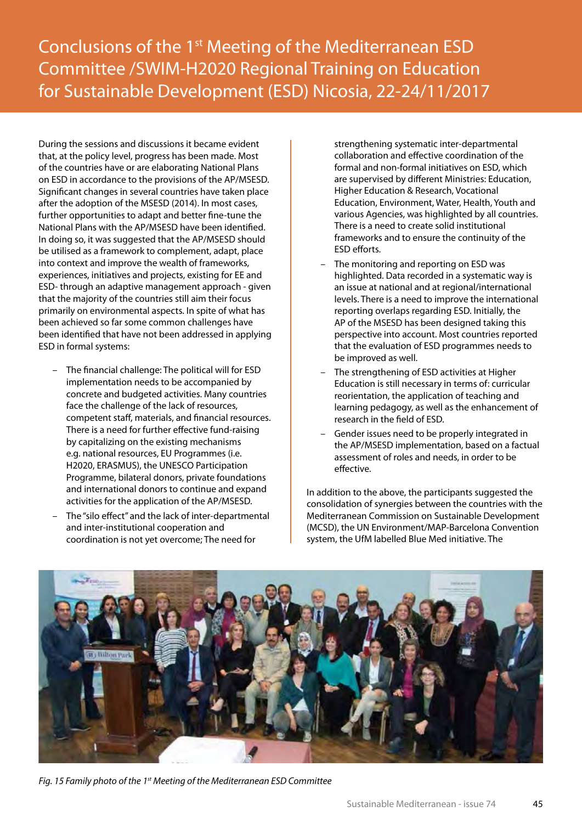Conclusions of the 1st Meeting of the Mediterranean ESD Committee /SWIM-H2020 Regional Training on Education for Sustainable Development (ESD) Nicosia, 22-24/11/2017

During the sessions and discussions it became evident that, at the policy level, progress has been made. Most of the countries have or are elaborating National Plans on ESD in accordance to the provisions of the AP/MSESD. Significant changes in several countries have taken place after the adoption of the MSESD (2014). In most cases, further opportunities to adapt and better fine-tune the National Plans with the AP/MSESD have been identified. In doing so, it was suggested that the AP/MSESD should be utilised as a framework to complement, adapt, place into context and improve the wealth of frameworks, experiences, initiatives and projects, existing for EE and ESD- through an adaptive management approach - given that the majority of the countries still aim their focus primarily on environmental aspects. In spite of what has been achieved so far some common challenges have been identified that have not been addressed in applying ESD in formal systems:

- The financial challenge: The political will for ESD implementation needs to be accompanied by concrete and budgeted activities. Many countries face the challenge of the lack of resources, competent staff, materials, and financial resources. There is a need for further effective fund-raising by capitalizing on the existing mechanisms e.g. national resources, EU Programmes (i.e. H2020, ERASMUS), the UNESCO Participation Programme, bilateral donors, private foundations and international donors to continue and expand activities for the application of the AP/MSESD.
- The "silo effect" and the lack of inter-departmental and inter-institutional cooperation and coordination is not yet overcome; The need for

strengthening systematic inter-departmental collaboration and effective coordination of the formal and non-formal initiatives on ESD, which are supervised by different Ministries: Education, Higher Education & Research, Vocational Education, Environment, Water, Health, Youth and various Agencies, was highlighted by all countries. There is a need to create solid institutional frameworks and to ensure the continuity of the ESD efforts.

- The monitoring and reporting on ESD was highlighted. Data recorded in a systematic way is an issue at national and at regional/international levels. There is a need to improve the international reporting overlaps regarding ESD. Initially, the AP of the MSESD has been designed taking this perspective into account. Most countries reported that the evaluation of ESD programmes needs to be improved as well.
- The strengthening of ESD activities at Higher Education is still necessary in terms of: curricular reorientation, the application of teaching and learning pedagogy, as well as the enhancement of research in the field of ESD.
- Gender issues need to be properly integrated in the AP/MSESD implementation, based on a factual assessment of roles and needs, in order to be effective.

In addition to the above, the participants suggested the consolidation of synergies between the countries with the Mediterranean Commission on Sustainable Development (MCSD), the UN Environment/MAP-Barcelona Convention system, the UfM labelled Blue Med initiative. The



*Fig. 15 Family photo of the 1st Meeting of the Mediterranean ESD Committee*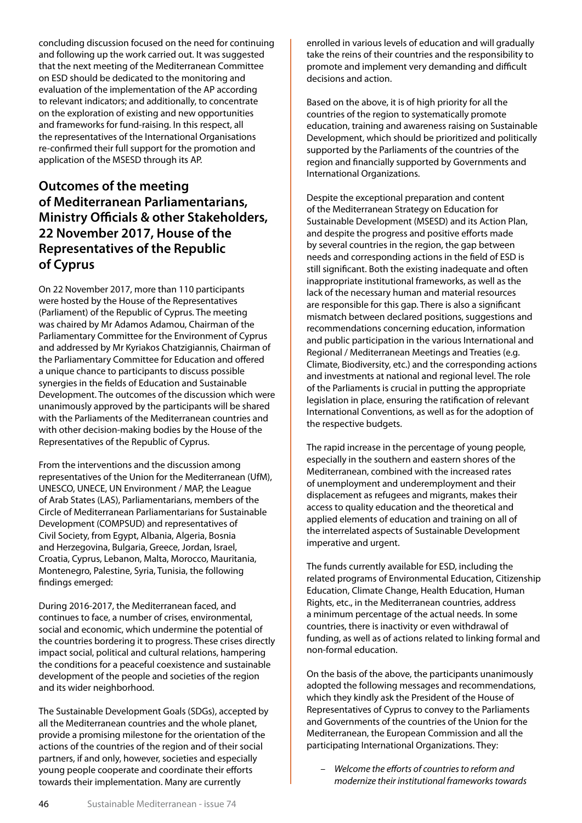concluding discussion focused on the need for continuing and following up the work carried out. It was suggested that the next meeting of the Mediterranean Committee on ESD should be dedicated to the monitoring and evaluation of the implementation of the AP according to relevant indicators; and additionally, to concentrate on the exploration of existing and new opportunities and frameworks for fund-raising. In this respect, all the representatives of the International Organisations re-confirmed their full support for the promotion and application of the MSESD through its AP.

#### **Outcomes of the meeting of Mediterranean Parliamentarians, Ministry Officials & other Stakeholders, 22 November 2017, House of the Representatives of the Republic of Cyprus**

On 22 November 2017, more than 110 participants were hosted by the House of the Representatives (Parliament) of the Republic of Cyprus. The meeting was chaired by Mr Adamos Adamou, Chairman of the Parliamentary Committee for the Environment of Cyprus and addressed by Mr Kyriakos Chatzigiannis, Chairman of the Parliamentary Committee for Education and offered a unique chance to participants to discuss possible synergies in the fields of Education and Sustainable Development. The outcomes of the discussion which were unanimously approved by the participants will be shared with the Parliaments of the Mediterranean countries and with other decision-making bodies by the House of the Representatives of the Republic of Cyprus.

From the interventions and the discussion among representatives of the Union for the Mediterranean (UfM), UNESCO, UNECE, UN Environment / MAP, the League of Arab States (LAS), Parliamentarians, members of the Circle of Mediterranean Parliamentarians for Sustainable Development (COMPSUD) and representatives of Civil Society, from Egypt, Albania, Algeria, Bosnia and Herzegovina, Bulgaria, Greece, Jordan, Israel, Croatia, Cyprus, Lebanon, Malta, Morocco, Mauritania, Montenegro, Palestine, Syria, Tunisia, the following findings emerged:

During 2016-2017, the Mediterranean faced, and continues to face, a number of crises, environmental, social and economic, which undermine the potential of the countries bordering it to progress. These crises directly impact social, political and cultural relations, hampering the conditions for a peaceful coexistence and sustainable development of the people and societies of the region and its wider neighborhood.

The Sustainable Development Goals (SDGs), accepted by all the Mediterranean countries and the whole planet, provide a promising milestone for the orientation of the actions of the countries of the region and of their social partners, if and only, however, societies and especially young people cooperate and coordinate their efforts towards their implementation. Many are currently

enrolled in various levels of education and will gradually take the reins of their countries and the responsibility to promote and implement very demanding and difficult decisions and action.

Based on the above, it is of high priority for all the countries of the region to systematically promote education, training and awareness raising on Sustainable Development, which should be prioritized and politically supported by the Parliaments of the countries of the region and financially supported by Governments and International Organizations.

Despite the exceptional preparation and content of the Mediterranean Strategy on Education for Sustainable Development (MSESD) and its Action Plan, and despite the progress and positive efforts made by several countries in the region, the gap between needs and corresponding actions in the field of ESD is still significant. Both the existing inadequate and often inappropriate institutional frameworks, as well as the lack of the necessary human and material resources are responsible for this gap. There is also a significant mismatch between declared positions, suggestions and recommendations concerning education, information and public participation in the various International and Regional / Mediterranean Meetings and Treaties (e.g. Climate, Biodiversity, etc.) and the corresponding actions and investments at national and regional level. The role of the Parliaments is crucial in putting the appropriate legislation in place, ensuring the ratification of relevant International Conventions, as well as for the adoption of the respective budgets.

The rapid increase in the percentage of young people, especially in the southern and eastern shores of the Mediterranean, combined with the increased rates of unemployment and underemployment and their displacement as refugees and migrants, makes their access to quality education and the theoretical and applied elements of education and training on all of the interrelated aspects of Sustainable Development imperative and urgent.

The funds currently available for ESD, including the related programs of Environmental Education, Citizenship Education, Climate Change, Health Education, Human Rights, etc., in the Mediterranean countries, address a minimum percentage of the actual needs. In some countries, there is inactivity or even withdrawal of funding, as well as of actions related to linking formal and non-formal education.

On the basis of the above, the participants unanimously adopted the following messages and recommendations, which they kindly ask the President of the House of Representatives of Cyprus to convey to the Parliaments and Governments of the countries of the Union for the Mediterranean, the European Commission and all the participating International Organizations. They:

– *Welcome the efforts of countries to reform and modernize their institutional frameworks towards*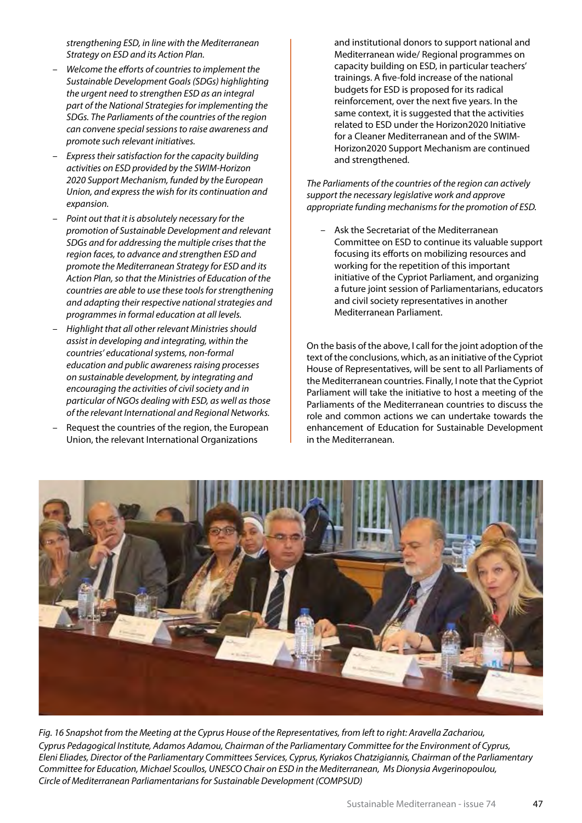*strengthening ESD, in line with the Mediterranean Strategy on ESD and its Action Plan.*

- *Welcome the efforts of countries to implement the Sustainable Development Goals (SDGs) highlighting the urgent need to strengthen ESD as an integral part of the National Strategies for implementing the SDGs. The Parliaments of the countries of the region can convene special sessions to raise awareness and promote such relevant initiatives.*
- *Express their satisfaction for the capacity building activities on ESD provided by the SWIM-Horizon 2020 Support Mechanism, funded by the European Union, and express the wish for its continuation and expansion.*
- *Point out that it is absolutely necessary for the promotion of Sustainable Development and relevant SDGs and for addressing the multiple crises that the region faces, to advance and strengthen ESD and promote the Mediterranean Strategy for ESD and its Action Plan, so that the Ministries of Education of the countries are able to use these tools for strengthening and adapting their respective national strategies and programmes in formal education at all levels.*
- *Highlight that all other relevant Ministries should assist in developing and integrating, within the countries' educational systems, non-formal education and public awareness raising processes on sustainable development, by integrating and encouraging the activities of civil society and in particular of NGOs dealing with ESD, as well as those of the relevant International and Regional Networks.*
- Request the countries of the region, the European Union, the relevant International Organizations

and institutional donors to support national and Mediterranean wide/ Regional programmes on capacity building on ESD, in particular teachers' trainings. A five-fold increase of the national budgets for ESD is proposed for its radical reinforcement, over the next five years. In the same context, it is suggested that the activities related to ESD under the Horizon2020 Initiative for a Cleaner Mediterranean and of the SWIM-Horizon2020 Support Mechanism are continued and strengthened.

#### *The Parliaments of the countries of the region can actively support the necessary legislative work and approve appropriate funding mechanisms for the promotion of ESD.*

– Ask the Secretariat of the Mediterranean Committee on ESD to continue its valuable support focusing its efforts on mobilizing resources and working for the repetition of this important initiative of the Cypriot Parliament, and organizing a future joint session of Parliamentarians, educators and civil society representatives in another Mediterranean Parliament.

On the basis of the above, I call for the joint adoption of the text of the conclusions, which, as an initiative of the Cypriot House of Representatives, will be sent to all Parliaments of the Mediterranean countries. Finally, I note that the Cypriot Parliament will take the initiative to host a meeting of the Parliaments of the Mediterranean countries to discuss the role and common actions we can undertake towards the enhancement of Education for Sustainable Development in the Mediterranean.



*Fig. 16 Snapshot from the Meeting at the Cyprus House of the Representatives, from left to right: Aravella Zachariou, Cyprus Pedagogical Institute, Adamos Adamou, Chairman of the Parliamentary Committee for the Environment of Cyprus, Eleni Eliades, Director of the Parliamentary Committees Services, Cyprus, Kyriakos Chatzigiannis, Chairman of the Parliamentary Committee for Education, Michael Scoullos, UNESCO Chair on ESD in the Mediterranean, Ms Dionysia Avgerinopoulou, Circle of Mediterranean Parliamentarians for Sustainable Development (COMPSUD)*